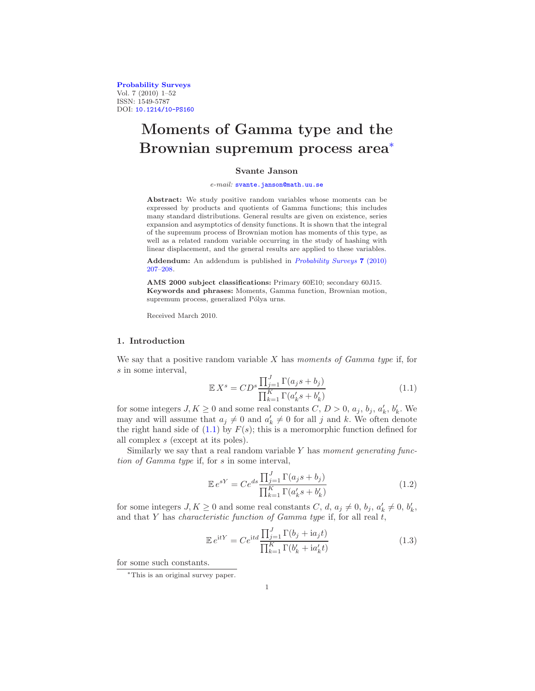[Probability Surveys](http://www.i-journals.org/ps) Vol. 7 (2010) 1–52 ISSN: 1549-5787 DOI: [10.1214/10-PS160](http://dx.doi.org/10.1214/10-PS160)

# Moments of Gamma type and the Brownian supremum process area[∗](#page-0-0)

# Svante Janson

#### e-mail: [svante.janson@math.uu.se](mailto:svante.janson@math.uu.se)

Abstract: We study positive random variables whose moments can be expressed by products and quotients of Gamma functions; this includes many standard distributions. General results are given on existence, series expansion and asymptotics of density functions. It is shown that the integral of the supremum process of Brownian motion has moments of this type, as well as a related random variable occurring in the study of hashing with linear displacement, and the general results are applied to these variables.

Addendum: An addendum is published in [Probability Surveys](http://dx.doi.org/10.1214/10-PS169) 7 (2010) [207–208.](http://dx.doi.org/10.1214/10-PS169)

AMS 2000 subject classifications: Primary 60E10; secondary 60J15. Keywords and phrases: Moments, Gamma function, Brownian motion, supremum process, generalized Pólya urns.

Received March 2010.

# <span id="page-0-4"></span>1. Introduction

We say that a positive random variable  $X$  has moments of Gamma type if, for s in some interval,

<span id="page-0-1"></span>
$$
\mathbb{E}X^s = CD^s \frac{\prod_{j=1}^J \Gamma(a_j s + b_j)}{\prod_{k=1}^K \Gamma(a'_k s + b'_k)}
$$
(1.1)

for some integers  $J, K \geq 0$  and some real constants  $C, D > 0, a_j, b_j, a'_k, b'_k$ . We may and will assume that  $a_j \neq 0$  and  $a'_k \neq 0$  for all j and k. We often denote the right hand side of  $(1.1)$  by  $F(s)$ ; this is a meromorphic function defined for all complex s (except at its poles).

Similarly we say that a real random variable  $Y$  has moment generating function of Gamma type if, for s in some interval,

<span id="page-0-2"></span>
$$
\mathbb{E}e^{sY} = Ce^{ds} \frac{\prod_{j=1}^{J} \Gamma(a_j s + b_j)}{\prod_{k=1}^{K} \Gamma(a'_k s + b'_k)}
$$
(1.2)

for some integers  $J, K \geq 0$  and some real constants  $C, d, a_j \neq 0, b_j, a'_k \neq 0, b'_k$ , and that  $Y$  has *characteristic function of Gamma type* if, for all real  $t$ ,

<span id="page-0-3"></span>
$$
\mathbb{E}e^{\mathrm{i}tY} = Ce^{\mathrm{i}td}\frac{\prod_{j=1}^{J}\Gamma(b_j + \mathrm{i}a_jt)}{\prod_{k=1}^{K}\Gamma(b'_k + \mathrm{i}a'_kt)}
$$
(1.3)

for some such constants.

<span id="page-0-0"></span><sup>∗</sup>This is an original survey paper.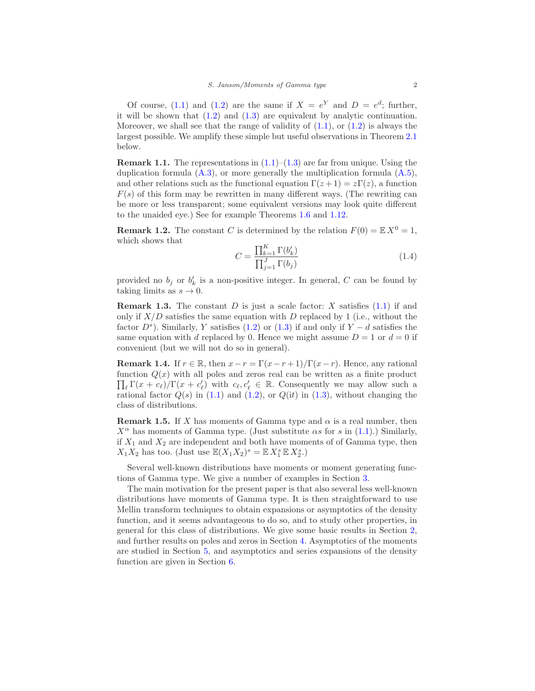Of course, [\(1.1\)](#page-0-1) and [\(1.2\)](#page-0-2) are the same if  $X = e^Y$  and  $D = e^d$ ; further, it will be shown that  $(1.2)$  and  $(1.3)$  are equivalent by analytic continuation. Moreover, we shall see that the range of validity of  $(1.1)$ , or  $(1.2)$  is always the largest possible. We amplify these simple but useful observations in Theorem [2.1](#page-6-0) below.

<span id="page-1-0"></span>**Remark 1.1.** The representations in  $(1.1)$ – $(1.3)$  are far from unique. Using the duplication formula  $(A.3)$ , or more generally the multiplication formula  $(A.5)$ , and other relations such as the functional equation  $\Gamma(z+1) = z\Gamma(z)$ , a function  $F(s)$  of this form may be rewritten in many different ways. (The rewriting can be more or less transparent; some equivalent versions may look quite different to the unaided eye.) See for example Theorems [1.6](#page-2-0) and [1.12.](#page-5-0)

<span id="page-1-2"></span>**Remark 1.2.** The constant C is determined by the relation  $F(0) = \mathbb{E} X^0 = 1$ , which shows that

$$
C = \frac{\prod_{k=1}^{K} \Gamma(b'_k)}{\prod_{j=1}^{J} \Gamma(b_j)}
$$
(1.4)

provided no  $b_j$  or  $b'_k$  is a non-positive integer. In general, C can be found by taking limits as  $s \to 0$ .

**Remark 1.3.** The constant D is just a scale factor: X satisfies  $(1.1)$  if and only if  $X/D$  satisfies the same equation with D replaced by 1 (i.e., without the factor  $D^s$ ). Similarly, Y satisfies [\(1.2\)](#page-0-2) or [\(1.3\)](#page-0-3) if and only if  $Y - d$  satisfies the same equation with d replaced by 0. Hence we might assume  $D = 1$  or  $d = 0$  if convenient (but we will not do so in general).

**Remark 1.4.** If  $r \in \mathbb{R}$ , then  $x - r = \Gamma(x - r + 1)/\Gamma(x - r)$ . Hence, any rational  $\prod_{\ell} \Gamma(x + c_{\ell})/\Gamma(x + c'_{\ell})$  with  $c_{\ell}, c'_{\ell} \in \mathbb{R}$ . Consequently we may allow such a function  $Q(x)$  with all poles and zeros real can be written as a finite product rational factor  $Q(s)$  in [\(1.1\)](#page-0-1) and [\(1.2\)](#page-0-2), or  $Q(it)$  in [\(1.3\)](#page-0-3), without changing the class of distributions.

<span id="page-1-1"></span>**Remark 1.5.** If X has moments of Gamma type and  $\alpha$  is a real number, then  $X^{\alpha}$  has moments of Gamma type. (Just substitute  $\alpha s$  for s in [\(1.1\)](#page-0-1).) Similarly, if  $X_1$  and  $X_2$  are independent and both have moments of of Gamma type, then  $X_1X_2$  has too. (Just use  $\mathbb{E}(X_1X_2)^s = \mathbb{E} X_1^s \mathbb{E} X_2^s$ .)

Several well-known distributions have moments or moment generating functions of Gamma type. We give a number of examples in Section [3.](#page-10-0)

The main motivation for the present paper is that also several less well-known distributions have moments of Gamma type. It is then straightforward to use Mellin transform techniques to obtain expansions or asymptotics of the density function, and it seems advantageous to do so, and to study other properties, in general for this class of distributions. We give some basic results in Section [2,](#page-6-1) and further results on poles and zeros in Section [4.](#page-18-0) Asymptotics of the moments are studied in Section [5,](#page-23-0) and asymptotics and series expansions of the density function are given in Section [6.](#page-28-0)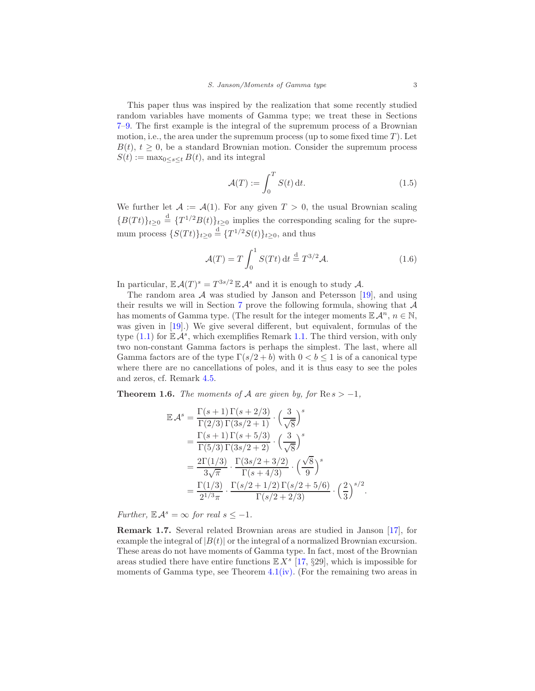This paper thus was inspired by the realization that some recently studied random variables have moments of Gamma type; we treat these in Sections [7–](#page-38-0)[9.](#page-43-0) The first example is the integral of the supremum process of a Brownian motion, i.e., the area under the supremum process (up to some fixed time  $T$ ). Let  $B(t)$ ,  $t \geq 0$ , be a standard Brownian motion. Consider the supremum process  $S(t) := \max_{0 \leq s \leq t} B(t)$ , and its integral

<span id="page-2-2"></span>
$$
\mathcal{A}(T) := \int_0^T S(t) dt.
$$
\n(1.5)

We further let  $A := A(1)$ . For any given  $T > 0$ , the usual Brownian scaling  ${B(Tt)}_{t\geq0} \stackrel{\text{d}}{=} {T^{1/2}B(t)}_{t\geq0}$  implies the corresponding scaling for the supremum process  $\{S(Tt)\}_{t\geq 0} \stackrel{\text{d}}{=} \{T^{1/2}S(t)\}_{t\geq 0}$ , and thus

$$
\mathcal{A}(T) = T \int_0^1 S(Tt) dt \stackrel{d}{=} T^{3/2} \mathcal{A}.
$$
 (1.6)

.

In particular,  $\mathbb{E} \mathcal{A}(T)^s = T^{3s/2} \mathbb{E} \mathcal{A}^s$  and it is enough to study  $\mathcal{A}$ .

The random area  $A$  was studied by Janson and Petersson [\[19\]](#page-50-0), and using their results we will in Section [7](#page-38-0) prove the following formula, showing that A has moments of Gamma type. (The result for the integer moments  $\mathbb{E} \mathcal{A}^n$ ,  $n \in \mathbb{N}$ , was given in [\[19](#page-50-0)].) We give several different, but equivalent, formulas of the type  $(1.1)$  for  $\mathbb{E} \mathcal{A}^s$ , which exemplifies Remark [1.1.](#page-1-0) The third version, with only two non-constant Gamma factors is perhaps the simplest. The last, where all Gamma factors are of the type  $\Gamma(s/2 + b)$  with  $0 < b \le 1$  is of a canonical type where there are no cancellations of poles, and it is thus easy to see the poles and zeros, cf. Remark [4.5.](#page-22-0)

<span id="page-2-0"></span>**Theorem 1.6.** The moments of A are given by, for  $\text{Re } s > -1$ ,

$$
\mathbb{E} \mathcal{A}^{s} = \frac{\Gamma(s+1)\Gamma(s+2/3)}{\Gamma(2/3)\Gamma(3s/2+1)} \cdot \left(\frac{3}{\sqrt{8}}\right)^{s}
$$
  
\n
$$
= \frac{\Gamma(s+1)\Gamma(s+5/3)}{\Gamma(5/3)\Gamma(3s/2+2)} \cdot \left(\frac{3}{\sqrt{8}}\right)^{s}
$$
  
\n
$$
= \frac{2\Gamma(1/3)}{3\sqrt{\pi}} \cdot \frac{\Gamma(3s/2+3/2)}{\Gamma(s+4/3)} \cdot \left(\frac{\sqrt{8}}{9}\right)^{s}
$$
  
\n
$$
= \frac{\Gamma(1/3)}{2^{1/3}\pi} \cdot \frac{\Gamma(s/2+1/2)\Gamma(s/2+5/6)}{\Gamma(s/2+2/3)} \cdot \left(\frac{2}{3}\right)^{s/2}
$$

Further,  $\mathbb{E} \mathcal{A}^s = \infty$  for real  $s \leq -1$ .

<span id="page-2-1"></span>Remark 1.7. Several related Brownian areas are studied in Janson [\[17\]](#page-50-1), for example the integral of  $|B(t)|$  or the integral of a normalized Brownian excursion. These areas do not have moments of Gamma type. In fact, most of the Brownian areas studied there have entire functions  $\mathbb{E}[X^s]$  [\[17](#page-50-1), §29], which is impossible for moments of Gamma type, see Theorem [4.1](#page-20-0)[\(iv\).](#page-20-1) (For the remaining two areas in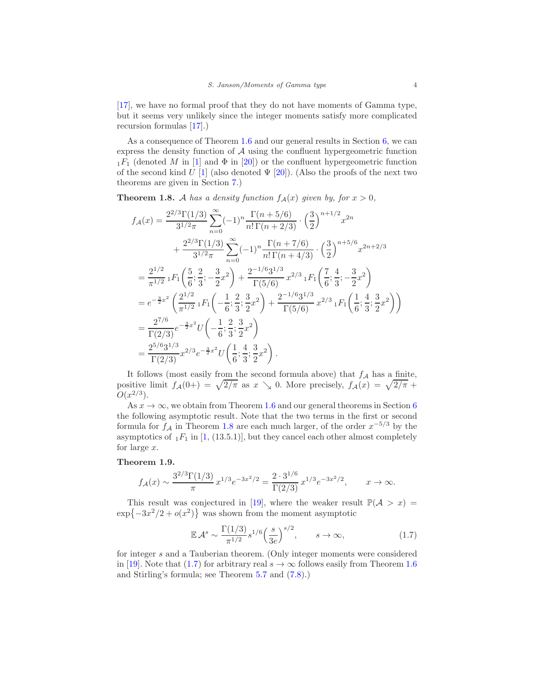[\[17\]](#page-50-1), we have no formal proof that they do not have moments of Gamma type, but it seems very unlikely since the integer moments satisfy more complicated recursion formulas [\[17\]](#page-50-1).)

As a consequence of Theorem [1.6](#page-2-0) and our general results in Section [6,](#page-28-0) we can express the density function of  $A$  using the confluent hypergeometric function  $_1F_1$  (denoted M in [\[1\]](#page-49-0) and  $\Phi$  in [\[20\]](#page-50-2)) or the confluent hypergeometric function of the second kind U [\[1](#page-49-0)] (also denoted  $\Psi$  [\[20\]](#page-50-2)). (Also the proofs of the next two theorems are given in Section [7.](#page-38-0))

<span id="page-3-0"></span>**Theorem 1.8.** A has a density function  $f_A(x)$  given by, for  $x > 0$ ,

$$
f_{\mathcal{A}}(x) = \frac{2^{2/3} \Gamma(1/3)}{3^{1/2} \pi} \sum_{n=0}^{\infty} (-1)^n \frac{\Gamma(n+5/6)}{n! \Gamma(n+2/3)} \cdot \left(\frac{3}{2}\right)^{n+1/2} x^{2n}
$$
  
+ 
$$
\frac{2^{2/3} \Gamma(1/3)}{3^{1/2} \pi} \sum_{n=0}^{\infty} (-1)^n \frac{\Gamma(n+7/6)}{n! \Gamma(n+4/3)} \cdot \left(\frac{3}{2}\right)^{n+5/6} x^{2n+2/3}
$$
  
= 
$$
\frac{2^{1/2}}{\pi^{1/2}} {}_1F_1\left(\frac{5}{6}; \frac{2}{3}; -\frac{3}{2}x^2\right) + \frac{2^{-1/6} 3^{1/3}}{\Gamma(5/6)} x^{2/3} {}_1F_1\left(\frac{7}{6}; \frac{4}{3}; -\frac{3}{2}x^2\right)
$$
  
= 
$$
e^{-\frac{3}{2}x^2} \left(\frac{2^{1/2}}{\pi^{1/2}} {}_1F_1\left(-\frac{1}{6}; \frac{2}{3}; \frac{3}{2}x^2\right) + \frac{2^{-1/6} 3^{1/3}}{\Gamma(5/6)} x^{2/3} {}_1F_1\left(\frac{1}{6}; \frac{4}{3}; \frac{3}{2}x^2\right)\right)
$$
  
= 
$$
\frac{2^{7/6}}{\Gamma(2/3)} e^{-\frac{3}{2}x^2} U\left(-\frac{1}{6}; \frac{2}{3}; \frac{3}{2}x^2\right)
$$
  
= 
$$
\frac{2^{5/6} 3^{1/3}}{\Gamma(2/3)} x^{2/3} e^{-\frac{3}{2}x^2} U\left(\frac{1}{6}; \frac{4}{3}; \frac{3}{2}x^2\right).
$$

It follows (most easily from the second formula above) that  $f_A$  has a finite, positive limit  $f_A(0+) = \sqrt{2/\pi}$  as  $x \searrow 0$ . More precisely,  $f_A(x) = \sqrt{2/\pi} + \frac{1}{2\pi}$  $O(x^{2/3})$ .

As  $x \to \infty$ , we obtain from Theorem [1.6](#page-2-0) and our general theorems in Section [6](#page-28-0) the following asymptotic result. Note that the two terms in the first or second formula for  $f_A$  in Theorem [1.8](#page-3-0) are each much larger, of the order  $x^{-5/3}$  by the asymptotics of  $_1F_1$  in [\[1](#page-49-0), (13.5.1)], but they cancel each other almost completely for large  $x$ .

#### <span id="page-3-2"></span>Theorem 1.9.

$$
f_{\mathcal{A}}(x) \sim \frac{3^{2/3} \Gamma(1/3)}{\pi} x^{1/3} e^{-3x^2/2} = \frac{2 \cdot 3^{1/6}}{\Gamma(2/3)} x^{1/3} e^{-3x^2/2}, \qquad x \to \infty.
$$

This result was conjectured in [\[19](#page-50-0)], where the weaker result  $\mathbb{P}(\mathcal{A} > x) =$  $\exp\{-3x^2/2 + o(x^2)\}\)$  was shown from the moment asymptotic

<span id="page-3-1"></span>
$$
\mathbb{E} \mathcal{A}^s \sim \frac{\Gamma(1/3)}{\pi^{1/2}} s^{1/6} \left(\frac{s}{3e}\right)^{s/2}, \qquad s \to \infty,
$$
 (1.7)

for integer s and a Tauberian theorem. (Only integer moments were considered in [\[19\]](#page-50-0). Note that [\(1.7\)](#page-3-1) for arbitrary real  $s \to \infty$  follows easily from Theorem [1.6](#page-2-0) and Stirling's formula; see Theorem 5.7 and [\(7.8\)](#page-40-0).)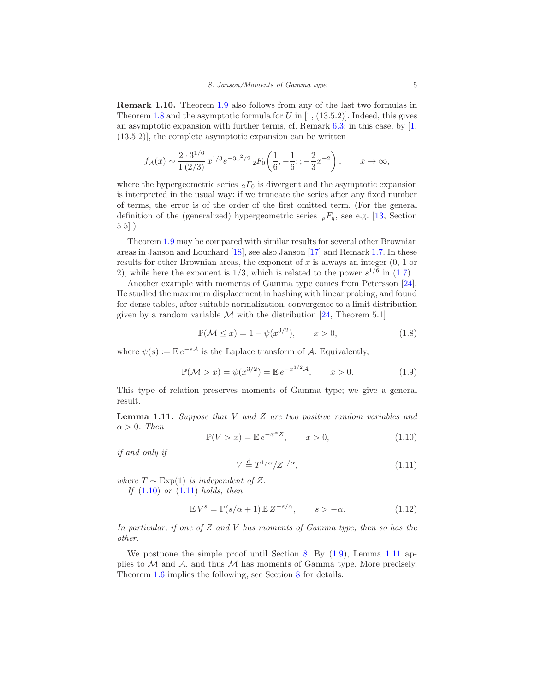<span id="page-4-4"></span>Remark 1.10. Theorem [1.9](#page-3-2) also follows from any of the last two formulas in Theorem [1.8](#page-3-0) and the asymptotic formula for  $U$  in  $[1, (13.5.2)]$ . Indeed, this gives an asymptotic expansion with further terms, cf. Remark  $6.3$ ; in this case, by  $[1,$ (13.5.2)], the complete asymptotic expansion can be written

$$
f_{\mathcal{A}}(x) \sim \frac{2 \cdot 3^{1/6}}{\Gamma(2/3)} x^{1/3} e^{-3x^2/2} {}_{2}F_0\left(\frac{1}{6}, -\frac{1}{6}; -\frac{2}{3}x^{-2}\right), \qquad x \to \infty,
$$

where the hypergeometric series  ${}_2F_0$  is divergent and the asymptotic expansion is interpreted in the usual way: if we truncate the series after any fixed number of terms, the error is of the order of the first omitted term. (For the general definition of the (generalized) hypergeometric series  $_pF_q$ , see e.g. [\[13](#page-50-3), Section 5.5].)

Theorem [1.9](#page-3-2) may be compared with similar results for several other Brownian areas in Janson and Louchard [\[18\]](#page-50-4), see also Janson [\[17\]](#page-50-1) and Remark [1.7.](#page-2-1) In these results for other Brownian areas, the exponent of x is always an integer  $(0, 1)$  or 2), while here the exponent is  $1/3$ , which is related to the power  $s^{1/6}$  in [\(1.7\)](#page-3-1).

Another example with moments of Gamma type comes from Petersson [\[24\]](#page-50-5). He studied the maximum displacement in hashing with linear probing, and found for dense tables, after suitable normalization, convergence to a limit distribution given by a random variable  $M$  with the distribution [\[24](#page-50-5), Theorem 5.1]

$$
\mathbb{P}(\mathcal{M} \le x) = 1 - \psi(x^{3/2}), \qquad x > 0,
$$
\n(1.8)

where  $\psi(s) := \mathbb{E} e^{-s\mathcal{A}}$  is the Laplace transform of  $\mathcal{A}$ . Equivalently,

<span id="page-4-2"></span>
$$
\mathbb{P}(\mathcal{M} > x) = \psi(x^{3/2}) = \mathbb{E} \, e^{-x^{3/2} \mathcal{A}}, \qquad x > 0. \tag{1.9}
$$

This type of relation preserves moments of Gamma type; we give a general result.

<span id="page-4-3"></span>**Lemma 1.11.** Suppose that  $V$  and  $Z$  are two positive random variables and  $\alpha > 0$ . Then

<span id="page-4-0"></span>
$$
\mathbb{P}(V > x) = \mathbb{E} e^{-x^{\alpha}Z}, \qquad x > 0,
$$
\n(1.10)

if and only if

<span id="page-4-1"></span>
$$
V \stackrel{\text{d}}{=} T^{1/\alpha}/Z^{1/\alpha},\tag{1.11}
$$

where  $T \sim \text{Exp}(1)$  is independent of Z. If  $(1.10)$  or  $(1.11)$  holds, then

$$
\mathbb{E}V^s = \Gamma(s/\alpha + 1) \mathbb{E}Z^{-s/\alpha}, \qquad s > -\alpha.
$$
 (1.12)

In particular, if one of  $Z$  and  $V$  has moments of Gamma type, then so has the other.

We postpone the simple proof until Section [8.](#page-41-0) By  $(1.9)$ , Lemma [1.11](#page-4-3) applies to  $\mathcal M$  and  $\mathcal A$ , and thus  $\mathcal M$  has moments of Gamma type. More precisely, Theorem [1.6](#page-2-0) implies the following, see Section [8](#page-41-0) for details.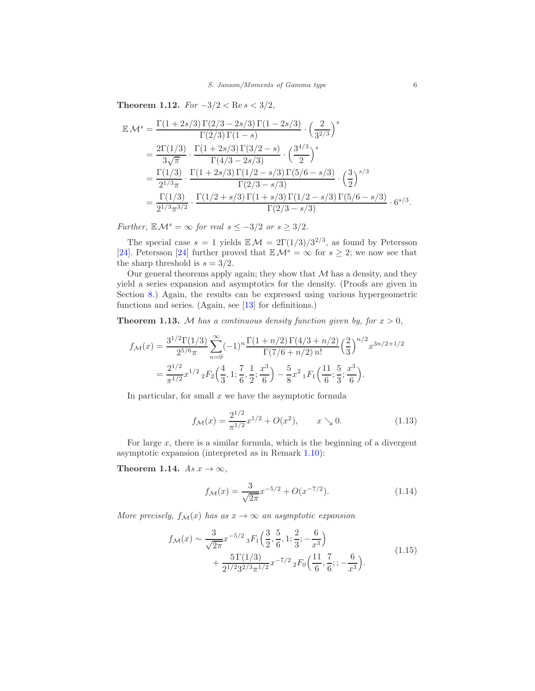<span id="page-5-0"></span>Theorem 1.12.  $For -3/2 < Re s < 3/2$ ,

$$
\mathbb{E}\mathcal{M}^{s} = \frac{\Gamma(1+2s/3)\Gamma(2/3-2s/3)\Gamma(1-2s/3)}{\Gamma(2/3)\Gamma(1-s)} \cdot \left(\frac{2}{3^{2/3}}\right)^{s}
$$
\n
$$
= \frac{2\Gamma(1/3)}{3\sqrt{\pi}} \cdot \frac{\Gamma(1+2s/3)\Gamma(3/2-s)}{\Gamma(4/3-2s/3)} \cdot \left(\frac{3^{4/3}}{2}\right)^{s}
$$
\n
$$
= \frac{\Gamma(1/3)}{2^{1/3}\pi} \cdot \frac{\Gamma(1+2s/3)\Gamma(1/2-s/3)\Gamma(5/6-s/3)}{\Gamma(2/3-s/3)} \cdot \left(\frac{3}{2}\right)^{s/3}
$$
\n
$$
= \frac{\Gamma(1/3)}{2^{1/3}\pi^{3/2}} \cdot \frac{\Gamma(1/2+s/3)\Gamma(1+s/3)\Gamma(1/2-s/3)\Gamma(5/6-s/3)}{\Gamma(2/3-s/3)} \cdot 6^{s/3}.
$$

Further,  $\mathbb{E} \mathcal{M}^s = \infty$  for real  $s \leq -3/2$  or  $s \geq 3/2$ .

The special case  $s = 1$  yields  $\mathbb{E} \mathcal{M} = 2\Gamma(1/3)/3^{2/3}$ , as found by Petersson [\[24\]](#page-50-5). Petersson [\[24\]](#page-50-5) further proved that  $\mathbb{E} \mathcal{M}^s = \infty$  for  $s \geq 2$ ; we now see that the sharp threshold is  $s = 3/2$ .

Our general theorems apply again; they show that  $M$  has a density, and they yield a series expansion and asymptotics for the density. (Proofs are given in Section [8.](#page-41-0)) Again, the results can be expressed using various hypergeometric functions and series. (Again, see [\[13](#page-50-3)] for definitions.)

<span id="page-5-1"></span>**Theorem 1.13.** M has a continuous density function given by, for  $x > 0$ ,

$$
f_{\mathcal{M}}(x) = \frac{3^{1/2} \Gamma(1/3)}{2^{5/6} \pi} \sum_{n=0}^{\infty} (-1)^n \frac{\Gamma(1+n/2) \Gamma(4/3+n/2)}{\Gamma(7/6+n/2) n!} \left(\frac{2}{3}\right)^{n/2} x^{3n/2+1/2}
$$
  
= 
$$
\frac{2^{1/2}}{\pi^{1/2}} x^{1/2} {}_{2}F_{2}\left(\frac{4}{3}, 1; \frac{7}{6}, \frac{1}{2}; \frac{x^{3}}{6}\right) - \frac{5}{8} x^{2} {}_{1}F_{1}\left(\frac{11}{6}; \frac{5}{3}; \frac{x^{3}}{6}\right).
$$

In particular, for small  $x$  we have the asymptotic formula

$$
f_{\mathcal{M}}(x) = \frac{2^{1/2}}{\pi^{1/2}} x^{1/2} + O(x^2), \qquad x \searrow 0.
$$
 (1.13)

For large  $x$ , there is a similar formula, which is the beginning of a divergent asymptotic expansion (interpreted as in Remark [1.10\)](#page-4-4):

<span id="page-5-2"></span>Theorem 1.14. As  $x \to \infty$ ,

<span id="page-5-3"></span>
$$
f_{\mathcal{M}}(x) = \frac{3}{\sqrt{2\pi}} x^{-5/2} + O(x^{-7/2}).
$$
\n(1.14)

<span id="page-5-4"></span>More precisely,  $f_{\mathcal{M}}(x)$  has as  $x \to \infty$  an asymptotic expansion

$$
f_{\mathcal{M}}(x) \sim \frac{3}{\sqrt{2\pi}} x^{-5/2} {}_{3}F_{1}\left(\frac{3}{2}, \frac{5}{6}, 1; \frac{2}{3}; -\frac{6}{x^{3}}\right) + \frac{5\Gamma(1/3)}{2^{1/2}3^{2/3}\pi^{1/2}} x^{-7/2} {}_{2}F_{0}\left(\frac{11}{6}, \frac{7}{6}; -\frac{6}{x^{3}}\right).
$$
(1.15)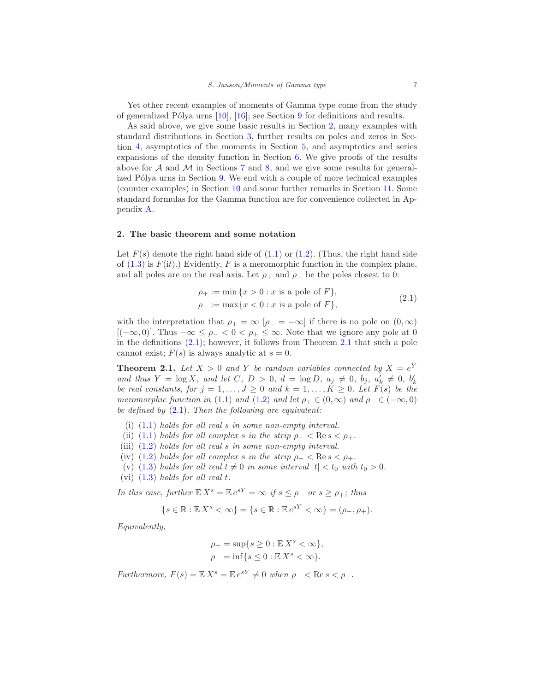Yet other recent examples of moments of Gamma type come from the study of generalized Pólya urns  $[10]$ ,  $[16]$ ; see Section [9](#page-43-0) for definitions and results.

As said above, we give some basic results in Section [2,](#page-6-1) many examples with standard distributions in Section [3,](#page-10-0) further results on poles and zeros in Section [4,](#page-18-0) asymptotics of the moments in Section [5,](#page-23-0) and asymptotics and series expansions of the density function in Section [6.](#page-28-0) We give proofs of the results above for  $A$  and  $M$  in Sections [7](#page-38-0) and [8,](#page-41-0) and we give some results for general-ized Pólya urns in Section [9.](#page-43-0) We end with a couple of more technical examples (counter examples) in Section [10](#page-46-0) and some further remarks in Section [11.](#page-47-0) Some standard formulas for the Gamma function are for convenience collected in Appendix [A.](#page-48-2)

# <span id="page-6-1"></span>2. The basic theorem and some notation

Let  $F(s)$  denote the right hand side of  $(1.1)$  or  $(1.2)$ . (Thus, the right hand side of  $(1.3)$  is  $F(it)$ .) Evidently, F is a meromorphic function in the complex plane, and all poles are on the real axis. Let  $\rho_+$  and  $\rho_-$  be the poles closest to 0:

<span id="page-6-2"></span>
$$
\rho_{+} := \min \{ x > 0 : x \text{ is a pole of } F \}, \n\rho_{-} := \max \{ x < 0 : x \text{ is a pole of } F \},
$$
\n(2.1)

with the interpretation that  $\rho_+ = \infty$   $[\rho_- = -\infty]$  if there is no pole on  $(0, \infty)$ [ $(-\infty, 0)$ ]. Thus  $-\infty \leq \rho_- < 0 < \rho_+ \leq \infty$ . Note that we ignore any pole at 0 in the definitions  $(2.1)$  $(2.1)$  $(2.1)$ ; however, it follows from Theorem 2.1 that such a pole cannot exist;  $F(s)$  is always analytic at  $s = 0$ .

<span id="page-6-0"></span>**Theorem 2.1.** Let  $X > 0$  and Y be random variables connected by  $X = e^Y$ and thus  $Y = \log X$ , and let  $C, D > 0, d = \log D, a_j \neq 0, b_j, a'_k \neq 0, b'_k$ be real constants, for  $j = 1, ..., J \ge 0$  and  $k = 1, ..., K \ge 0$ . Let  $F(s)$  be the meromorphic function in [\(1.1\)](#page-0-1) and [\(1.2\)](#page-0-2) and let  $\rho_+ \in (0,\infty)$  and  $\rho_- \in (-\infty,0)$ be defined by  $(2.1)$ . Then the following are equivalent:

- <span id="page-6-5"></span><span id="page-6-3"></span>(i)  $(1.1)$  holds for all real s in some non-empty interval.
- <span id="page-6-4"></span>(ii) [\(1.1\)](#page-0-1) holds for all complex s in the strip  $\rho_- < \text{Re } s < \rho_+$ .
- <span id="page-6-6"></span>(iii) [\(1.2\)](#page-0-2) holds for all real s in some non-empty interval.
- <span id="page-6-8"></span>(iv) [\(1.2\)](#page-0-2) holds for all complex s in the strip  $\rho_- < \text{Re } s < \rho_+$ .
- <span id="page-6-7"></span>(v) [\(1.3\)](#page-0-3) holds for all real  $t \neq 0$  in some interval  $|t| < t_0$  with  $t_0 > 0$ .
- (vi)  $(1.3)$  holds for all real t.

In this case, further  $\mathbb{E} X^s = \mathbb{E} e^{sY} = \infty$  if  $s \le \rho_-$  or  $s \ge \rho_+$ ; thus

$$
\{s \in \mathbb{R} : \mathbb{E}X^s < \infty\} = \{s \in \mathbb{R} : \mathbb{E}e^{sY} < \infty\} = (\rho_-, \rho_+).
$$

Equivalently,

$$
\rho_+ = \sup\{s \ge 0 : \mathbb{E} X^s < \infty\},
$$
  

$$
\rho_- = \inf\{s \le 0 : \mathbb{E} X^s < \infty\}.
$$

Furthermore,  $F(s) = \mathbb{E} X^s = \mathbb{E} e^{sY} \neq 0$  when  $\rho_- < \text{Re } s < \rho_+$ .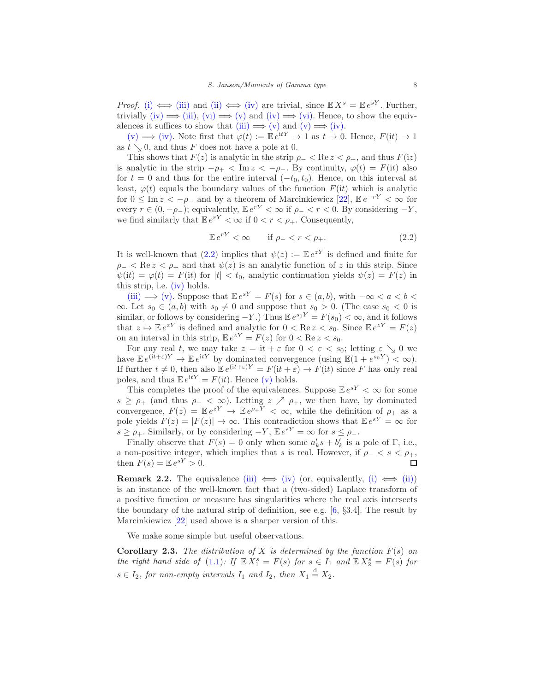*Proof.* [\(i\)](#page-6-3)  $\iff$  [\(iii\)](#page-6-4) and [\(ii\)](#page-6-5)  $\iff$  [\(iv\)](#page-6-6) are trivial, since  $\mathbb{E} X^s = \mathbb{E} e^{sY}$ . Further, trivially [\(iv\)](#page-6-6)  $\implies$  [\(iii\),](#page-6-4) [\(vi\)](#page-6-7)  $\implies$  [\(v\)](#page-6-8) and (iv)  $\implies$  [\(vi\).](#page-6-7) Hence, to show the equiv-alences it suffices to show that [\(iii\)](#page-6-4)  $\implies$  [\(v\)](#page-6-8) and (v)  $\implies$  [\(iv\).](#page-6-6)

[\(v\)](#page-6-8)  $\implies$  [\(iv\).](#page-6-6) Note first that  $\varphi(t) := \mathbb{E} e^{itY} \to 1$  as  $t \to 0$ . Hence,  $F(it) \to 1$ as  $t \searrow 0$ , and thus F does not have a pole at 0.

This shows that  $F(z)$  is analytic in the strip  $\rho_- < \text{Re } z < \rho_+$ , and thus  $F(iz)$ is analytic in the strip  $-\rho_+ < \text{Im } z < -\rho_-$ . By continuity,  $\varphi(t) = F(it)$  also for  $t = 0$  and thus for the entire interval  $(-t_0, t_0)$ . Hence, on this interval at least,  $\varphi(t)$  equals the boundary values of the function  $F(it)$  which is analytic for  $0 \leq \text{Im } z < -\rho_-$  and by a theorem of Marcinkiewicz [\[22\]](#page-50-7),  $\mathbb{E} e^{-rY} < \infty$  for every  $r \in (0, -\rho_-)$ ; equivalently,  $\mathbb{E} e^{rY} < \infty$  if  $\rho_- < r < 0$ . By considering  $-Y$ , we find similarly that  $\mathbb{E}e^{rY} < \infty$  if  $0 < r < \rho_+$ . Consequently,

<span id="page-7-0"></span>
$$
\mathbb{E}e^{rY} < \infty \qquad \text{if } \rho_- < r < \rho_+.\tag{2.2}
$$

It is well-known that [\(2.2\)](#page-7-0) implies that  $\psi(z) := \mathbb{E} e^{zY}$  is defined and finite for  $\rho_- < \text{Re } z < \rho_+$  and that  $\psi(z)$  is an analytic function of z in this strip. Since  $\psi(it) = \varphi(t) = F(it)$  for  $|t| < t_0$ , analytic continuation yields  $\psi(z) = F(z)$  in this strip, i.e. [\(iv\)](#page-6-6) holds.

[\(iii\)](#page-6-4)  $\implies$  [\(v\).](#page-6-8) Suppose that  $\mathbb{E}e^{sY} = F(s)$  for  $s \in (a, b)$ , with  $-\infty < a < b <$ ∞. Let  $s_0 \in (a, b)$  with  $s_0 \neq 0$  and suppose that  $s_0 > 0$ . (The case  $s_0 < 0$  is similar, or follows by considering  $-Y$ .) Thus  $\mathbb{E}e^{s_0Y} = F(s_0) < \infty$ , and it follows that  $z \mapsto \mathbb{E} e^{zY}$  is defined and analytic for  $0 < \text{Re } z < s_0$ . Since  $\mathbb{E} e^{zY} = F(z)$ on an interval in this strip,  $\mathbb{E}e^{zY} = F(z)$  for  $0 < \text{Re } z < s_0$ .

For any real t, we may take  $z = \mathrm{i}t + \varepsilon$  for  $0 < \varepsilon < s_0$ ; letting  $\varepsilon \searrow 0$  we have  $\mathbb{E}e^{(it+\varepsilon)Y} \to \mathbb{E}e^{itY}$  by dominated convergence  $(\text{using } \mathbb{E}(1+e^{s_0Y}) < \infty).$ If further  $t \neq 0$ , then also  $\mathbb{E}e^{(it+\varepsilon)Y} = F(it + \varepsilon) \rightarrow F(it)$  since F has only real poles, and thus  $\mathbb{E} e^{\mathrm{i}tY} = F(\mathrm{i}t)$ . Hence [\(v\)](#page-6-8) holds.

This completes the proof of the equivalences. Suppose  $\mathbb{E}e^{sY} < \infty$  for some  $s \geq \rho_+$  (and thus  $\rho_+ < \infty$ ). Letting  $z \nearrow \rho_+$ , we then have, by dominated convergence,  $F(z) = \mathbb{E} e^{zY} \to \mathbb{E} e^{\rho+Y} < \infty$ , while the definition of  $\rho_+$  as a pole yields  $F(z) = |F(z)| \to \infty$ . This contradiction shows that  $\mathbb{E}e^{sY} = \infty$  for  $s \geq \rho_+$ . Similarly, or by considering  $-Y$ ,  $\mathbb{E}e^{sY} = \infty$  for  $s \leq \rho_-$ .

Finally observe that  $F(s) = 0$  only when some  $a'_k s + b'_k$  is a pole of  $\Gamma$ , i.e., a non-positive integer, which implies that s is real. However, if  $\rho_- < s < \rho_+$ , then  $F(s) = \mathbb{E} e^{sY} > 0$ . then  $F(s) = \mathbb{E} e^{sY} > 0$ .

**Remark 2.2.** The equivalence [\(iii\)](#page-6-4)  $\iff$  [\(iv\)](#page-6-6) (or, equivalently, [\(i\)](#page-6-3)  $\iff$  [\(ii\)\)](#page-6-5) is an instance of the well-known fact that a (two-sided) Laplace transform of a positive function or measure has singularities where the real axis intersects the boundary of the natural strip of definition, see e.g.  $[6, \S 3.4]$ . The result by Marcinkiewicz [\[22\]](#page-50-7) used above is a sharper version of this.

We make some simple but useful observations.

<span id="page-7-1"></span>**Corollary 2.3.** The distribution of X is determined by the function  $F(s)$  on the right hand side of [\(1.1\)](#page-0-1): If  $\mathbb{E} X_1^s = F(s)$  for  $s \in I_1$  and  $\mathbb{E} X_2^s = F(s)$  for  $s \in I_2$ , for non-empty intervals  $I_1$  and  $I_2$ , then  $X_1 \stackrel{d}{=} X_2$ .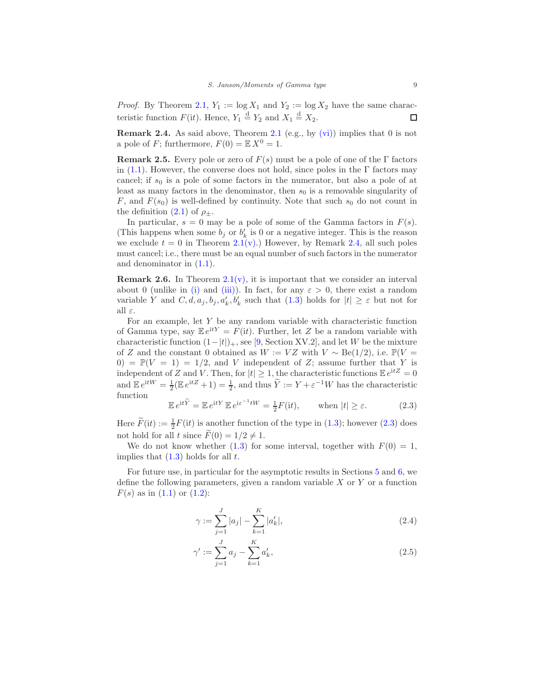*Proof.* By Theorem [2.1,](#page-6-0)  $Y_1 := \log X_1$  and  $Y_2 := \log X_2$  have the same characteristic function  $F(\text{it})$ . Hence,  $Y_1 \stackrel{d}{=} Y_2$  and  $X_1 \stackrel{d}{=} X_2$ .  $\Box$ 

<span id="page-8-0"></span>**Remark 2.4.** As said above, Theorem [2.1](#page-6-0) (e.g., by  $(vi)$ ) implies that 0 is not a pole of F; furthermore,  $F(0) = \mathbb{E} X^0 = 1$ .

**Remark 2.5.** Every pole or zero of  $F(s)$  must be a pole of one of the Γ factors in [\(1.1\)](#page-0-1). However, the converse does not hold, since poles in the  $\Gamma$  factors may cancel; if  $s_0$  is a pole of some factors in the numerator, but also a pole of at least as many factors in the denominator, then  $s_0$  is a removable singularity of F, and  $F(s_0)$  is well-defined by continuity. Note that such  $s_0$  do not count in the definition [\(2.1\)](#page-6-2) of  $\rho_{\pm}$ .

In particular,  $s = 0$  may be a pole of some of the Gamma factors in  $F(s)$ . (This happens when some  $b_j$  or  $b'_k$  is 0 or a negative integer. This is the reason we exclude  $t = 0$  in Theorem [2.1](#page-6-0)[\(v\).](#page-6-8)) However, by Remark [2.4,](#page-8-0) all such poles must cancel; i.e., there must be an equal number of such factors in the numerator and denominator in [\(1.1\)](#page-0-1).

**Remark 2.6.** In Theorem  $2.1(v)$  $2.1(v)$ , it is important that we consider an interval about 0 (unlike in [\(i\)](#page-6-3) and [\(iii\)\)](#page-6-4). In fact, for any  $\varepsilon > 0$ , there exist a random variable Y and  $C, d, a_j, b_j, a'_k, b'_k$  such that  $(1.3)$  holds for  $|t| \geq \varepsilon$  but not for all  $\varepsilon$ .

For an example, let Y be any random variable with characteristic function of Gamma type, say  $\mathbb{E}e^{itY} = F(it)$ . Further, let Z be a random variable with characteristic function  $(1-|t|)_+$ , see [\[9,](#page-49-3) Section XV.2], and let W be the mixture of Z and the constant 0 obtained as  $W := VZ$  with  $V \sim \text{Be}(1/2)$ , i.e.  $\mathbb{P}(V =$  $0) = \mathbb{P}(V = 1) = 1/2$ , and V independent of Z; assume further that Y is independent of Z and V. Then, for  $|t| \geq 1$ , the characteristic functions  $\mathbb{E} e^{itZ} = 0$ and  $\mathbb{E}e^{itW} = \frac{1}{2}(\mathbb{E}e^{itZ} + 1) = \frac{1}{2}$ , and thus  $\widetilde{Y} := Y + \varepsilon^{-1}W$  has the characteristic function

<span id="page-8-1"></span>
$$
\mathbb{E}e^{\mathrm{i}t\widetilde{Y}} = \mathbb{E}e^{\mathrm{i}tY}\,\mathbb{E}e^{\mathrm{i}\varepsilon^{-1}tW} = \frac{1}{2}F(\mathrm{i}t), \qquad \text{when } |t| \ge \varepsilon. \tag{2.3}
$$

Here  $\widetilde{F}(it) := \frac{1}{2}F(it)$  is another function of the type in [\(1.3\)](#page-0-3); however [\(2.3\)](#page-8-1) does not hold for all t since  $F(0) = 1/2 \neq 1$ .

We do not know whether [\(1.3\)](#page-0-3) for some interval, together with  $F(0) = 1$ , implies that  $(1.3)$  holds for all t.

For future use, in particular for the asymptotic results in Sections [5](#page-23-0) and [6,](#page-28-0) we define the following parameters, given a random variable  $X$  or  $Y$  or a function  $F(s)$  as in  $(1.1)$  or  $(1.2)$ :

<span id="page-8-2"></span>
$$
\gamma := \sum_{j=1}^{J} |a_j| - \sum_{k=1}^{K} |a'_k|,\tag{2.4}
$$

<span id="page-8-3"></span>
$$
\gamma' := \sum_{j=1}^{J} a_j - \sum_{k=1}^{K} a'_k,
$$
\n(2.5)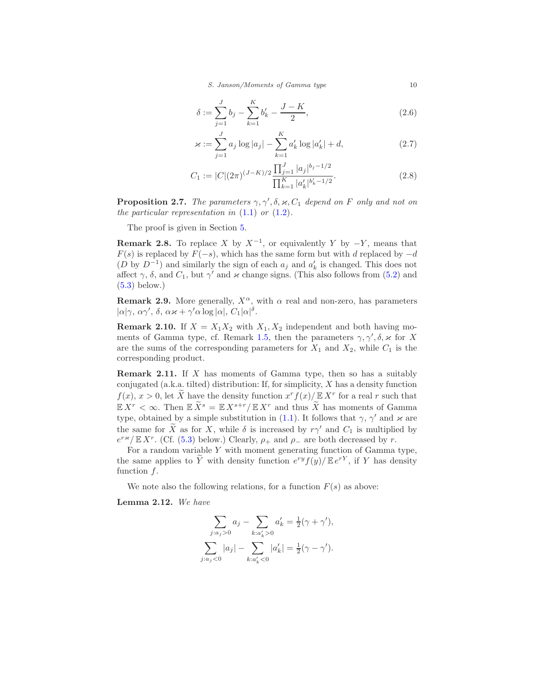S. Janson/Moments of Gamma type 10

$$
\delta := \sum_{j=1}^{J} b_j - \sum_{k=1}^{K} b'_k - \frac{J - K}{2},\tag{2.6}
$$

$$
\varkappa := \sum_{j=1}^{J} a_j \log |a_j| - \sum_{k=1}^{K} a'_k \log |a'_k| + d,\tag{2.7}
$$

$$
C_1 := |C|(2\pi)^{(J-K)/2} \frac{\prod_{j=1}^J |a_j|^{b_j - 1/2}}{\prod_{k=1}^K |a'_k|^{b'_k - 1/2}}.
$$
\n(2.8)

<span id="page-9-6"></span>**Proposition 2.7.** The parameters  $\gamma$ ,  $\gamma'$ ,  $\delta$ ,  $\varkappa$ ,  $C_1$  depend on F only and not on the particular representation in  $(1.1)$  or  $(1.2)$ .

The proof is given in Section [5.](#page-23-0)

<span id="page-9-2"></span>**Remark 2.8.** To replace X by  $X^{-1}$ , or equivalently Y by  $-Y$ , means that  $F(s)$  is replaced by  $F(-s)$ , which has the same form but with d replaced by  $-d$  $(D \text{ by } D^{-1})$  and similarly the sign of each  $a_j$  and  $a'_k$  is changed. This does not affect  $\gamma$ ,  $\delta$ , and  $C_1$ , but  $\gamma'$  and  $\varkappa$  change signs. (This also follows from [\(5.2\)](#page-23-1) and  $(5.3)$  below.)

<span id="page-9-1"></span>**Remark 2.9.** More generally,  $X^{\alpha}$ , with  $\alpha$  real and non-zero, has parameters  $|\alpha|\gamma$ ,  $\alpha\gamma'$ ,  $\delta$ ,  $\alpha\varkappa + \gamma'\alpha \log |\alpha|$ ,  $C_1|\alpha|\delta$ .

<span id="page-9-3"></span>**Remark 2.10.** If  $X = X_1 X_2$  with  $X_1, X_2$  independent and both having mo-ments of Gamma type, cf. Remark [1.5,](#page-1-1) then the parameters  $\gamma$ ,  $\gamma'$ ,  $\delta$ ,  $\varkappa$  for X are the sums of the corresponding parameters for  $X_1$  and  $X_2$ , while  $C_1$  is the corresponding product.

<span id="page-9-0"></span>**Remark 2.11.** If  $X$  has moments of Gamma type, then so has a suitably conjugated (a.k.a. tilted) distribution: If, for simplicity,  $X$  has a density function  $f(x), x > 0$ , let X have the density function  $x^r f(x)/\mathbb{E}[X^r]$  for a real r such that  $\mathbb{E} X^r < \infty$ . Then  $\mathbb{E} \widetilde{X}^s = \mathbb{E} X^{s+r}/\mathbb{E} X^r$  and thus  $\widetilde{X}$  has moments of Gamma type, obtained by a simple substitution in [\(1.1\)](#page-0-1). It follows that  $\gamma$ ,  $\gamma'$  and  $\varkappa$  are the same for  $\widetilde{X}$  as for X, while  $\delta$  is increased by r $\gamma'$  and  $C_1$  is multiplied by  $e^{r \varkappa}/\mathbb{E} X^r$ . (Cf. [\(5.3\)](#page-23-2) below.) Clearly,  $\rho_+$  and  $\rho_-$  are both decreased by r.

For a random variable  $Y$  with moment generating function of Gamma type, the same applies to  $\overline{Y}$  with density function  $e^{ry}f(y)/\mathbb{E}e^{rY}$ , if Y has density function  $f$ .

We note also the following relations, for a function  $F(s)$  as above:

<span id="page-9-4"></span>Lemma 2.12. We have

$$
\sum_{j:a_j>0} a_j - \sum_{k:a'_k>0} a'_k = \frac{1}{2}(\gamma + \gamma'),
$$
  

$$
\sum_{j:a_j<0} |a_j| - \sum_{k:a'_k<0} |a'_k| = \frac{1}{2}(\gamma - \gamma').
$$

<span id="page-9-5"></span>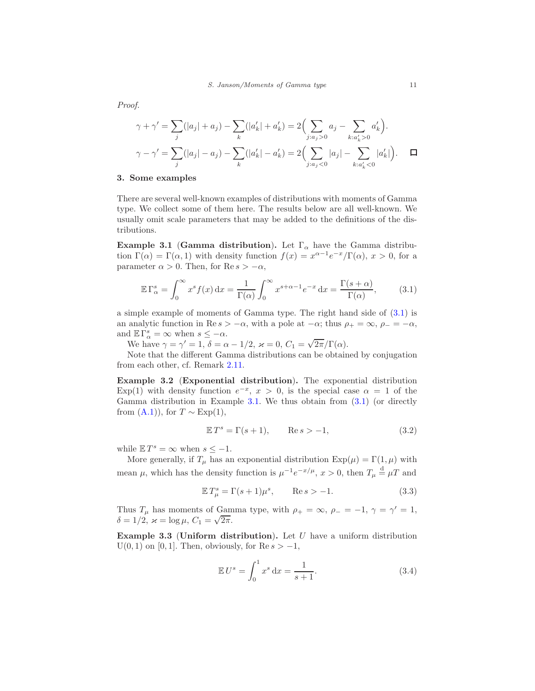$$
\gamma + \gamma' = \sum_{j} (|a_j| + a_j) - \sum_{k} (|a'_k| + a'_k) = 2 \Big( \sum_{j:a_j>0} a_j - \sum_{k:a'_k>0} a'_k \Big).
$$
  

$$
\gamma - \gamma' = \sum_{j} (|a_j| - a_j) - \sum_{k} (|a'_k| - a'_k) = 2 \Big( \sum_{j:a_j<0} |a_j| - \sum_{k:a'_k<0} |a'_k| \Big).
$$

# <span id="page-10-0"></span>3. Some examples

There are several well-known examples of distributions with moments of Gamma type. We collect some of them here. The results below are all well-known. We usually omit scale parameters that may be added to the definitions of the distributions.

<span id="page-10-2"></span>Example 3.1 (Gamma distribution). Let  $\Gamma_{\alpha}$  have the Gamma distribution  $\Gamma(\alpha) = \Gamma(\alpha, 1)$  with density function  $f(x) = x^{\alpha-1}e^{-x}/\Gamma(\alpha)$ ,  $x > 0$ , for a parameter  $\alpha > 0$ . Then, for Re  $s > -\alpha$ ,

<span id="page-10-1"></span>
$$
\mathbb{E}\,\Gamma^s_{\alpha} = \int_0^{\infty} x^s f(x) \,\mathrm{d}x = \frac{1}{\Gamma(\alpha)} \int_0^{\infty} x^{s+\alpha-1} e^{-x} \,\mathrm{d}x = \frac{\Gamma(s+\alpha)}{\Gamma(\alpha)},\tag{3.1}
$$

a simple example of moments of Gamma type. The right hand side of [\(3.1\)](#page-10-1) is an analytic function in Re  $s > -\alpha$ , with a pole at  $-\alpha$ ; thus  $\rho_+ = \infty$ ,  $\rho_- = -\alpha$ , and  $\mathbb{E}\Gamma^s_\alpha = \infty$  when  $s \leq -\alpha$ .

We have  $\gamma = \gamma' = 1$ ,  $\delta = \alpha - 1/2$ ,  $\varkappa = 0$ ,  $C_1 = \sqrt{2\pi}/\Gamma(\alpha)$ .

Note that the different Gamma distributions can be obtained by conjugation from each other, cf. Remark [2.11.](#page-9-0)

<span id="page-10-6"></span>Example 3.2 (Exponential distribution). The exponential distribution Exp(1) with density function  $e^{-x}$ ,  $x > 0$ , is the special case  $\alpha = 1$  of the Gamma distribution in Example [3.1.](#page-10-2) We thus obtain from  $(3.1)$  (or directly from  $(A.1)$ ), for  $T \sim Exp(1)$ ,

<span id="page-10-7"></span>
$$
\mathbb{E}T^s = \Gamma(s+1), \qquad \text{Re}\,s > -1,\tag{3.2}
$$

while  $\mathbb{E} T^s = \infty$  when  $s \leq -1$ .

More generally, if  $T_{\mu}$  has an exponential distribution  $Exp(\mu) = \Gamma(1, \mu)$  with mean  $\mu$ , which has the density function is  $\mu^{-1}e^{-x/\mu}$ ,  $x > 0$ , then  $T_{\mu} \stackrel{d}{=} \mu T$  and

<span id="page-10-5"></span>
$$
\mathbb{E}T_{\mu}^{s} = \Gamma(s+1)\mu^{s}, \qquad \text{Re}\,s > -1. \tag{3.3}
$$

Thus  $T_{\mu}$  has moments of Gamma type, with  $\rho_+ = \infty$ ,  $\rho_- = -1$ ,  $\gamma = \gamma' = 1$ ,  $\delta = 1/2, \ \varkappa = \log \mu, \ C_1 = \sqrt{2\pi}.$ 

<span id="page-10-4"></span>Example 3.3 (Uniform distribution). Let  $U$  have a uniform distribution  $U(0, 1)$  on [0, 1]. Then, obviously, for  $\text{Re } s > -1$ ,

<span id="page-10-3"></span>
$$
\mathbb{E}U^s = \int_0^1 x^s \, \mathrm{d}x = \frac{1}{s+1}.\tag{3.4}
$$

 $\Box$ 

Proof.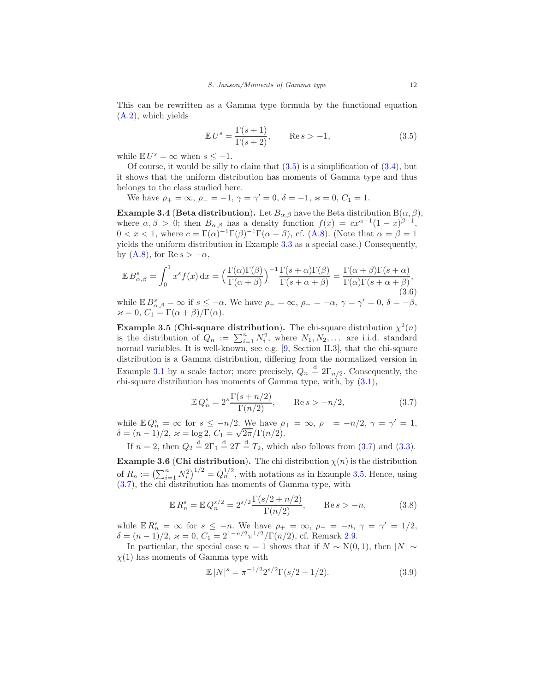This can be rewritten as a Gamma type formula by the functional equation [\(A.2\)](#page-48-4), which yields

<span id="page-11-0"></span>
$$
\mathbb{E}U^s = \frac{\Gamma(s+1)}{\Gamma(s+2)}, \qquad \text{Re}\,s > -1,\tag{3.5}
$$

while  $\mathbb{E} U^s = \infty$  when  $s \leq -1$ .

Of course, it would be silly to claim that  $(3.5)$  is a simplification of  $(3.4)$ , but it shows that the uniform distribution has moments of Gamma type and thus belongs to the class studied here.

We have  $\rho_+ = \infty$ ,  $\rho_- = -1$ ,  $\gamma = \gamma' = 0$ ,  $\delta = -1$ ,  $\varkappa = 0$ ,  $C_1 = 1$ .

<span id="page-11-4"></span>**Example 3.4 (Beta distribution).** Let  $B_{\alpha,\beta}$  have the Beta distribution  $B(\alpha,\beta)$ , where  $\alpha, \beta > 0$ ; then  $B_{\alpha,\beta}$  has a density function  $f(x) = cx^{\alpha-1}(1-x)^{\beta-1}$ ,  $0 < x < 1$ , where  $c = \Gamma(\alpha)^{-1}\Gamma(\beta)^{-1}\Gamma(\alpha+\beta)$ , cf. [\(A.8\)](#page-48-5). (Note that  $\alpha = \beta = 1$ ) yields the uniform distribution in Example [3.3](#page-10-4) as a special case.) Consequently, by [\(A.8\)](#page-48-5), for Re  $s > -\alpha$ ,

$$
\mathbb{E} B_{\alpha,\beta}^s = \int_0^1 x^s f(x) dx = \left(\frac{\Gamma(\alpha)\Gamma(\beta)}{\Gamma(\alpha+\beta)}\right)^{-1} \frac{\Gamma(s+\alpha)\Gamma(\beta)}{\Gamma(s+\alpha+\beta)} = \frac{\Gamma(\alpha+\beta)\Gamma(s+\alpha)}{\Gamma(\alpha)\Gamma(s+\alpha+\beta)},
$$
\nwhile

\n
$$
\mathbb{E} B_{\alpha,\beta}^s = \infty \text{ if } s \le -\alpha. \text{ We have } \rho_+ = \infty, \rho_- = -\alpha, \gamma = \gamma' = 0, \delta = -\beta,
$$

while  $\mathbb{E} B_{\alpha,\beta}^s = \infty$  if  $s \leq -\alpha$ . We have  $\rho_+ = \infty$ ,  $\rho_- = -\alpha$ ,  $\gamma = \gamma$  $' = 0, \delta = -\beta,$  $\varkappa = 0, C_1 = \Gamma(\alpha + \beta)/\Gamma(\alpha).$ 

<span id="page-11-2"></span>**Example 3.5** (Chi-square distribution). The chi-square distribution  $\chi^2(n)$ is the distribution of  $Q_n := \sum_{i=1}^n N_i^2$ , where  $N_1, N_2, \ldots$  are i.i.d. standard normal variables. It is well-known, see e.g. [\[9,](#page-49-3) Section II.3], that the chi-square distribution is a Gamma distribution, differing from the normalized version in Example [3.1](#page-10-2) by a scale factor; more precisely,  $Q_n \stackrel{d}{=} 2\Gamma_{n/2}$ . Consequently, the chi-square distribution has moments of Gamma type, with, by [\(3.1\)](#page-10-1),

<span id="page-11-1"></span>
$$
\mathbb{E} Q_n^s = 2^s \frac{\Gamma(s + n/2)}{\Gamma(n/2)}, \qquad \text{Re}\, s > -n/2,\tag{3.7}
$$

while  $\mathbb{E} Q_n^s = \infty$  for  $s \leq -n/2$ . We have  $\rho_+ = \infty$ ,  $\rho_- = -n/2$ ,  $\gamma = \gamma' = 1$ ,  $\delta = (n-1)/2, \ \varkappa = \log 2, \ C_1 = \sqrt{2\pi}/\Gamma(n/2).$ 

If  $n = 2$ , then  $Q_2 \stackrel{d}{=} 2\Gamma_1 \stackrel{d}{=} 2T \stackrel{d}{=} T_2$ , which also follows from  $(3.7)$  and  $(3.3)$ .

<span id="page-11-6"></span>**Example 3.6 (Chi distribution).** The chi distribution  $\chi(n)$  is the distribution of  $R_n := \left(\sum_{i=1}^n N_i^2\right)^{1/2} = Q_n^{1/2}$ , with notations as in Example [3.5.](#page-11-2) Hence, using [\(3.7\)](#page-11-1), the chi distribution has moments of Gamma type, with

<span id="page-11-3"></span>
$$
\mathbb{E} R_n^s = \mathbb{E} Q_n^{s/2} = 2^{s/2} \frac{\Gamma(s/2 + n/2)}{\Gamma(n/2)}, \qquad \text{Re } s > -n,
$$
 (3.8)

while  $\mathbb{E} R_n^s = \infty$  for  $s \leq -n$ . We have  $\rho_+ = \infty$ ,  $\rho_- = -n$ ,  $\gamma = \gamma' = 1/2$ ,  $\delta = (n-1)/2, \, \varkappa = 0, \, C_1 = 2^{1-n/2} \pi^{1/2} / \Gamma(n/2)$ , cf. Remark [2.9.](#page-9-1)

In particular, the special case  $n = 1$  shows that if  $N \sim N(0, 1)$ , then  $|N| \sim$  $\chi(1)$  has moments of Gamma type with

<span id="page-11-5"></span>
$$
\mathbb{E}|N|^{s} = \pi^{-1/2} 2^{s/2} \Gamma(s/2 + 1/2). \tag{3.9}
$$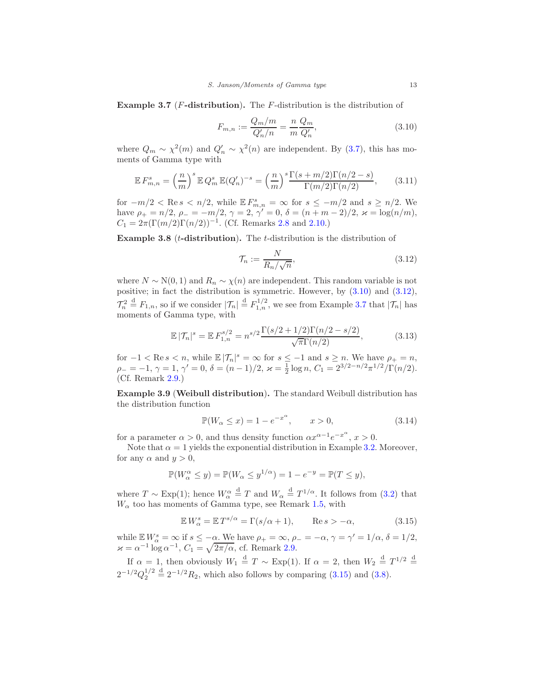<span id="page-12-2"></span>**Example 3.7** ( $F$ -distribution). The  $F$ -distribution is the distribution of

<span id="page-12-0"></span>
$$
F_{m,n} := \frac{Q_m/m}{Q'_n/n} = \frac{n}{m} \frac{Q_m}{Q'_n},
$$
\n(3.10)

where  $Q_m \sim \chi^2(m)$  and  $Q'_n \sim \chi^2(n)$  are independent. By [\(3.7\)](#page-11-1), this has moments of Gamma type with

<span id="page-12-5"></span>
$$
\mathbb{E} F_{m,n}^s = \left(\frac{n}{m}\right)^s \mathbb{E} Q_m^s \mathbb{E} (Q_n')^{-s} = \left(\frac{n}{m}\right)^s \frac{\Gamma(s+m/2)\Gamma(n/2-s)}{\Gamma(m/2)\Gamma(n/2)},\tag{3.11}
$$

for  $-m/2 < \text{Re } s < n/2$ , while  $\mathbb{E} F_{m,n}^s = \infty$  for  $s \le -m/2$  and  $s \ge n/2$ . We have  $\rho_+ = n/2$ ,  $\rho_- = -m/2$ ,  $\gamma = 2$ ,  $\gamma' = 0$ ,  $\delta = (n + m - 2)/2$ ,  $\varkappa = \log(n/m)$ ,  $C_1 = 2\pi \left(\Gamma(m/2)\Gamma(n/2)\right)^{-1}$ . (Cf. Remarks [2.8](#page-9-2) and [2.10.](#page-9-3))

**Example 3.8** ( $t$ -distribution). The  $t$ -distribution is the distribution of

<span id="page-12-1"></span>
$$
\mathcal{T}_n := \frac{N}{R_n / \sqrt{n}},\tag{3.12}
$$

where  $N \sim N(0, 1)$  and  $R_n \sim \chi(n)$  are independent. This random variable is not positive; in fact the distribution is symmetric. However, by [\(3.10\)](#page-12-0) and [\(3.12\)](#page-12-1),  $\mathcal{T}_n^2 \stackrel{d}{=} F_{1,n}$ , so if we consider  $|\mathcal{T}_n| \stackrel{d}{=} F_{1,n}^{1/2}$ , we see from Example [3.7](#page-12-2) that  $|\mathcal{T}_n|$  has moments of Gamma type, with

$$
\mathbb{E}|\mathcal{T}_n|^s = \mathbb{E} F_{1,n}^{s/2} = n^{s/2} \frac{\Gamma(s/2 + 1/2)\Gamma(n/2 - s/2)}{\sqrt{\pi} \Gamma(n/2)},\tag{3.13}
$$

for  $-1 < \text{Re } s < n$ , while  $\mathbb{E} |\mathcal{T}_n|^s = \infty$  for  $s \leq -1$  and  $s \geq n$ . We have  $\rho_+ = n$ ,  $\rho_- = -1, \, \gamma = 1, \, \gamma' = 0, \, \delta = (n-1)/2, \, \varkappa = \frac{1}{2} \log n, \, C_1 = 2^{3/2 - n/2} \pi^{1/2} / \Gamma(n/2).$ (Cf. Remark [2.9.](#page-9-1))

<span id="page-12-4"></span>Example 3.9 (Weibull distribution). The standard Weibull distribution has the distribution function

$$
\mathbb{P}(W_{\alpha} \le x) = 1 - e^{-x^{\alpha}}, \qquad x > 0,
$$
\n(3.14)

for a parameter  $\alpha > 0$ , and thus density function  $\alpha x^{\alpha-1}e^{-x^{\alpha}}$ ,  $x > 0$ .

Note that  $\alpha = 1$  yields the exponential distribution in Example [3.2.](#page-10-6) Moreover, for any  $\alpha$  and  $y > 0$ ,

$$
\mathbb{P}(W_{\alpha}^{\alpha} \le y) = \mathbb{P}(W_{\alpha} \le y^{1/\alpha}) = 1 - e^{-y} = \mathbb{P}(T \le y),
$$

where  $T \sim \text{Exp}(1)$ ; hence  $W_{\alpha}^{\alpha} \stackrel{d}{=} T$  and  $W_{\alpha} \stackrel{d}{=} T^{1/\alpha}$ . It follows from [\(3.2\)](#page-10-7) that  $W_{\alpha}$  too has moments of Gamma type, see Remark [1.5,](#page-1-1) with

<span id="page-12-3"></span>
$$
\mathbb{E} W_{\alpha}^{s} = \mathbb{E} T^{s/\alpha} = \Gamma(s/\alpha + 1), \qquad \text{Re}\, s > -\alpha,
$$
 (3.15)

while  $\mathbb{E} W_{\alpha}^{s} = \infty$  if  $s \leq -\alpha$ . We have  $\rho_{+} = \infty$ ,  $\rho_{-} = -\alpha$ ,  $\gamma = \gamma' = 1/\alpha$ ,  $\delta = 1/2$ ,  $\varkappa = \alpha^{-1} \log \alpha^{-1}$ ,  $C_1 = \sqrt{2\pi/\alpha}$ , cf. Remark [2.9.](#page-9-1)

If  $\alpha = 1$ , then obviously  $W_1 \stackrel{d}{=} T \sim \text{Exp}(1)$ . If  $\alpha = 2$ , then  $W_2 \stackrel{d}{=} T^{1/2} \stackrel{d}{=}$  $2^{-1/2}Q_2^{1/2} \stackrel{\rm d}{=} 2^{-1/2}R_2$ , which also follows by comparing [\(3.15\)](#page-12-3) and [\(3.8\)](#page-11-3).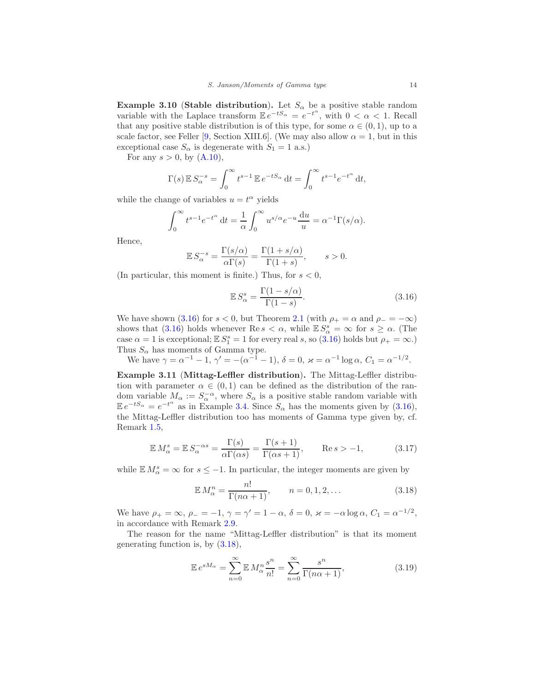<span id="page-13-5"></span>**Example 3.10 (Stable distribution).** Let  $S_\alpha$  be a positive stable random variable with the Laplace transform  $\mathbb{E}e^{-tS_{\alpha}} = e^{-t^{\alpha}}$ , with  $0 < \alpha < 1$ . Recall that any positive stable distribution is of this type, for some  $\alpha \in (0,1)$ , up to a scale factor, see Feller [\[9,](#page-49-3) Section XIII.6]. (We may also allow  $\alpha = 1$ , but in this exceptional case  $S_{\alpha}$  is degenerate with  $S_1 = 1$  a.s.)

For any  $s > 0$ , by  $(A.10)$ ,

$$
\Gamma(s) \mathbb{E} S_{\alpha}^{-s} = \int_0^{\infty} t^{s-1} \mathbb{E} e^{-tS_{\alpha}} dt = \int_0^{\infty} t^{s-1} e^{-t^{\alpha}} dt,
$$

while the change of variables  $u = t^{\alpha}$  yields

$$
\int_0^\infty t^{s-1} e^{-t^\alpha} dt = \frac{1}{\alpha} \int_0^\infty u^{s/\alpha} e^{-u} \frac{du}{u} = \alpha^{-1} \Gamma(s/\alpha).
$$

Hence,

$$
\mathbb{E} S_{\alpha}^{-s} = \frac{\Gamma(s/\alpha)}{\alpha \Gamma(s)} = \frac{\Gamma(1+s/\alpha)}{\Gamma(1+s)}, \qquad s > 0.
$$

(In particular, this moment is finite.) Thus, for  $s < 0$ ,

<span id="page-13-0"></span>
$$
\mathbb{E}S_{\alpha}^{s} = \frac{\Gamma(1 - s/\alpha)}{\Gamma(1 - s)}.
$$
\n(3.16)

We have shown [\(3.16\)](#page-13-0) for  $s < 0$ , but Theorem [2.1](#page-6-0) (with  $\rho_+ = \alpha$  and  $\rho_- = -\infty$ ) shows that [\(3.16\)](#page-13-0) holds whenever Re  $s < \alpha$ , while  $\mathbb{E} S_{\alpha}^s = \infty$  for  $s \geq \alpha$ . (The case  $\alpha = 1$  is exceptional;  $\mathbb{E} S_1^s = 1$  for every real s, so [\(3.16\)](#page-13-0) holds but  $\rho_+ = \infty$ .) Thus  $S_{\alpha}$  has moments of Gamma type.

We have  $\gamma = \alpha^{-1} - 1$ ,  $\gamma' = -(\alpha^{-1} - 1)$ ,  $\delta = 0$ ,  $\varkappa = \alpha^{-1} \log \alpha$ ,  $C_1 = \alpha^{-1/2}$ .

<span id="page-13-4"></span>Example 3.11 (Mittag-Leffler distribution). The Mittag-Leffler distribution with parameter  $\alpha \in (0,1)$  can be defined as the distribution of the random variable  $M_{\alpha} := S_{\alpha}^{-\alpha}$ , where  $S_{\alpha}$  is a positive stable random variable with  $\mathbb{E}e^{-tS_{\alpha}} = e^{-t^{\alpha}}$  as in Example [3.4.](#page-11-4) Since  $S_{\alpha}$  has the moments given by [\(3.16\)](#page-13-0), the Mittag-Leffler distribution too has moments of Gamma type given by, cf. Remark [1.5,](#page-1-1)

<span id="page-13-3"></span>
$$
\mathbb{E} M_{\alpha}^{s} = \mathbb{E} S_{\alpha}^{-\alpha s} = \frac{\Gamma(s)}{\alpha \Gamma(\alpha s)} = \frac{\Gamma(s+1)}{\Gamma(\alpha s+1)}, \qquad \text{Re}\, s > -1,\tag{3.17}
$$

while  $\mathbb{E} M_{\alpha}^{s} = \infty$  for  $s \leq -1$ . In particular, the integer moments are given by

<span id="page-13-1"></span>
$$
\mathbb{E} M_{\alpha}^{n} = \frac{n!}{\Gamma(n\alpha + 1)}, \qquad n = 0, 1, 2, \dots
$$
\n(3.18)

We have  $\rho_+ = \infty$ ,  $\rho_- = -1$ ,  $\gamma = \gamma' = 1 - \alpha$ ,  $\delta = 0$ ,  $\varkappa = -\alpha \log \alpha$ ,  $C_1 = \alpha^{-1/2}$ , in accordance with Remark [2.9.](#page-9-1)

The reason for the name "Mittag-Leffler distribution" is that its moment generating function is, by [\(3.18\)](#page-13-1),

<span id="page-13-2"></span>
$$
\mathbb{E}e^{sM_{\alpha}} = \sum_{n=0}^{\infty} \mathbb{E}M_{\alpha}^{n} \frac{s^{n}}{n!} = \sum_{n=0}^{\infty} \frac{s^{n}}{\Gamma(n\alpha+1)},
$$
\n(3.19)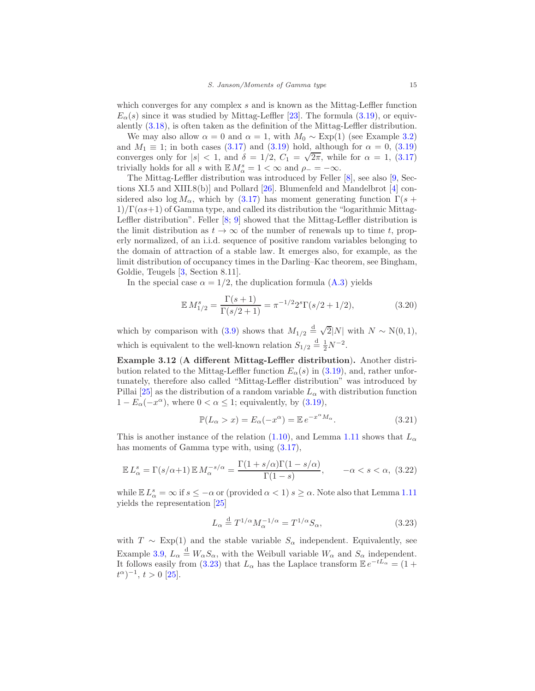which converges for any complex  $s$  and is known as the Mittag-Leffler function  $E_{\alpha}(s)$  since it was studied by Mittag-Leffler [\[23](#page-50-8)]. The formula [\(3.19\)](#page-13-2), or equivalently [\(3.18\)](#page-13-1), is often taken as the definition of the Mittag-Leffler distribution.

We may also allow  $\alpha = 0$  and  $\alpha = 1$ , with  $M_0 \sim \text{Exp}(1)$  (see Example [3.2\)](#page-10-6) and  $M_1 \equiv 1$ ; in both cases [\(3.17\)](#page-13-3) and [\(3.19\)](#page-13-2) hold, although for  $\alpha = 0$ , (3.19) converges only for  $|s| < 1$ , and  $\delta = 1/2$ ,  $C_1 = \sqrt{2\pi}$ , while for  $\alpha = 1$ , [\(3.17\)](#page-13-3) trivially holds for all s with  $\mathbb{E} M_{\alpha}^{s} = 1 < \infty$  and  $\rho_{-} = -\infty$ .

The Mittag-Leffler distribution was introduced by Feller [\[8](#page-49-4)], see also [\[9,](#page-49-3) Sec-tions XI.5 and XIII.8(b)] and Pollard [\[26\]](#page-50-9). Blumenfeld and Mandelbrot [\[4](#page-49-5)] considered also log  $M_{\alpha}$ , which by [\(3.17\)](#page-13-3) has moment generating function  $\Gamma(s +$  $1)/\Gamma(\alpha s+1)$  of Gamma type, and called its distribution the "logarithmic Mittag-Leffler distribution". Feller  $[8; 9]$  $[8; 9]$  $[8; 9]$  showed that the Mittag-Leffler distribution is the limit distribution as  $t \to \infty$  of the number of renewals up to time t, properly normalized, of an i.i.d. sequence of positive random variables belonging to the domain of attraction of a stable law. It emerges also, for example, as the limit distribution of occupancy times in the Darling–Kac theorem, see Bingham, Goldie, Teugels [\[3,](#page-49-6) Section 8.11].

In the special case  $\alpha = 1/2$ , the duplication formula  $(A.3)$  yields

$$
\mathbb{E} M_{1/2}^s = \frac{\Gamma(s+1)}{\Gamma(s/2+1)} = \pi^{-1/2} 2^s \Gamma(s/2+1/2),\tag{3.20}
$$

which by comparison with [\(3.9\)](#page-11-5) shows that  $M_{1/2} \stackrel{\text{d}}{=} \sqrt{2}|N|$  with  $N \sim N(0, 1)$ , which is equivalent to the well-known relation  $S_{1/2} \stackrel{\rm d}{=} \frac{1}{2}N^{-2}$ .

Example 3.12 (A different Mittag-Leffler distribution). Another distribution related to the Mittag-Leffler function  $E_{\alpha}(s)$  in [\(3.19\)](#page-13-2), and, rather unfortunately, therefore also called "Mittag-Leffler distribution" was introduced by Pillai [\[25](#page-50-10)] as the distribution of a random variable  $L_{\alpha}$  with distribution function  $1 - E_{\alpha}(-x^{\alpha})$ , where  $0 < \alpha \leq 1$ ; equivalently, by  $(3.19)$ ,

$$
\mathbb{P}(L_{\alpha} > x) = E_{\alpha}(-x^{\alpha}) = \mathbb{E} e^{-x^{\alpha} M_{\alpha}}.
$$
\n(3.21)

This is another instance of the relation [\(1.10\)](#page-4-0), and Lemma [1.11](#page-4-3) shows that  $L_{\alpha}$ has moments of Gamma type with, using  $(3.17)$ ,

$$
\mathbb{E} L_{\alpha}^{s} = \Gamma(s/\alpha + 1) \mathbb{E} M_{\alpha}^{-s/\alpha} = \frac{\Gamma(1 + s/\alpha)\Gamma(1 - s/\alpha)}{\Gamma(1 - s)}, \qquad -\alpha < s < \alpha, \tag{3.22}
$$

while  $\mathbb{E} L^s_\alpha = \infty$  if  $s \leq -\alpha$  or (provided  $\alpha < 1$ )  $s \geq \alpha$ . Note also that Lemma [1.11](#page-4-3) yields the representation [\[25\]](#page-50-10)

<span id="page-14-0"></span>
$$
L_{\alpha} \stackrel{\text{d}}{=} T^{1/\alpha} M_{\alpha}^{-1/\alpha} = T^{1/\alpha} S_{\alpha}, \tag{3.23}
$$

with  $T \sim \text{Exp}(1)$  and the stable variable  $S_\alpha$  independent. Equivalently, see Example [3.9,](#page-12-4)  $L_{\alpha} \stackrel{\text{d}}{=} W_{\alpha} S_{\alpha}$ , with the Weibull variable  $W_{\alpha}$  and  $S_{\alpha}$  independent. It follows easily from [\(3.23\)](#page-14-0) that  $L_{\alpha}$  has the Laplace transform  $\mathbb{E}e^{-tL_{\alpha}} = (1 +$  $(t^{\alpha})^{-1}, t > 0$  [\[25\]](#page-50-10).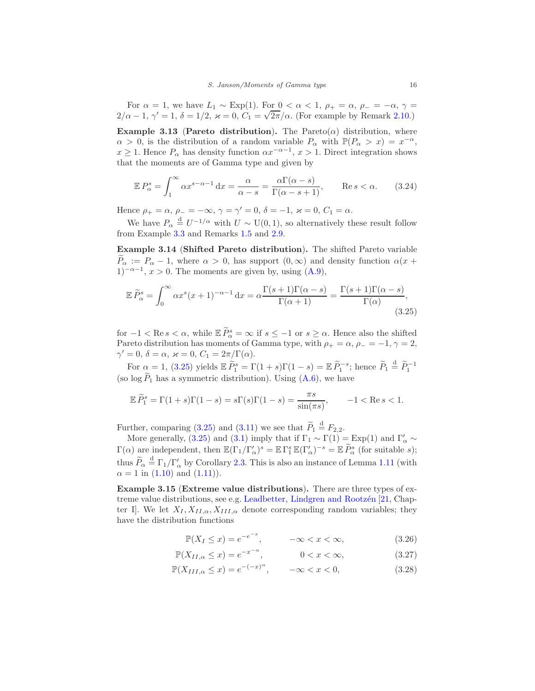For  $\alpha = 1$ , we have  $L_1 \sim \text{Exp}(1)$ . For  $0 < \alpha < 1$ ,  $\rho_+ = \alpha$ ,  $\rho_- = -\alpha$ ,  $\gamma =$  $2/\alpha - 1$ ,  $\gamma' = 1$ ,  $\delta = 1/2$ ,  $\varkappa = 0$ ,  $C_1 = \sqrt{2\pi}/\alpha$ . (For example by Remark [2.10.](#page-9-3))

<span id="page-15-5"></span>Example 3.13 (Pareto distribution). The Pareto $(\alpha)$  distribution, where  $\alpha > 0$ , is the distribution of a random variable  $P_{\alpha}$  with  $\mathbb{P}(P_{\alpha} > x) = x^{-\alpha}$ ,  $x \geq 1$ . Hence  $P_{\alpha}$  has density function  $\alpha x^{-\alpha-1}$ ,  $x > 1$ . Direct integration shows that the moments are of Gamma type and given by

<span id="page-15-4"></span>
$$
\mathbb{E}P_{\alpha}^{s} = \int_{1}^{\infty} \alpha x^{s-\alpha-1} dx = \frac{\alpha}{\alpha - s} = \frac{\alpha \Gamma(\alpha - s)}{\Gamma(\alpha - s + 1)}, \qquad \text{Re}\, s < \alpha. \tag{3.24}
$$

Hence  $\rho_{+} = \alpha$ ,  $\rho_{-} = -\infty$ ,  $\gamma = \gamma' = 0$ ,  $\delta = -1$ ,  $\varkappa = 0$ ,  $C_1 = \alpha$ .

We have  $P_{\alpha} \stackrel{\text{d}}{=} U^{-1/\alpha}$  with  $U \sim U(0, 1)$ , so alternatively these result follow from Example [3.3](#page-10-4) and Remarks [1.5](#page-1-1) and [2.9.](#page-9-1)

Example 3.14 (Shifted Pareto distribution). The shifted Pareto variable  $P_{\alpha} := P_{\alpha} - 1$ , where  $\alpha > 0$ , has support  $(0, \infty)$  and density function  $\alpha(x +$  $1)^{-\alpha-1}$ ,  $x > 0$ . The moments are given by, using  $(A.9)$ ,

<span id="page-15-0"></span>
$$
\mathbb{E}\,\widetilde{P}_{\alpha}^{s} = \int_{0}^{\infty} \alpha x^{s} (x+1)^{-\alpha-1} \, \mathrm{d}x = \alpha \frac{\Gamma(s+1)\Gamma(\alpha-s)}{\Gamma(\alpha+1)} = \frac{\Gamma(s+1)\Gamma(\alpha-s)}{\Gamma(\alpha)},\tag{3.25}
$$

for  $-1 < \text{Re } s < \alpha$ , while  $\mathbb{E} \tilde{P}_{\alpha}^{s} = \infty$  if  $s \leq -1$  or  $s \geq \alpha$ . Hence also the shifted Pareto distribution has moments of Gamma type, with  $\rho_+ = \alpha$ ,  $\rho_- = -1$ ,  $\gamma = 2$ ,  $\gamma' = 0, \ \delta = \alpha, \ \varkappa = 0, \ C_1 = 2\pi/\Gamma(\alpha).$ 

For  $\alpha = 1$ , [\(3.25\)](#page-15-0) yields  $\mathbb{E} \widetilde{P}_1^s = \Gamma(1+s)\Gamma(1-s) = \mathbb{E} \widetilde{P}_1^{-s}$ ; hence  $\widetilde{P}_1 \stackrel{d}{=} \widetilde{P}_1^{-1}$ (so  $\log \widetilde{P}_1$  has a symmetric distribution). Using  $(A.6)$ , we have

$$
\mathbb{E}\,\widetilde{P}_1^s = \Gamma(1+s)\Gamma(1-s) = s\Gamma(s)\Gamma(1-s) = \frac{\pi s}{\sin(\pi s)}, \qquad -1 < \text{Re}\,s < 1.
$$

Further, comparing [\(3.25\)](#page-15-0) and [\(3.11\)](#page-12-5) we see that  $\widetilde{P}_1 \stackrel{d}{=} F_{2,2}$ .

More generally, [\(3.25\)](#page-15-0) and [\(3.1\)](#page-10-1) imply that if  $\Gamma_1 \sim \Gamma(1) = \text{Exp}(1)$  and  $\Gamma'_\alpha \sim$  $\Gamma(\alpha)$  are independent, then  $\mathbb{E}(\Gamma_1/\Gamma'_\alpha)^s = \mathbb{E} \Gamma_1^s \mathbb{E}(\Gamma'_\alpha)^{-s} = \mathbb{E} P_\alpha^s$  (for suitable s); thus  $\widetilde{P}_{\alpha} \stackrel{\text{d}}{=} \Gamma_1/\Gamma'_{\alpha}$  by Corollary [2.3.](#page-7-1) This is also an instance of Lemma [1.11](#page-4-3) (with  $\alpha = 1$  in [\(1.10\)](#page-4-0) and [\(1.11\)](#page-4-1)).

Example 3.15 (Extreme value distributions). There are three types of ex-treme value distributions, see e.g. Leadbetter, Lindgren and Rootzén [\[21,](#page-50-11) Chapter I. We let  $X_I, X_{II,\alpha}, X_{III,\alpha}$  denote corresponding random variables; they have the distribution functions

<span id="page-15-3"></span><span id="page-15-2"></span><span id="page-15-1"></span>
$$
\mathbb{P}(X_I \le x) = e^{-e^{-x}}, \qquad -\infty < x < \infty,\tag{3.26}
$$

$$
\mathbb{P}(X_{II,\alpha} \le x) = e^{-x^{-\alpha}}, \qquad 0 < x < \infty,\tag{3.27}
$$

$$
\mathbb{P}(X_{III,\alpha} \le x) = e^{-(-x)^{\alpha}}, \qquad -\infty < x < 0,\tag{3.28}
$$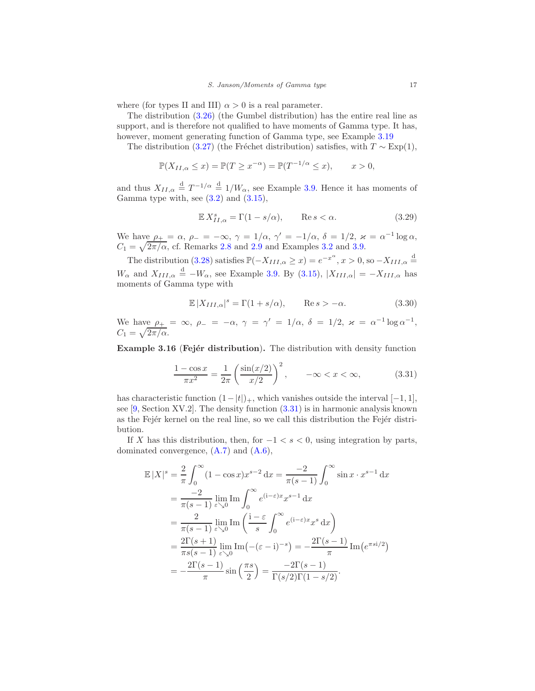where (for types II and III)  $\alpha > 0$  is a real parameter.

The distribution [\(3.26\)](#page-15-1) (the Gumbel distribution) has the entire real line as support, and is therefore not qualified to have moments of Gamma type. It has, however, moment generating function of Gamma type, see Example [3.19](#page-18-1)

The distribution [\(3.27\)](#page-15-2) (the Fréchet distribution) satisfies, with  $T \sim \text{Exp}(1)$ ,

$$
\mathbb{P}(X_{II,\alpha} \le x) = \mathbb{P}(T \ge x^{-\alpha}) = \mathbb{P}(T^{-1/\alpha} \le x), \qquad x > 0,
$$

and thus  $X_{II,\alpha} \stackrel{d}{=} T^{-1/\alpha} \stackrel{d}{=} 1/W_\alpha$ , see Example [3.9.](#page-12-4) Hence it has moments of Gamma type with, see  $(3.2)$  and  $(3.15)$ ,

$$
\mathbb{E} X_{II,\alpha}^s = \Gamma(1 - s/\alpha), \qquad \text{Re}\, s < \alpha. \tag{3.29}
$$

We have  $\rho_+ = \alpha$ ,  $\rho_- = -\infty$ ,  $\gamma = 1/\alpha$ ,  $\gamma' = -1/\alpha$ ,  $\delta = 1/2$ ,  $\varkappa = \alpha^{-1} \log \alpha$ ,  $C_1 = \sqrt{2\pi/\alpha}$ , cf. Remarks [2.8](#page-9-2) and [2.9](#page-9-1) and Examples [3.2](#page-10-6) and [3.9.](#page-12-4)

The distribution [\(3.28\)](#page-15-3) satisfies  $\mathbb{P}(-X_{III,\alpha} \geq x) = e^{-x^{\alpha}}, x > 0$ , so  $-X_{III,\alpha} \stackrel{d}{=}$  $W_{\alpha}$  and  $X_{III,\alpha} \stackrel{\text{d}}{=} -W_{\alpha}$ , see Example [3.9.](#page-12-4) By [\(3.15\)](#page-12-3),  $|X_{III,\alpha}| = -X_{III,\alpha}$  has moments of Gamma type with

$$
\mathbb{E}|X_{III,\alpha}|^s = \Gamma(1+s/\alpha), \qquad \text{Re}\,s > -\alpha. \tag{3.30}
$$

We have  $\rho_+ = \infty$ ,  $\rho_- = -\alpha$ ,  $\gamma = \gamma' = 1/\alpha$ ,  $\delta = 1/2$ ,  $\varkappa = \alpha^{-1} \log \alpha^{-1}$ ,  $C_1 = \sqrt{2\pi/\alpha}.$ 

<span id="page-16-1"></span>Example 3.16 (Fejér distribution). The distribution with density function

<span id="page-16-0"></span>
$$
\frac{1 - \cos x}{\pi x^2} = \frac{1}{2\pi} \left( \frac{\sin(x/2)}{x/2} \right)^2, \qquad -\infty < x < \infty,\tag{3.31}
$$

has characteristic function  $(1-|t|)_+$ , which vanishes outside the interval  $[-1, 1]$ , see  $[9, Section XV.2]$ . The density function  $(3.31)$  is in harmonic analysis known as the Fejer kernel on the real line, so we call this distribution the Fejer distribution.

If X has this distribution, then, for  $-1 < s < 0$ , using integration by parts, dominated convergence, [\(A.7\)](#page-48-9) and [\(A.6\)](#page-48-8),

$$
\mathbb{E}|X|^s = \frac{2}{\pi} \int_0^\infty (1 - \cos x) x^{s-2} dx = \frac{-2}{\pi(s-1)} \int_0^\infty \sin x \cdot x^{s-1} dx
$$
  
\n
$$
= \frac{-2}{\pi(s-1)} \lim_{\varepsilon \searrow 0} \text{Im} \int_0^\infty e^{(i-\varepsilon)x} x^{s-1} dx
$$
  
\n
$$
= \frac{2}{\pi(s-1)} \lim_{\varepsilon \searrow 0} \text{Im} \left( \frac{i-\varepsilon}{s} \int_0^\infty e^{(i-\varepsilon)x} x^s dx \right)
$$
  
\n
$$
= \frac{2\Gamma(s+1)}{\pi(s-1)} \lim_{\varepsilon \searrow 0} \text{Im} \left( -(\varepsilon - i)^{-s} \right) = -\frac{2\Gamma(s-1)}{\pi} \text{Im} \left( e^{\pi s i/2} \right)
$$
  
\n
$$
= -\frac{2\Gamma(s-1)}{\pi} \sin \left( \frac{\pi s}{2} \right) = \frac{-2\Gamma(s-1)}{\Gamma(s/2)\Gamma(1-s/2)}.
$$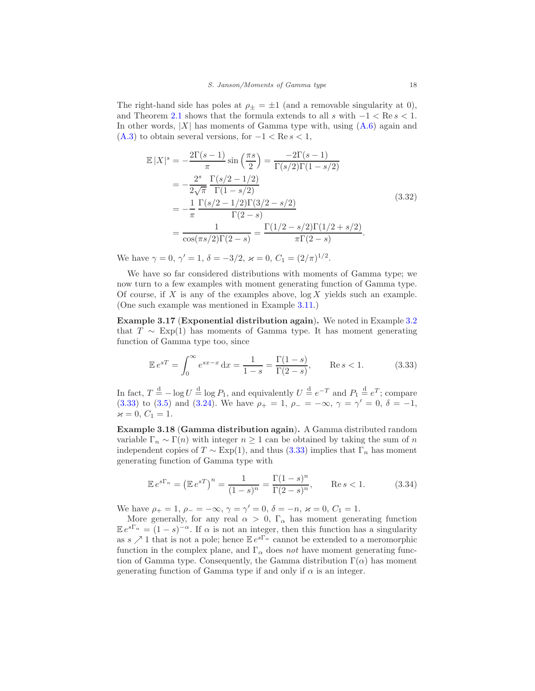The right-hand side has poles at  $\rho_{\pm} = \pm 1$  (and a removable singularity at 0), and Theorem [2.1](#page-6-0) shows that the formula extends to all s with  $-1 < \text{Re } s < 1$ . In other words,  $|X|$  has moments of Gamma type with, using  $(A.6)$  again and  $(A.3)$  to obtain several versions, for  $-1 < \text{Re } s < 1$ ,

$$
\mathbb{E}|X|^s = -\frac{2\Gamma(s-1)}{\pi} \sin\left(\frac{\pi s}{2}\right) = \frac{-2\Gamma(s-1)}{\Gamma(s/2)\Gamma(1-s/2)}
$$

$$
= -\frac{2^s}{2\sqrt{\pi}} \frac{\Gamma(s/2 - 1/2)}{\Gamma(1-s/2)}
$$

$$
= -\frac{1}{\pi} \frac{\Gamma(s/2 - 1/2)\Gamma(3/2 - s/2)}{\Gamma(2-s)}
$$

$$
= \frac{1}{\cos(\pi s/2)\Gamma(2-s)} = \frac{\Gamma(1/2 - s/2)\Gamma(1/2 + s/2)}{\pi\Gamma(2-s)}.
$$
(3.32)

We have  $\gamma = 0$ ,  $\gamma' = 1$ ,  $\delta = -3/2$ ,  $\varkappa = 0$ ,  $C_1 = (2/\pi)^{1/2}$ .

We have so far considered distributions with moments of Gamma type; we now turn to a few examples with moment generating function of Gamma type. Of course, if X is any of the examples above,  $log X$  yields such an example. (One such example was mentioned in Example [3.11.](#page-13-4))

Example 3.17 (Exponential distribution again). We noted in Example [3.2](#page-10-6) that  $T \sim \text{Exp}(1)$  has moments of Gamma type. It has moment generating function of Gamma type too, since

<span id="page-17-0"></span>
$$
\mathbb{E}e^{sT} = \int_0^\infty e^{sx-x} dx = \frac{1}{1-s} = \frac{\Gamma(1-s)}{\Gamma(2-s)}, \qquad \text{Re}\, s < 1. \tag{3.33}
$$

In fact,  $T \stackrel{\text{d}}{=} -\log U \stackrel{\text{d}}{=} \log P_1$ , and equivalently  $U \stackrel{\text{d}}{=} e^{-T}$  and  $P_1 \stackrel{\text{d}}{=} e^T$ ; compare [\(3.33\)](#page-17-0) to [\(3.5\)](#page-11-0) and [\(3.24\)](#page-15-4). We have  $\rho_+ = 1$ ,  $\rho_- = -\infty$ ,  $\gamma = \gamma' = 0$ ,  $\delta = -1$ ,  $\varkappa = 0, C_1 = 1.$ 

<span id="page-17-1"></span>Example 3.18 (Gamma distribution again). A Gamma distributed random variable  $\Gamma_n \sim \Gamma(n)$  with integer  $n \geq 1$  can be obtained by taking the sum of n independent copies of  $T \sim \text{Exp}(1)$ , and thus [\(3.33\)](#page-17-0) implies that  $\Gamma_n$  has moment generating function of Gamma type with

$$
\mathbb{E}e^{s\Gamma_n} = \left(\mathbb{E}e^{sT}\right)^n = \frac{1}{(1-s)^n} = \frac{\Gamma(1-s)^n}{\Gamma(2-s)^n}, \qquad \text{Re}\, s < 1. \tag{3.34}
$$

We have  $\rho_+ = 1$ ,  $\rho_- = -\infty$ ,  $\gamma = \gamma' = 0$ ,  $\delta = -n$ ,  $\varkappa = 0$ ,  $C_1 = 1$ .

More generally, for any real  $\alpha > 0$ ,  $\Gamma_{\alpha}$  has moment generating function  $\mathbb{E}e^{s\Gamma_{\alpha}} = (1-s)^{-\alpha}$ . If  $\alpha$  is not an integer, then this function has a singularity as  $s \nearrow 1$  that is not a pole; hence  $\mathbb{E} e^{s\Gamma_{\alpha}}$  cannot be extended to a meromorphic function in the complex plane, and  $\Gamma_{\alpha}$  does *not* have moment generating function of Gamma type. Consequently, the Gamma distribution  $\Gamma(\alpha)$  has moment generating function of Gamma type if and only if  $\alpha$  is an integer.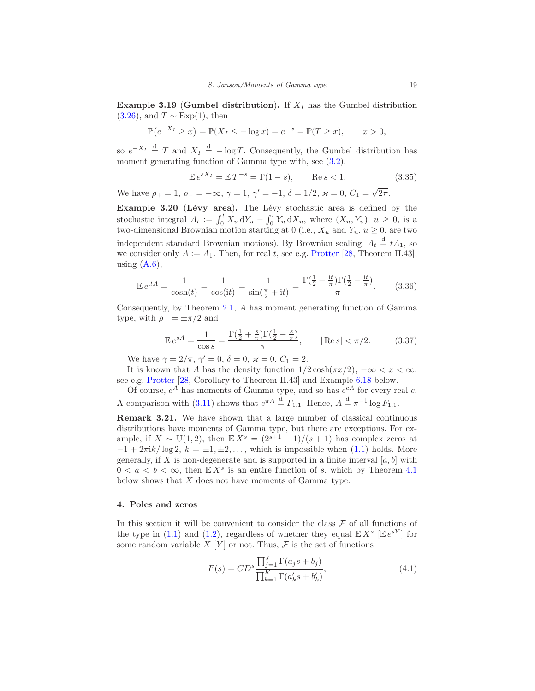<span id="page-18-1"></span>**Example 3.19 (Gumbel distribution).** If  $X_I$  has the Gumbel distribution  $(3.26)$ , and  $T \sim \text{Exp}(1)$ , then

$$
\mathbb{P}(e^{-X_I} \ge x) = \mathbb{P}(X_I \le -\log x) = e^{-x} = \mathbb{P}(T \ge x), \qquad x > 0,
$$

so  $e^{-X_I} \stackrel{d}{=} T$  and  $X_I \stackrel{d}{=} -\log T$ . Consequently, the Gumbel distribution has moment generating function of Gamma type with, see  $(3.2)$ ,

$$
\mathbb{E}e^{sX_I} = \mathbb{E}T^{-s} = \Gamma(1-s), \qquad \text{Re}\,s < 1. \tag{3.35}
$$

We have  $\rho_+ = 1$ ,  $\rho_- = -\infty$ ,  $\gamma = 1$ ,  $\gamma' = -1$ ,  $\delta = 1/2$ ,  $\varkappa = 0$ ,  $C_1 = \sqrt{2\pi}$ .

<span id="page-18-3"></span>Example 3.20 (Lévy area). The Lévy stochastic area is defined by the stochastic integral  $A_t := \int_0^t X_u dY_u - \int_0^t Y_u dX_u$ , where  $(X_u, Y_u)$ ,  $u \ge 0$ , is a two-dimensional Brownian motion starting at 0 (i.e.,  $X_u$  and  $Y_u$ ,  $u \ge 0$ , are two independent standard Brownian motions). By Brownian scaling,  $A_t \stackrel{d}{=} tA_1$ , so we consider only  $A := A_1$ . Then, for real t, see e.g. [Protter](#page-50-12) [\[28,](#page-50-12) Theorem II.43], using  $(A.6)$ ,

$$
\mathbb{E} e^{\mathrm{i}tA} = \frac{1}{\cosh(t)} = \frac{1}{\cos(\mathrm{i}t)} = \frac{1}{\sin(\frac{\pi}{2} + \mathrm{i}t)} = \frac{\Gamma(\frac{1}{2} + \frac{\mathrm{i}t}{\pi})\Gamma(\frac{1}{2} - \frac{\mathrm{i}t}{\pi})}{\pi}.
$$
 (3.36)

Consequently, by Theorem [2.1,](#page-6-0) A has moment generating function of Gamma type, with  $\rho_{\pm} = \pm \pi/2$  and

<span id="page-18-4"></span>
$$
\mathbb{E}e^{sA} = \frac{1}{\cos s} = \frac{\Gamma(\frac{1}{2} + \frac{s}{\pi})\Gamma(\frac{1}{2} - \frac{s}{\pi})}{\pi}, \qquad |\text{Re } s| < \pi/2. \tag{3.37}
$$

We have  $\gamma = 2/\pi$ ,  $\gamma' = 0$ ,  $\delta = 0$ ,  $\varkappa = 0$ ,  $C_1 = 2$ .

It is known that A has the density function  $1/2 \cosh(\pi x/2)$ ,  $-\infty < x < \infty$ , see e.g. [Protter](#page-50-12) [\[28,](#page-50-12) Corollary to Theorem II.43] and Example [6.18](#page-37-0) below.

Of course,  $e^A$  has moments of Gamma type, and so has  $e^{cA}$  for every real c. A comparison with [\(3.11\)](#page-12-5) shows that  $e^{\pi A} \stackrel{d}{=} F_{1,1}$ . Hence,  $A \stackrel{d}{=} \pi^{-1} \log F_{1,1}$ .

Remark 3.21. We have shown that a large number of classical continuous distributions have moments of Gamma type, but there are exceptions. For example, if  $X \sim U(1, 2)$ , then  $\mathbb{E} X^s = (2^{s+1} - 1)/(s+1)$  has complex zeros at  $-1 + 2\pi i k / \log 2$ ,  $k = \pm 1, \pm 2, \ldots$ , which is impossible when [\(1.1\)](#page-0-1) holds. More generally, if X is non-degenerate and is supported in a finite interval  $[a, b]$  with  $0 < a < b < \infty$ , then  $\mathbb{E} X^s$  is an entire function of s, which by Theorem [4.1](#page-20-0) below shows that X does not have moments of Gamma type.

# <span id="page-18-0"></span>4. Poles and zeros

In this section it will be convenient to consider the class  $\mathcal F$  of all functions of the type in [\(1.1\)](#page-0-1) and [\(1.2\)](#page-0-2), regardless of whether they equal  $\mathbb{E} X^s$   $[\mathbb{E} e^{sY}]$  for some random variable  $X[Y]$  or not. Thus,  $\mathcal F$  is the set of functions

<span id="page-18-2"></span>
$$
F(s) = CD^{s} \frac{\prod_{j=1}^{J} \Gamma(a_{j}s + b_{j})}{\prod_{k=1}^{K} \Gamma(a'_{k}s + b'_{k})},
$$
\n(4.1)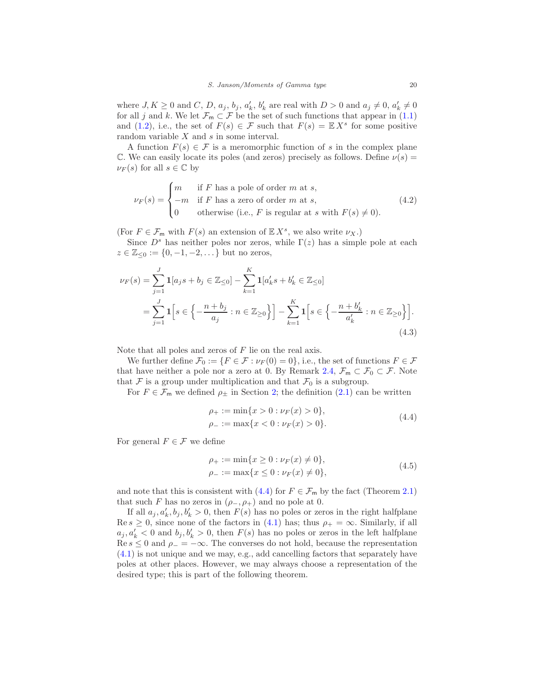where  $J, K \geq 0$  and  $C, D, a_j, b_j, a'_k, b'_k$  are real with  $D > 0$  and  $a_j \neq 0, a'_k \neq 0$ for all j and k. We let  $\mathcal{F}_{m} \subset \mathcal{F}$  be the set of such functions that appear in [\(1.1\)](#page-0-1) and [\(1.2\)](#page-0-2), i.e., the set of  $F(s) \in \mathcal{F}$  such that  $F(s) = \mathbb{E} X^s$  for some positive random variable X and s in some interval.

A function  $F(s) \in \mathcal{F}$  is a meromorphic function of s in the complex plane C. We can easily locate its poles (and zeros) precisely as follows. Define  $\nu(s)$  =  $\nu_F(s)$  for all  $s \in \mathbb{C}$  by

<span id="page-19-3"></span>
$$
\nu_F(s) = \begin{cases}\nm & \text{if } F \text{ has a pole of order } m \text{ at } s, \\
-m & \text{if } F \text{ has a zero of order } m \text{ at } s, \\
0 & \text{otherwise (i.e., } F \text{ is regular at } s \text{ with } F(s) \neq 0).\n\end{cases}
$$
\n(4.2)

(For  $F \in \mathcal{F}_{\mathsf{m}}$  with  $F(s)$  an extension of  $\mathbb{E}[X^s]$ , we also write  $\nu_X$ .)

Since  $D^s$  has neither poles nor zeros, while  $\Gamma(z)$  has a simple pole at each  $z \in \mathbb{Z}_{\leq 0} := \{0, -1, -2, \dots\}$  but no zeros,

<span id="page-19-2"></span>
$$
\nu_F(s) = \sum_{j=1}^J \mathbf{1}[a_j s + b_j \in \mathbb{Z}_{\leq 0}] - \sum_{k=1}^K \mathbf{1}[a'_k s + b'_k \in \mathbb{Z}_{\leq 0}]
$$
  
= 
$$
\sum_{j=1}^J \mathbf{1}\left[s \in \left\{-\frac{n+b_j}{a_j} : n \in \mathbb{Z}_{\geq 0}\right\}\right] - \sum_{k=1}^K \mathbf{1}\left[s \in \left\{-\frac{n+b'_k}{a'_k} : n \in \mathbb{Z}_{\geq 0}\right\}\right].
$$
 (4.3)

Note that all poles and zeros of  $F$  lie on the real axis.

We further define  $\mathcal{F}_0 := \{F \in \mathcal{F} : \nu_F(0) = 0\}$ , i.e., the set of functions  $F \in \mathcal{F}$ that have neither a pole nor a zero at 0. By Remark [2.4,](#page-8-0)  $\mathcal{F}_{m} \subset \mathcal{F}_{0} \subset \mathcal{F}$ . Note that F is a group under multiplication and that  $\mathcal{F}_0$  is a subgroup.

For  $F \in \mathcal{F}_{\mathsf{m}}$  we defined  $\rho_{\pm}$  in Section [2;](#page-6-1) the definition [\(2.1\)](#page-6-2) can be written

<span id="page-19-0"></span>
$$
\rho_{+} := \min\{x > 0 : \nu_{F}(x) > 0\},
$$
  
\n
$$
\rho_{-} := \max\{x < 0 : \nu_{F}(x) > 0\}.
$$
\n(4.4)

For general  $F \in \mathcal{F}$  we define

<span id="page-19-1"></span>
$$
\rho_{+} := \min\{x \ge 0 : \nu_{F}(x) \ne 0\}, \n\rho_{-} := \max\{x \le 0 : \nu_{F}(x) \ne 0\},
$$
\n(4.5)

and note that this is consistent with [\(4.4\)](#page-19-0) for  $F \in \mathcal{F}_{\mathsf{m}}$  by the fact (Theorem [2.1\)](#page-6-0) that such F has no zeros in  $(\rho_-, \rho_+)$  and no pole at 0.

If all  $a_j, a'_k, b_j, b'_k > 0$ , then  $F(s)$  has no poles or zeros in the right halfplane  $\text{Re } s \geq 0$ , since none of the factors in [\(4.1\)](#page-18-2) has; thus  $\rho_+ = \infty$ . Similarly, if all  $a_j, a'_k < 0$  and  $b_j, b'_k > 0$ , then  $F(s)$  has no poles or zeros in the left halfplane Re s ≤ 0 and  $\rho$  =  $-\infty$ . The converses do not hold, because the representation [\(4.1\)](#page-18-2) is not unique and we may, e.g., add cancelling factors that separately have poles at other places. However, we may always choose a representation of the desired type; this is part of the following theorem.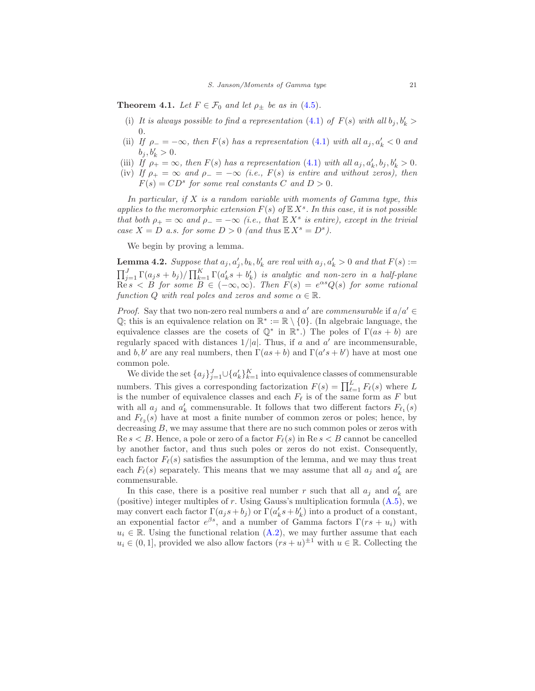<span id="page-20-2"></span><span id="page-20-0"></span>**Theorem 4.1.** Let  $F \in \mathcal{F}_0$  and let  $\rho_{\pm}$  be as in [\(4.5\)](#page-19-1).

- <span id="page-20-3"></span>(i) It is always possible to find a representation [\(4.1\)](#page-18-2) of  $F(s)$  with all  $b_j, b'_k >$ 0.
- (ii) If  $\rho_{-} = -\infty$ , then  $F(s)$  has a representation [\(4.1\)](#page-18-2) with all  $a_j, a'_k < 0$  and  $b_j, b'_k > 0.$
- <span id="page-20-5"></span><span id="page-20-1"></span>(iii) If  $\rho_+ = \infty$ , then  $F(s)$  has a representation [\(4.1\)](#page-18-2) with all  $a_j, a'_k, b_j, b'_k > 0$ .
- (iv) If  $\rho_+ = \infty$  and  $\rho_- = -\infty$  (i.e.,  $F(s)$  is entire and without zeros), then  $F(s) = CD^s$  for some real constants C and  $D > 0$ .

In particular, if  $X$  is a random variable with moments of Gamma type, this applies to the meromorphic extension  $F(s)$  of  $\mathbb{E} X^s$ . In this case, it is not possible that both  $\rho_+ = \infty$  and  $\rho_- = -\infty$  (i.e., that  $\mathbb{E}[X^s]$  is entire), except in the trivial case  $X = D$  a.s. for some  $D > 0$  (and thus  $\mathbb{E} X^s = D^s$ ).

We begin by proving a lemma.

<span id="page-20-4"></span>**Lemma 4.2.** Suppose that  $a_j, a'_j, b_k, b'_k$  are real with  $a_j, a'_k > 0$  and that  $F(s) :=$  $\prod_{j=1}^{J}\Gamma(a_j s + b_j) / \prod_{k=1}^{K}\Gamma(a'_k s + b'_k)$  is analytic and non-zero in a half-plane  $\mathop{\mathrm{Re}} s < B$  for some  $B \in (-\infty, \infty)$ . Then  $F(s) = e^{\alpha s} Q(s)$  for some rational function Q with real poles and zeros and some  $\alpha \in \mathbb{R}$ .

*Proof.* Say that two non-zero real numbers a and a' are commensurable if  $a/a' \in$ Q; this is an equivalence relation on  $\mathbb{R}^* := \mathbb{R} \setminus \{0\}$ . (In algebraic language, the equivalence classes are the cosets of  $\mathbb{Q}^*$  in  $\mathbb{R}^*$ .) The poles of  $\Gamma(as + b)$  are regularly spaced with distances  $1/|a|$ . Thus, if a and a' are incommensurable, and b, b' are any real numbers, then  $\Gamma(as+b)$  and  $\Gamma(a's+b')$  have at most one common pole.

We divide the set  $\{a_j\}_{j=1}^J \cup \{a'_k\}_{k=1}^K$  into equivalence classes of commensurable numbers. This gives a corresponding factorization  $F(s) = \prod_{\ell=1}^{L} F_{\ell}(s)$  where L is the number of equivalence classes and each  $F_{\ell}$  is of the same form as F but with all  $a_j$  and  $a'_k$  commensurable. It follows that two different factors  $F_{\ell_1}(s)$ and  $F_{\ell_2}(s)$  have at most a finite number of common zeros or poles; hence, by decreasing  $B$ , we may assume that there are no such common poles or zeros with  $\text{Re } s < B$ . Hence, a pole or zero of a factor  $F_{\ell}(s)$  in  $\text{Re } s < B$  cannot be cancelled by another factor, and thus such poles or zeros do not exist. Consequently, each factor  $F_{\ell}(s)$  satisfies the assumption of the lemma, and we may thus treat each  $F_{\ell}(s)$  separately. This means that we may assume that all  $a_j$  and  $a'_k$  are commensurable.

In this case, there is a positive real number r such that all  $a_j$  and  $a'_k$  are (positive) integer multiples of r. Using Gauss's multiplication formula  $(A.5)$ , we may convert each factor  $\Gamma(a_j s + b_j)$  or  $\Gamma(a'_k s + b'_k)$  into a product of a constant, an exponential factor  $e^{\beta s}$ , and a number of Gamma factors  $\Gamma(rs + u_i)$  with  $u_i \in \mathbb{R}$ . Using the functional relation [\(A.2\)](#page-48-4), we may further assume that each  $u_i \in (0,1]$ , provided we also allow factors  $(rs + u)^{\pm 1}$  with  $u \in \mathbb{R}$ . Collecting the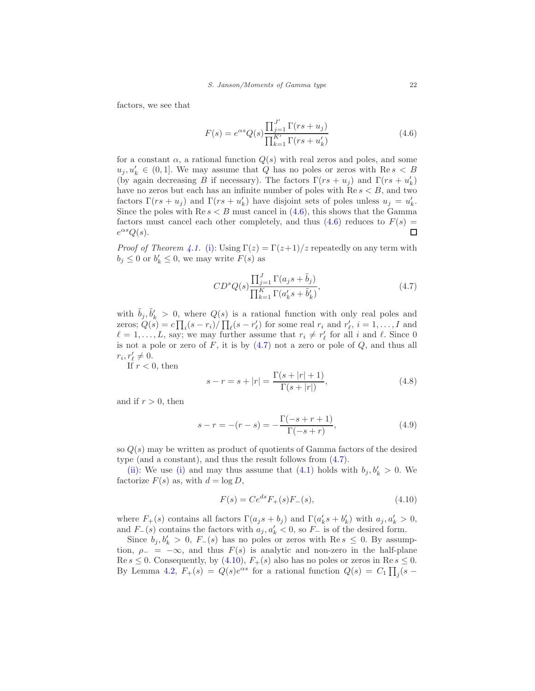factors, we see that

<span id="page-21-0"></span>
$$
F(s) = e^{\alpha s} Q(s) \frac{\prod_{j=1}^{J'} \Gamma(rs + u_j)}{\prod_{k=1}^{K'} \Gamma(rs + u'_k)}
$$
(4.6)

for a constant  $\alpha$ , a rational function  $Q(s)$  with real zeros and poles, and some  $u_j, u'_k \in (0,1]$ . We may assume that Q has no poles or zeros with  $\text{Re } s < B$ (by again decreasing B if necessary). The factors  $\Gamma(rs + u_j)$  and  $\Gamma(rs + u'_k)$ have no zeros but each has an infinite number of poles with  $\text{Re } s < B$ , and two factors  $\Gamma(rs+u_j)$  and  $\Gamma(rs+u'_k)$  have disjoint sets of poles unless  $u_j = u'_k$ . Since the poles with  $\text{Re } s < B$  must cancel in [\(4.6\)](#page-21-0), this shows that the Gamma factors must cancel each other completely, and thus  $(4.6)$  reduces to  $F(s)$  =  $e^{\alpha s}Q(s)$ . □

*Proof of Theorem [4.1.](#page-20-0)* [\(i\):](#page-20-2) Using  $\Gamma(z) = \Gamma(z+1)/z$  repeatedly on any term with  $b_j \leq 0$  or  $b'_k \leq 0$ , we may write  $F(s)$  as

<span id="page-21-1"></span>
$$
CD^s Q(s) \frac{\prod_{j=1}^J \Gamma(a_j s + \tilde{b}_j)}{\prod_{k=1}^K \Gamma(a'_k s + \tilde{b}'_k)},
$$
\n(4.7)

with  $\tilde{b}_j, \tilde{b}'_k > 0$ , where  $Q(s)$  is a rational function with only real poles and zeros;  $Q(s) = c \prod_i (s - r_i) / \prod_{\ell} (s - r'_\ell)$  for some real  $r_i$  and  $r'_\ell$ ,  $i = 1, ..., I$  and  $\ell = 1, \ldots, L$ , say; we may further assume that  $r_i \neq r'_\ell$  for all i and  $\ell$ . Since 0 is not a pole or zero of  $F$ , it is by  $(4.7)$  not a zero or pole of  $Q$ , and thus all  $r_i, r'_\ell \neq 0.$ 

If  $r < 0$ , then

$$
s - r = s + |r| = \frac{\Gamma(s + |r| + 1)}{\Gamma(s + |r|)},
$$
\n(4.8)

and if  $r > 0$ , then

<span id="page-21-3"></span>
$$
s - r = -(r - s) = -\frac{\Gamma(-s + r + 1)}{\Gamma(-s + r)},
$$
\n(4.9)

so  $Q(s)$  may be written as product of quotients of Gamma factors of the desired type (and a constant), and thus the result follows from [\(4.7\)](#page-21-1).

[\(ii\):](#page-20-3) We use [\(i\)](#page-20-2) and may thus assume that [\(4.1\)](#page-18-2) holds with  $b_j, b'_k > 0$ . We factorize  $F(s)$  as, with  $d = \log D$ ,

<span id="page-21-2"></span>
$$
F(s) = Ce^{ds} F_{+}(s) F_{-}(s),
$$
\n(4.10)

where  $F_+(s)$  contains all factors  $\Gamma(a_j s + b_j)$  and  $\Gamma(a'_k s + b'_k)$  with  $a_j, a'_k > 0$ , and  $F_-(s)$  contains the factors with  $a_j, a'_k < 0$ , so  $F_-\$  is of the desired form.

Since  $b_j, b'_k > 0$ ,  $F_-(s)$  has no poles or zeros with Re  $s \leq 0$ . By assumption,  $\rho_- = -\infty$ , and thus  $F(s)$  is analytic and non-zero in the half-plane  $\text{Re } s \leq 0$ . Consequently, by [\(4.10\)](#page-21-2),  $F_+(s)$  also has no poles or zeros in  $\text{Re } s \leq 0$ . By Lemma [4.2,](#page-20-4)  $F_{+}(s) = Q(s)e^{\alpha s}$  for a rational function  $Q(s) = C_1 \prod_j (s -$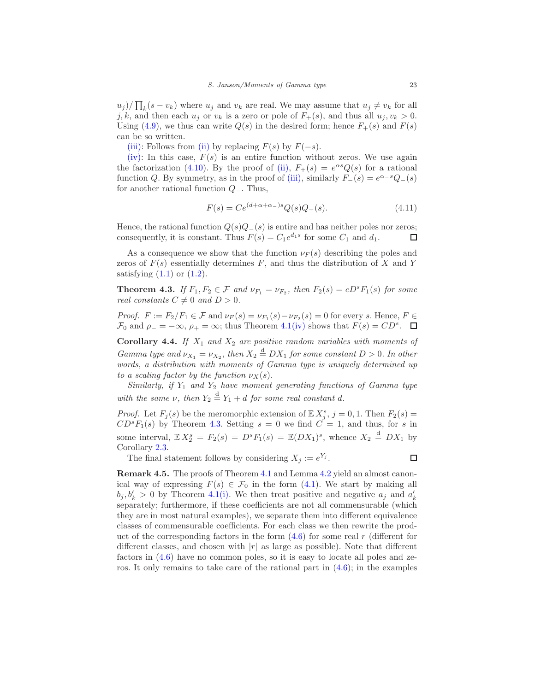$(u_j)/\prod_k(s-v_k)$  where  $u_j$  and  $v_k$  are real. We may assume that  $u_j \neq v_k$  for all j, k, and then each  $u_i$  or  $v_k$  is a zero or pole of  $F_+(s)$ , and thus all  $u_i, v_k > 0$ . Using [\(4.9\)](#page-21-3), we thus can write  $Q(s)$  in the desired form; hence  $F_+(s)$  and  $F(s)$ can be so written.

[\(iii\):](#page-20-5) Follows from [\(ii\)](#page-20-3) by replacing  $F(s)$  by  $F(-s)$ .

[\(iv\):](#page-20-1) In this case,  $F(s)$  is an entire function without zeros. We use again the factorization [\(4.10\)](#page-21-2). By the proof of [\(ii\),](#page-20-3)  $F_+(s) = e^{\alpha s} Q(s)$  for a rational function Q. By symmetry, as in the proof of [\(iii\),](#page-20-5) similarly  $F_-(s) = e^{\alpha - s} Q_-(s)$ for another rational function Q−. Thus,

$$
F(s) = Ce^{(d+\alpha+\alpha-s)}Q(s)Q_{-}(s).
$$
 (4.11)

Hence, the rational function  $Q(s)Q_-(s)$  is entire and has neither poles nor zeros;<br>consequently, it is constant. Thus  $F(s) = C_1 e^{d_1 s}$  for some  $C_1$  and  $d_1$ . consequently, it is constant. Thus  $F(s) = C_1 e^{d_1 s}$  for some  $C_1$  and  $d_1$ .

As a consequence we show that the function  $\nu_F(s)$  describing the poles and zeros of  $F(s)$  essentially determines F, and thus the distribution of X and Y satisfying  $(1.1)$  or  $(1.2)$ .

<span id="page-22-1"></span>**Theorem 4.3.** If  $F_1, F_2 \in \mathcal{F}$  and  $\nu_{F_1} = \nu_{F_2}$ , then  $F_2(s) = cD^sF_1(s)$  for some real constants  $C \neq 0$  and  $D > 0$ .

Proof.  $F := F_2/F_1 \in \mathcal{F}$  and  $\nu_F(s) = \nu_{F_1}(s) - \nu_{F_2}(s) = 0$  for every s. Hence,  $F \in \mathcal{F}$  $\mathcal{F}_0$  and  $\rho_- = -\infty$ ,  $\rho_+ = \infty$ ; thus Theorem [4.1](#page-20-0)[\(iv\)](#page-20-1) shows that  $F(s) = CD^s$ .

Corollary 4.4. If  $X_1$  and  $X_2$  are positive random variables with moments of Gamma type and  $\nu_{X_1} = \nu_{X_2}$ , then  $X_2 \stackrel{d}{=} DX_1$  for some constant  $D > 0$ . In other words, a distribution with moments of Gamma type is uniquely determined up to a scaling factor by the function  $\nu_X(s)$ .

Similarly, if  $Y_1$  and  $Y_2$  have moment generating functions of Gamma type with the same  $\nu$ , then  $Y_2 \stackrel{d}{=} Y_1 + d$  for some real constant d.

*Proof.* Let  $F_j(s)$  be the meromorphic extension of  $\mathbb{E} X_j^s$ ,  $j = 0, 1$ . Then  $F_2(s) =$  $CD<sup>s</sup>F<sub>1</sub>(s)$  by Theorem [4.3.](#page-22-1) Setting  $s = 0$  we find  $C = 1$ , and thus, for s in some interval,  $\mathbb{E} X_2^s = F_2(s) = D^s F_1(s) = \mathbb{E}(DX_1)^s$ , whence  $X_2 \stackrel{d}{=} DX_1$  by Corollary [2.3.](#page-7-1)

The final statement follows by considering  $X_j := e^{Y_j}$ .

$$
\square
$$

<span id="page-22-0"></span>Remark 4.5. The proofs of Theorem [4.1](#page-20-0) and Lemma [4.2](#page-20-4) yield an almost canonical way of expressing  $F(s) \in \mathcal{F}_0$  in the form [\(4.1\)](#page-18-2). We start by making all  $b_j, b'_k > 0$  by Theorem [4.1](#page-20-0)[\(i\).](#page-20-2) We then treat positive and negative  $a_j$  and  $a'_k$ separately; furthermore, if these coefficients are not all commensurable (which they are in most natural examples), we separate them into different equivalence classes of commensurable coefficients. For each class we then rewrite the product of the corresponding factors in the form  $(4.6)$  for some real r (different for different classes, and chosen with  $|r|$  as large as possible). Note that different factors in [\(4.6\)](#page-21-0) have no common poles, so it is easy to locate all poles and zeros. It only remains to take care of the rational part in  $(4.6)$ ; in the examples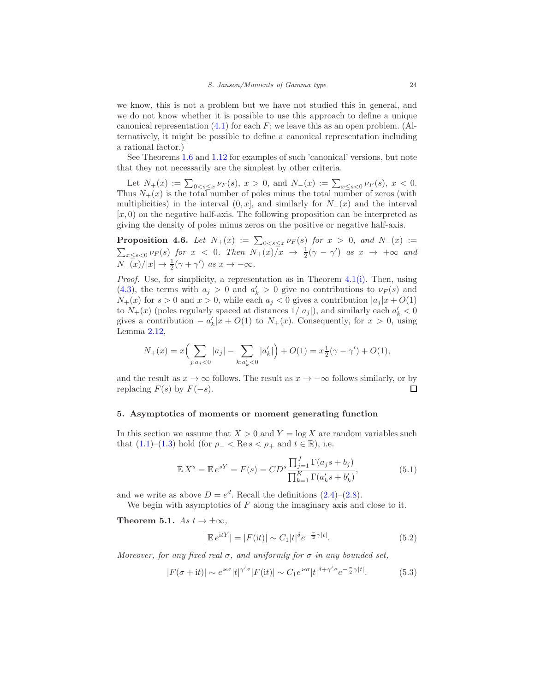we know, this is not a problem but we have not studied this in general, and we do not know whether it is possible to use this approach to define a unique canonical representation  $(4.1)$  for each F; we leave this as an open problem. (Alternatively, it might be possible to define a canonical representation including a rational factor.)

See Theorems [1.6](#page-2-0) and [1.12](#page-5-0) for examples of such 'canonical' versions, but note that they not necessarily are the simplest by other criteria.

Let  $N_+(x) := \sum_{0 \le s \le x} \nu_F(s), x > 0$ , and  $N_-(x) := \sum_{x \le s \le 0} \nu_F(s), x < 0$ . Thus  $N_{+}(x)$  is the total number of poles minus the total number of zeros (with multiplicities) in the interval  $(0, x]$ , and similarly for  $N_-(x)$  and the interval  $[x, 0)$  on the negative half-axis. The following proposition can be interpreted as giving the density of poles minus zeros on the positive or negative half-axis.

<span id="page-23-5"></span>**Proposition 4.6.** Let  $N_+(x) := \sum_{0 < s \leq x} \nu_F(s)$  for  $x > 0$ , and  $N_-(x) :=$  $\sum_{x \le s < 0} \nu_F(s)$  for  $x \le 0$ . Then  $N_+(x)$   $\bar{x} \to \frac{1}{2}(\gamma - \gamma')$  as  $x \to +\infty$  and  $N_-(x)/|x| \to \frac{1}{2}(\gamma + \gamma')$  as  $x \to -\infty$ .

Proof. Use, for simplicity, a representation as in Theorem [4.1](#page-20-0)[\(i\).](#page-20-2) Then, using [\(4.3\)](#page-19-2), the terms with  $a_j > 0$  and  $a'_k > 0$  give no contributions to  $\nu_F(s)$  and  $N_{+}(x)$  for  $s > 0$  and  $x > 0$ , while each  $a_j < 0$  gives a contribution  $|a_j(x + O(1))|$ to  $N_{+}(x)$  (poles regularly spaced at distances  $1/|a_j|$ ), and similarly each  $a'_k < 0$ gives a contribution  $-|a'_k(x+O(1))|$  to  $N_+(x)$ . Consequently, for  $x > 0$ , using Lemma [2.12,](#page-9-4)

$$
N_+(x) = x \Bigl( \sum_{j:a_j<0} |a_j| - \sum_{k:a'_k<0} |a'_k| \Bigr) + O(1) = x \tfrac{1}{2} (\gamma - \gamma') + O(1),
$$

and the result as  $x \to \infty$  follows. The result as  $x \to -\infty$  follows similarly, or by replacing  $F(s)$  by  $F(-s)$ . replacing  $F(s)$  by  $F(-s)$ .

#### <span id="page-23-0"></span>5. Asymptotics of moments or moment generating function

In this section we assume that  $X > 0$  and  $Y = \log X$  are random variables such that  $(1.1)–(1.3)$  $(1.1)–(1.3)$  hold (for  $\rho_- < \text{Re } s < \rho_+$  and  $t \in \mathbb{R}$ ), i.e.

<span id="page-23-3"></span>
$$
\mathbb{E} X^s = \mathbb{E} e^{sY} = F(s) = CD^s \frac{\prod_{j=1}^J \Gamma(a_j s + b_j)}{\prod_{k=1}^K \Gamma(a'_k s + b'_k)},
$$
(5.1)

and we write as above  $D = e^d$ . Recall the definitions  $(2.4)$ – $(2.8)$ .

We begin with asymptotics of  $F$  along the imaginary axis and close to it.

<span id="page-23-4"></span>Theorem 5.1. As  $t \to \pm \infty$ ,

<span id="page-23-1"></span>
$$
|\mathbb{E}e^{\mathrm{i}tY}| = |F(\mathrm{i}t)| \sim C_1 |t|^{\delta} e^{-\frac{\pi}{2}\gamma|t|}.
$$
\n(5.2)

Moreover, for any fixed real  $\sigma$ , and uniformly for  $\sigma$  in any bounded set,

<span id="page-23-2"></span>
$$
|F(\sigma + it)| \sim e^{\varkappa \sigma} |t|^{\gamma' \sigma} |F(it)| \sim C_1 e^{\varkappa \sigma} |t|^{\delta + \gamma' \sigma} e^{-\frac{\pi}{2} \gamma |t|}.
$$
 (5.3)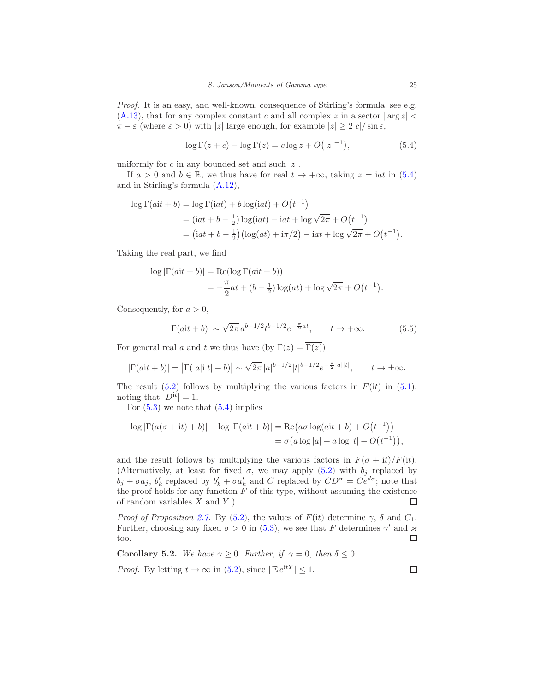Proof. It is an easy, and well-known, consequence of Stirling's formula, see e.g.  $(A.13)$ , that for any complex constant c and all complex z in a sector  $|\arg z|$  $\pi - \varepsilon$  (where  $\varepsilon > 0$ ) with |z| large enough, for example  $|z| > 2|c|/\sin \varepsilon$ ,

<span id="page-24-0"></span>
$$
\log \Gamma(z+c) - \log \Gamma(z) = c \log z + O(|z|^{-1}),\tag{5.4}
$$

uniformly for c in any bounded set and such  $|z|$ .

If  $a > 0$  and  $b \in \mathbb{R}$ , we thus have for real  $t \to +\infty$ , taking  $z = i a t$  in [\(5.4\)](#page-24-0) and in Stirling's formula [\(A.12\)](#page-49-8),

$$
\log \Gamma(ait + b) = \log \Gamma(\mathrm{i}at) + b \log(\mathrm{i}at) + O(t^{-1})
$$
  
=  $(\mathrm{i}at + b - \frac{1}{2}) \log(\mathrm{i}at) - \mathrm{i}at + \log \sqrt{2\pi} + O(t^{-1})$   
=  $(\mathrm{i}at + b - \frac{1}{2}) (\log(at) + \mathrm{i}\pi/2) - \mathrm{i}at + \log \sqrt{2\pi} + O(t^{-1}).$ 

Taking the real part, we find

$$
\log |\Gamma(ait + b)| = \text{Re}(\log \Gamma(ait + b))
$$
  
=  $-\frac{\pi}{2}at + (b - \frac{1}{2})\log(at) + \log \sqrt{2\pi} + O(t^{-1}).$ 

Consequently, for  $a > 0$ ,

$$
|\Gamma(ait + b)| \sim \sqrt{2\pi} a^{b-1/2} t^{b-1/2} e^{-\frac{\pi}{2}at}, \qquad t \to +\infty.
$$
 (5.5)

For general real a and t we thus have (by  $\Gamma(\bar{z}) = \overline{\Gamma(z)}$ )

$$
|\Gamma(ait + b)| = |\Gamma(|a|i|t| + b)| \sim \sqrt{2\pi} |a|^{b-1/2} |t|^{b-1/2} e^{-\frac{\pi}{2}|a||t|}, \qquad t \to \pm \infty.
$$

The result  $(5.2)$  follows by multiplying the various factors in  $F(it)$  in  $(5.1)$ , noting that  $|D^{it}| = 1$ .

For  $(5.3)$  we note that  $(5.4)$  implies

$$
\log |\Gamma(a(\sigma + it) + b)| - \log |\Gamma(ait + b)| = \text{Re}(a\sigma \log(ait + b) + O(t^{-1}))
$$
  
=  $\sigma(a \log |a| + a \log |t| + O(t^{-1})),$ 

and the result follows by multiplying the various factors in  $F(\sigma + it)/F(it)$ . (Alternatively, at least for fixed  $\sigma$ , we may apply [\(5.2\)](#page-23-1) with  $b_i$  replaced by  $b_j + \sigma a_j$ ,  $b'_k$  replaced by  $b'_k + \sigma a'_k$  and C replaced by  $CD^{\sigma} = Ce^{d\sigma}$ ; note that the proof holds for any function  $F$  of this type, without assuming the existence of random variables  $X$  and  $Y$ .) □

*Proof of Proposition [2.7.](#page-9-6)* By [\(5.2\)](#page-23-1), the values of  $F(it)$  determine  $\gamma$ ,  $\delta$  and  $C_1$ . Further, choosing any fixed  $\sigma > 0$  in [\(5.3\)](#page-23-2), we see that F determines  $\gamma'$  and  $\varkappa$ too.  $\Box$ 

Corollary 5.2. We have  $\gamma \geq 0$ . Further, if  $\gamma = 0$ , then  $\delta \leq 0$ . *Proof.* By letting  $t \to \infty$  in [\(5.2\)](#page-23-1), since  $|\mathbb{E}e^{itY}| \leq 1$ .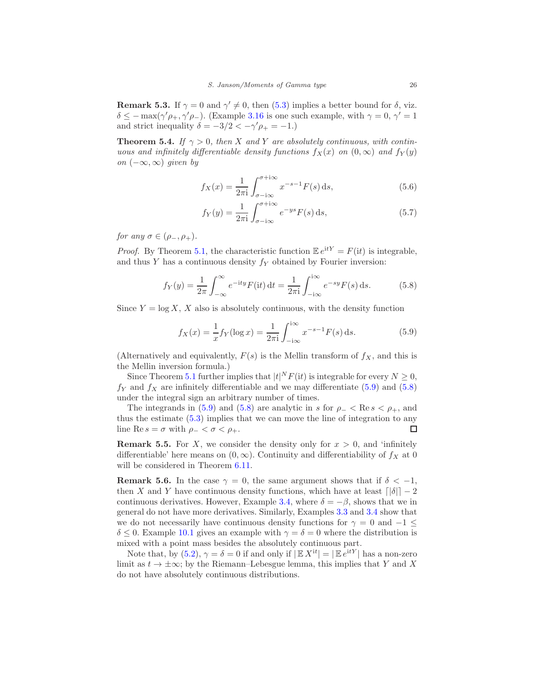**Remark 5.3.** If  $\gamma = 0$  and  $\gamma' \neq 0$ , then [\(5.3\)](#page-23-2) implies a better bound for  $\delta$ , viz.  $\delta \leq -\max(\gamma'\rho_+,\gamma'\rho_-)$ . (Example [3.16](#page-16-1) is one such example, with  $\gamma = 0, \gamma' = 1$ and strict inequality  $\delta = -3/2 < -\gamma' \rho_+ = -1.$ 

<span id="page-25-2"></span>**Theorem 5.4.** If  $\gamma > 0$ , then X and Y are absolutely continuous, with continuous and infinitely differentiable density functions  $f_X(x)$  on  $(0,\infty)$  and  $f_Y(y)$ on  $(-\infty, \infty)$  given by

$$
f_X(x) = \frac{1}{2\pi i} \int_{\sigma - i\infty}^{\sigma + i\infty} x^{-s-1} F(s) \, ds,\tag{5.6}
$$

<span id="page-25-4"></span><span id="page-25-3"></span>
$$
f_Y(y) = \frac{1}{2\pi i} \int_{\sigma - i\infty}^{\sigma + i\infty} e^{-ys} F(s) \,ds,\tag{5.7}
$$

for any  $\sigma \in (\rho_-, \rho_+).$ 

*Proof.* By Theorem [5.1,](#page-23-4) the characteristic function  $\mathbb{E} e^{itY} = F(it)$  is integrable, and thus  $Y$  has a continuous density  $f_Y$  obtained by Fourier inversion:

<span id="page-25-1"></span>
$$
f_Y(y) = \frac{1}{2\pi} \int_{-\infty}^{\infty} e^{-ity} F(it) dt = \frac{1}{2\pi i} \int_{-i\infty}^{i\infty} e^{-sy} F(s) ds.
$$
 (5.8)

<span id="page-25-0"></span>Since  $Y = \log X$ , X also is absolutely continuous, with the density function

$$
f_X(x) = \frac{1}{x} f_Y(\log x) = \frac{1}{2\pi i} \int_{-i\infty}^{i\infty} x^{-s-1} F(s) \, ds. \tag{5.9}
$$

(Alternatively and equivalently,  $F(s)$  is the Mellin transform of  $f_X$ , and this is the Mellin inversion formula.)

Since Theorem [5.1](#page-23-4) further implies that  $|t|^N F(\mathrm{i} t)$  is integrable for every  $N \geq 0$ ,  $f_Y$  and  $f_X$  are infinitely differentiable and we may differentiate [\(5.9\)](#page-25-0) and [\(5.8\)](#page-25-1) under the integral sign an arbitrary number of times.

The integrands in [\(5.9\)](#page-25-0) and [\(5.8\)](#page-25-1) are analytic in s for  $\rho_- < \text{Re } s < \rho_+$ , and thus the estimate [\(5.3\)](#page-23-2) implies that we can move the line of integration to any line Re  $s = \sigma$  with  $\rho_- < \sigma < \rho_+$ .  $\Box$ 

**Remark 5.5.** For X, we consider the density only for  $x > 0$ , and 'infinitely differentiable' here means on  $(0, \infty)$ . Continuity and differentiability of  $f_X$  at 0 will be considered in Theorem  $6.11$ .

<span id="page-25-5"></span>**Remark 5.6.** In the case  $\gamma = 0$ , the same argument shows that if  $\delta < -1$ , then X and Y have continuous density functions, which have at least  $\lceil |\delta| \rceil - 2$ continuous derivatives. However, Example [3.4,](#page-11-4) where  $\delta = -\beta$ , shows that we in general do not have more derivatives. Similarly, Examples [3.3](#page-10-4) and [3.4](#page-11-4) show that we do not necessarily have continuous density functions for  $\gamma = 0$  and  $-1 \leq$  $\delta \leq 0$ . Example [10.1](#page-46-1) gives an example with  $\gamma = \delta = 0$  where the distribution is mixed with a point mass besides the absolutely continuous part.

Note that, by [\(5.2\)](#page-23-1),  $\gamma = \delta = 0$  if and only if  $|\mathbb{E} X^{it}| = |\mathbb{E} e^{itY}|$  has a non-zero limit as  $t \to \pm \infty$ ; by the Riemann–Lebesgue lemma, this implies that Y and X do not have absolutely continuous distributions.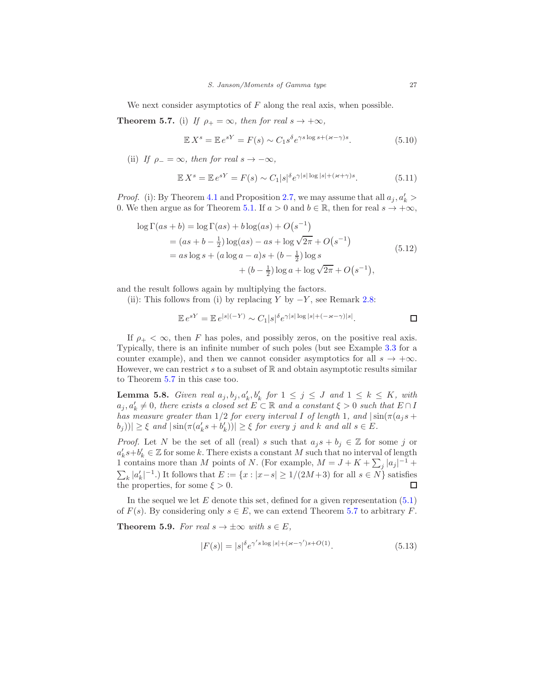We next consider asymptotics of  $F$  along the real axis, when possible.

**Theorem 5.7.** (i) If  $\rho_+ = \infty$ , then for real  $s \to +\infty$ ,

$$
\mathbb{E} X^s = \mathbb{E} e^{sY} = F(s) \sim C_1 s^{\delta} e^{\gamma s \log s + (\varkappa - \gamma)s}.
$$
 (5.10)

(ii) If  $\rho_- = \infty$ , then for real  $s \to -\infty$ ,

$$
\mathbb{E}X^s = \mathbb{E}e^{sY} = F(s) \sim C_1|s|\delta e^{\gamma|s|\log|s| + (\varkappa + \gamma)s}.\tag{5.11}
$$

*Proof.* (i): By Theorem [4.1](#page-20-0) and Proposition [2.7,](#page-9-6) we may assume that all  $a_j, a'_k$ 0. We then argue as for Theorem [5.1.](#page-23-4) If  $a > 0$  and  $b \in \mathbb{R}$ , then for real  $s \to +\infty$ ,

<span id="page-26-0"></span>
$$
\log \Gamma(as+b) = \log \Gamma(as) + b \log(as) + O(s^{-1})
$$
  
=  $(as+b-\frac{1}{2}) \log(as) - as + \log \sqrt{2\pi} + O(s^{-1})$   
=  $as \log s + (a \log a - a)s + (b-\frac{1}{2}) \log s$   
+  $(b-\frac{1}{2}) \log a + \log \sqrt{2\pi} + O(s^{-1}),$  (5.12)

and the result follows again by multiplying the factors.

(ii): This follows from (i) by replacing Y by  $-Y$ , see Remark [2.8:](#page-9-2)

$$
\mathbb{E}e^{sY} = \mathbb{E}e^{|s|(-Y)} \sim C_1|s|^{\delta}e^{\gamma|s|\log|s| + (-\varkappa - \gamma)|s|}.
$$

If  $\rho_+ < \infty$ , then F has poles, and possibly zeros, on the positive real axis. Typically, there is an infinite number of such poles (but see Example [3.3](#page-10-4) for a counter example), and then we cannot consider asymptotics for all  $s \to +\infty$ . However, we can restrict  $s$  to a subset of  $\mathbb R$  and obtain asymptotic results similar to Theorem 5.7 in this case too.

<span id="page-26-1"></span>**Lemma 5.8.** Given real  $a_j, b_j, a'_k, b'_k$  for  $1 \leq j \leq J$  and  $1 \leq k \leq K$ , with  $a_j, a'_k \neq 0$ , there exists a closed set  $E \subset \mathbb{R}$  and a constant  $\xi > 0$  such that  $E \cap I$ has measure greater than  $1/2$  for every interval I of length 1, and  $|\sin(\pi(a_j s +$  $|b_j| \geq \xi$  and  $|\sin(\pi(a'_ks+b'_k))| \geq \xi$  for every j and k and all  $s \in E$ .

*Proof.* Let N be the set of all (real) s such that  $a_j s + b_j \in \mathbb{Z}$  for some j or  $a'_k s+b'_k \in \mathbb{Z}$  for some k. There exists a constant M such that no interval of length 1 contains more than M points of N. (For example,  $M = J + K + \sum_j |a_j|^{-1}$  +  $\sum_{k} |a'_k|^{-1}$ .) It follows that  $E := \{x : |x-s| \ge 1/(2M+3)$  for all  $s \in N\}$  satisfies the properties, for some  $\xi > 0$ .

In the sequel we let  $E$  denote this set, defined for a given representation  $(5.1)$ of  $F(s)$ . By considering only  $s \in E$ , we can extend Theorem 5.7 to arbitrary F.

<span id="page-26-2"></span>**Theorem 5.9.** For real  $s \to \pm \infty$  with  $s \in E$ ,

$$
|F(s)| = |s|^{\delta} e^{\gamma' s \log|s| + (\varkappa - \gamma') s + O(1)}.
$$
\n(5.13)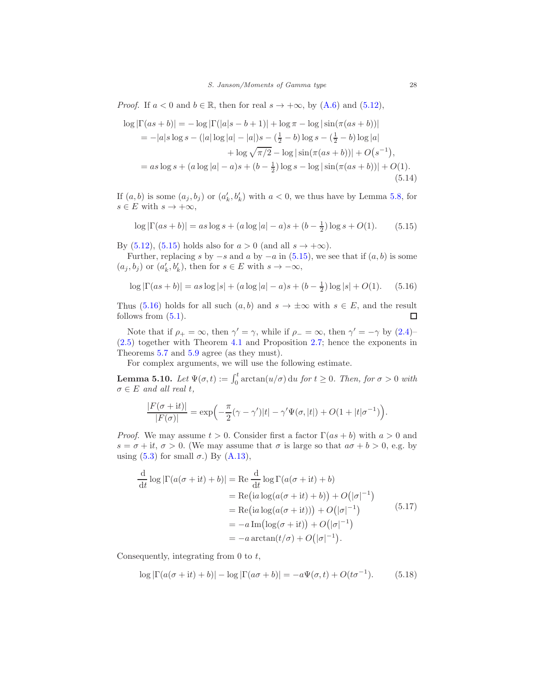*Proof.* If  $a < 0$  and  $b \in \mathbb{R}$ , then for real  $s \to +\infty$ , by  $(A.6)$  and  $(5.12)$ ,

$$
\log |\Gamma(as+b)| = -\log |\Gamma(|a|s-b+1)| + \log \pi - \log |\sin(\pi(as+b))|
$$
  
= -|a|s \log s - (|a| \log |a| - |a|)s - (\frac{1}{2} - b) \log s - (\frac{1}{2} - b) \log |a|   
+ \log \sqrt{\pi/2} - \log |\sin(\pi(as+b))| + O(s^{-1}),  
= as \log s + (a \log |a| - a)s + (b - \frac{1}{2}) \log s - \log |\sin(\pi(as+b))| + O(1). (5.14)

If  $(a, b)$  is some  $(a_j, b_j)$  or  $(a'_k, b'_k)$  with  $a < 0$ , we thus have by Lemma [5.8,](#page-26-1) for  $s \in E$  with  $s \to +\infty$ ,

<span id="page-27-0"></span>
$$
\log |\Gamma(as+b)| = as \log s + (a \log |a| - a)s + (b - \frac{1}{2}) \log s + O(1). \tag{5.15}
$$

By [\(5.12\)](#page-26-0), [\(5.15\)](#page-27-0) holds also for  $a > 0$  (and all  $s \to +\infty$ ).

Further, replacing s by  $-s$  and a by  $-a$  in [\(5.15\)](#page-27-0), we see that if  $(a, b)$  is some  $(a_j, b_j)$  or  $(a'_k, b'_k)$ , then for  $s \in E$  with  $s \to -\infty$ ,

<span id="page-27-1"></span>
$$
\log |\Gamma(as+b)| = as \log |s| + (a \log |a| - a)s + (b - \frac{1}{2}) \log |s| + O(1). \tag{5.16}
$$

Thus [\(5.16\)](#page-27-1) holds for all such  $(a, b)$  and  $s \to \pm \infty$  with  $s \in E$ , and the result follows from (5.1). follows from  $(5.1)$ .

Note that if  $\rho_+ = \infty$ , then  $\gamma' = \gamma$ , while if  $\rho_- = \infty$ , then  $\gamma' = -\gamma$  by [\(2.4\)](#page-8-2)– [\(2.5\)](#page-8-3) together with Theorem [4.1](#page-20-0) and Proposition [2.7;](#page-9-6) hence the exponents in Theorems 5.7 and [5.9](#page-26-2) agree (as they must).

For complex arguments, we will use the following estimate.

<span id="page-27-3"></span>**Lemma 5.10.** Let  $\Psi(\sigma, t) := \int_0^t \arctan(u/\sigma) du$  for  $t \ge 0$ . Then, for  $\sigma > 0$  with  $\sigma \in E$  and all real t,

$$
\frac{|F(\sigma+it)|}{|F(\sigma)|} = \exp\left(-\frac{\pi}{2}(\gamma-\gamma')|t| - \gamma'\Psi(\sigma,|t|) + O(1+|t|\sigma^{-1})\right).
$$

*Proof.* We may assume  $t > 0$ . Consider first a factor  $\Gamma(as + b)$  with  $a > 0$  and  $s = \sigma + it, \sigma > 0$ . (We may assume that  $\sigma$  is large so that  $a\sigma + b > 0$ , e.g. by using  $(5.3)$  for small  $\sigma$ .) By  $(A.13)$ ,

$$
\frac{d}{dt} \log |\Gamma(a(\sigma + it) + b)| = \text{Re} \frac{d}{dt} \log \Gamma(a(\sigma + it) + b)
$$
  
\n
$$
= \text{Re} (ia \log(a(\sigma + it) + b)) + O(|\sigma|^{-1})
$$
  
\n
$$
= \text{Re} (ia \log(a(\sigma + it))) + O(|\sigma|^{-1})
$$
  
\n
$$
= -a \text{Im}( \log(\sigma + it)) + O(|\sigma|^{-1})
$$
  
\n
$$
= -a \arctan(t/\sigma) + O(|\sigma|^{-1}).
$$
\n(5.17)

Consequently, integrating from  $0$  to  $t$ ,

<span id="page-27-2"></span>
$$
\log |\Gamma(a(\sigma + \mathrm{i}t) + b)| - \log |\Gamma(a\sigma + b)| = -a\Psi(\sigma, t) + O(t\sigma^{-1}). \tag{5.18}
$$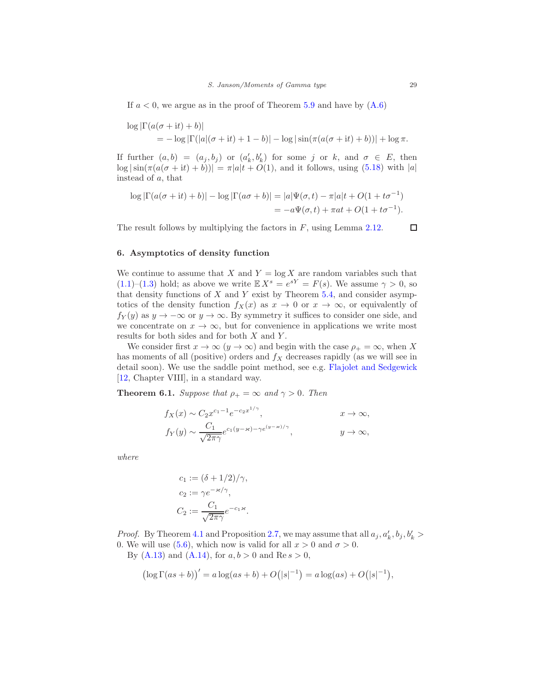If  $a < 0$ , we argue as in the proof of Theorem [5.9](#page-26-2) and have by  $(A.6)$ 

$$
\log |\Gamma(a(\sigma + it) + b)|
$$
  
=  $-\log |\Gamma(|a|(\sigma + it) + 1 - b)| - \log |\sin(\pi(a(\sigma + it) + b))| + \log \pi.$ 

If further  $(a, b) = (a_j, b_j)$  or  $(a'_k, b'_k)$  for some j or k, and  $\sigma \in E$ , then  $\log |\sin(\pi(a(\sigma + it) + b))| = \pi |a|t + O(1)$ , and it follows, using [\(5.18\)](#page-27-2) with |a| instead of a, that

$$
\log |\Gamma(a(\sigma + it) + b)| - \log |\Gamma(a\sigma + b)| = |a|\Psi(\sigma, t) - \pi|a|t + O(1 + t\sigma^{-1})
$$
  
= 
$$
-a\Psi(\sigma, t) + \pi at + O(1 + t\sigma^{-1}).
$$

The result follows by multiplying the factors in  $F$ , using Lemma [2.12.](#page-9-4)

# <span id="page-28-0"></span>6. Asymptotics of density function

We continue to assume that X and  $Y = \log X$  are random variables such that  $(1.1)$ – $(1.3)$  hold; as above we write  $\mathbb{E} X^s = e^{sY} = F(s)$ . We assume  $\gamma > 0$ , so that density functions of  $X$  and  $Y$  exist by Theorem [5.4,](#page-25-2) and consider asymptotics of the density function  $f_X(x)$  as  $x \to 0$  or  $x \to \infty$ , or equivalently of  $f_Y(y)$  as  $y \to -\infty$  or  $y \to \infty$ . By symmetry it suffices to consider one side, and we concentrate on  $x \to \infty$ , but for convenience in applications we write most results for both sides and for both  $X$  and  $Y$ .

We consider first  $x \to \infty$   $(y \to \infty)$  and begin with the case  $\rho_+ = \infty$ , when X has moments of all (positive) orders and  $f_X$  decreases rapidly (as we will see in detail soon). We use the saddle point method, see e.g. [Flajolet and Sedgewick](#page-50-13) [\[12,](#page-50-13) Chapter VIII], in a standard way.

<span id="page-28-1"></span>**Theorem 6.1.** Suppose that  $\rho_+ = \infty$  and  $\gamma > 0$ . Then

$$
f_X(x) \sim C_2 x^{c_1 - 1} e^{-c_2 x^{1/\gamma}}, \qquad x \to \infty,
$$
  
\n
$$
f_Y(y) \sim \frac{C_1}{\sqrt{2\pi\gamma}} e^{c_1(y - \varkappa) - \gamma e^{(y - \varkappa)/\gamma}}, \qquad y \to \infty,
$$

where

$$
c_1 := (\delta + 1/2)/\gamma,
$$
  
\n
$$
c_2 := \gamma e^{-\varkappa/\gamma},
$$
  
\n
$$
C_2 := \frac{C_1}{\sqrt{2\pi\gamma}} e^{-c_1\varkappa}.
$$

*Proof.* By Theorem [4.1](#page-20-0) and Proposition [2.7,](#page-9-6) we may assume that all  $a_j, a'_k, b_j, b'_k >$ 0. We will use [\(5.6\)](#page-25-3), which now is valid for all  $x > 0$  and  $\sigma > 0$ . By  $(A.13)$  and  $(A.14)$ , for  $a, b > 0$  and  $Re s > 0$ ,

$$
(\log \Gamma(as+b))' = a \log(as+b) + O(|s|^{-1}) = a \log(as) + O(|s|^{-1}),
$$

 $\Box$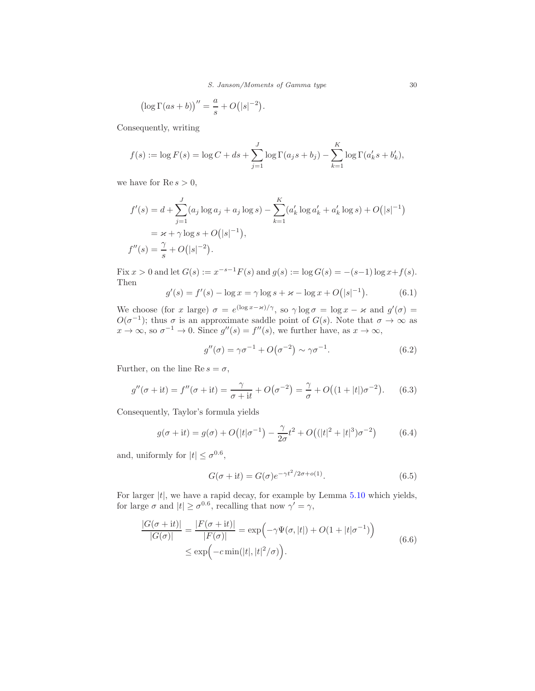S. Janson/Moments of Gamma type 30

$$
\left(\log \Gamma(as+b)\right)''=\frac{a}{s}+O\big(|s|^{-2}\big).
$$

Consequently, writing

$$
f(s) := \log F(s) = \log C + ds + \sum_{j=1}^{J} \log \Gamma(a_j s + b_j) - \sum_{k=1}^{K} \log \Gamma(a'_k s + b'_k),
$$

we have for  $\text{Re } s > 0$ ,

$$
f'(s) = d + \sum_{j=1}^{J} (a_j \log a_j + a_j \log s) - \sum_{k=1}^{K} (a'_k \log a'_k + a'_k \log s) + O(|s|^{-1})
$$
  
=  $\varkappa + \gamma \log s + O(|s|^{-1}),$   

$$
f''(s) = \frac{\gamma}{s} + O(|s|^{-2}).
$$

Fix  $x > 0$  and let  $G(s) := x^{-s-1}F(s)$  and  $g(s) := \log G(s) = -(s-1)\log x + f(s)$ . Then

$$
g'(s) = f'(s) - \log x = \gamma \log s + \varkappa - \log x + O(|s|^{-1}).
$$
 (6.1)

We choose (for x large)  $\sigma = e^{(\log x - \varkappa)/\gamma}$ , so  $\gamma \log \sigma = \log x - \varkappa$  and  $g'(\sigma) =$  $O(\sigma^{-1})$ ; thus  $\sigma$  is an approximate saddle point of  $G(s)$ . Note that  $\sigma \to \infty$  as  $x \to \infty$ , so  $\sigma^{-1} \to 0$ . Since  $g''(s) = f''(s)$ , we further have, as  $x \to \infty$ ,

$$
g''(\sigma) = \gamma \sigma^{-1} + O(\sigma^{-2}) \sim \gamma \sigma^{-1}.
$$
 (6.2)

Further, on the line Re  $s = \sigma$ ,

$$
g''(\sigma + it) = f''(\sigma + it) = \frac{\gamma}{\sigma + it} + O(\sigma^{-2}) = \frac{\gamma}{\sigma} + O((1 + |t|)\sigma^{-2}).
$$
 (6.3)

Consequently, Taylor's formula yields

$$
g(\sigma + it) = g(\sigma) + O(|t|\sigma^{-1}) - \frac{\gamma}{2\sigma}t^2 + O(|t|^2 + |t|^3)\sigma^{-2})
$$
 (6.4)

and, uniformly for  $|t| \leq \sigma^{0.6}$ ,

<span id="page-29-0"></span>
$$
G(\sigma + it) = G(\sigma)e^{-\gamma t^2/2\sigma + o(1)}.
$$
\n(6.5)

For larger  $|t|$ , we have a rapid decay, for example by Lemma [5.10](#page-27-3) which yields, for large  $\sigma$  and  $|t| \ge \sigma^{0.6}$ , recalling that now  $\gamma' = \gamma$ ,

<span id="page-29-1"></span>
$$
\frac{|G(\sigma + it)|}{|G(\sigma)|} = \frac{|F(\sigma + it)|}{|F(\sigma)|} = \exp\left(-\gamma\Psi(\sigma, |t|) + O(1 + |t|\sigma^{-1})\right)
$$
\n
$$
\leq \exp\left(-c \min(|t|, |t|^2/\sigma)\right).
$$
\n(6.6)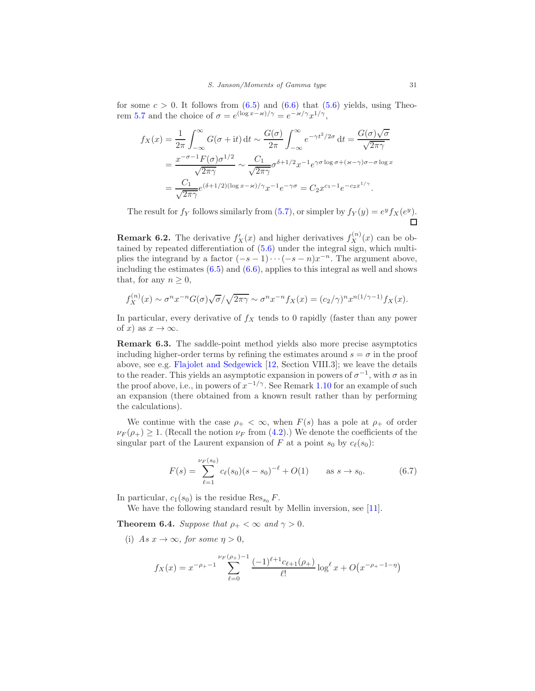for some  $c > 0$ . It follows from  $(6.5)$  and  $(6.6)$  that  $(5.6)$  yields, using Theorem 5.7 and the choice of  $\sigma = e^{(\log x - \varkappa)/\gamma} = e^{-\varkappa/\gamma} x^{1/\gamma}$ ,

$$
f_X(x) = \frac{1}{2\pi} \int_{-\infty}^{\infty} G(\sigma + it) dt \sim \frac{G(\sigma)}{2\pi} \int_{-\infty}^{\infty} e^{-\gamma t^2/2\sigma} dt = \frac{G(\sigma)\sqrt{\sigma}}{\sqrt{2\pi\gamma}}
$$
  
= 
$$
\frac{x^{-\sigma-1}F(\sigma)\sigma^{1/2}}{\sqrt{2\pi\gamma}} \sim \frac{C_1}{\sqrt{2\pi\gamma}} \sigma^{\delta+1/2} x^{-1} e^{\gamma \sigma \log \sigma + (\varkappa - \gamma)\sigma - \sigma \log x}
$$
  
= 
$$
\frac{C_1}{\sqrt{2\pi\gamma}} e^{(\delta+1/2)(\log x - \varkappa)/\gamma} x^{-1} e^{-\gamma \sigma} = C_2 x^{c_1-1} e^{-c_2 x^{1/\gamma}}.
$$

The result for  $f_Y$  follows similarly from [\(5.7\)](#page-25-4), or simpler by  $f_Y(y) = e^y f_X(e^y)$ .  $\Box$ 

<span id="page-30-3"></span>**Remark 6.2.** The derivative  $f'_X(x)$  and higher derivatives  $f^{(n)}_X(x)$  can be obtained by repeated differentiation of [\(5.6\)](#page-25-3) under the integral sign, which multiplies the integrand by a factor  $(-s-1)\cdots(-s-n)x^{-n}$ . The argument above, including the estimates  $(6.5)$  and  $(6.6)$ , applies to this integral as well and shows that, for any  $n \geq 0$ ,

$$
f_X^{(n)}(x) \sim \sigma^n x^{-n} G(\sigma) \sqrt{\sigma} / \sqrt{2\pi \gamma} \sim \sigma^n x^{-n} f_X(x) = (c_2/\gamma)^n x^{n(1/\gamma - 1)} f_X(x).
$$

In particular, every derivative of  $f_X$  tends to 0 rapidly (faster than any power of x) as  $x \to \infty$ .

<span id="page-30-0"></span>Remark 6.3. The saddle-point method yields also more precise asymptotics including higher-order terms by refining the estimates around  $s = \sigma$  in the proof above, see e.g. [Flajolet and Sedgewick](#page-50-13) [\[12](#page-50-13), Section VIII.3]; we leave the details to the reader. This yields an asymptotic expansion in powers of  $\sigma^{-1}$ , with  $\sigma$  as in the proof above, i.e., in powers of  $x^{-1/\gamma}$ . See Remark [1.10](#page-4-4) for an example of such an expansion (there obtained from a known result rather than by performing the calculations).

We continue with the case  $\rho_+ < \infty$ , when  $F(s)$  has a pole at  $\rho_+$  of order  $\nu_F(\rho_+) \geq 1$ . (Recall the notion  $\nu_F$  from [\(4.2\)](#page-19-3).) We denote the coefficients of the singular part of the Laurent expansion of F at a point  $s_0$  by  $c_{\ell}(s_0)$ :

<span id="page-30-1"></span>
$$
F(s) = \sum_{\ell=1}^{\nu_F(s_0)} c_{\ell}(s_0)(s - s_0)^{-\ell} + O(1) \quad \text{as } s \to s_0. \tag{6.7}
$$

In particular,  $c_1(s_0)$  is the residue Res<sub>s<sub>0</sub></sub> F.

We have the following standard result by Mellin inversion, see [\[11\]](#page-50-14).

<span id="page-30-2"></span>**Theorem 6.4.** Suppose that  $\rho_+ < \infty$  and  $\gamma > 0$ .

(i) As  $x \to \infty$ , for some  $n > 0$ .

$$
f_X(x) = x^{-\rho_+ - 1} \sum_{\ell=0}^{\nu_F(\rho_+)-1} \frac{(-1)^{\ell+1} c_{\ell+1}(\rho_+)}{\ell!} \log^{\ell} x + O\big(x^{-\rho_+ - 1 - \eta}\big)
$$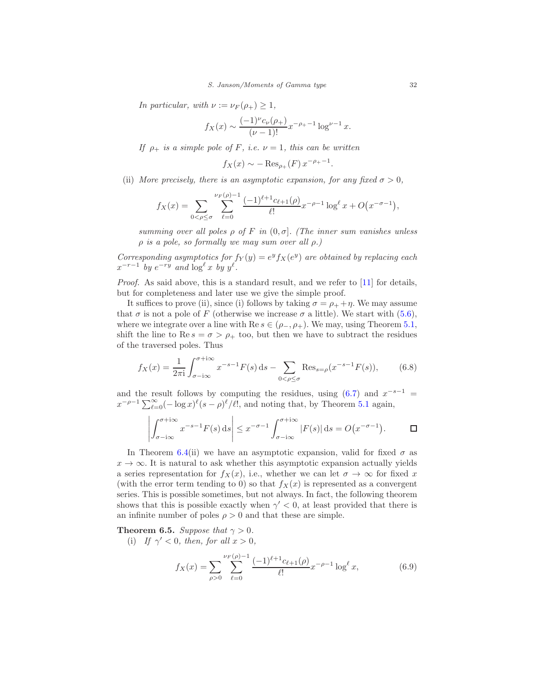In particular, with  $\nu := \nu_F(\rho_+) \geq 1$ ,

$$
f_X(x) \sim \frac{(-1)^{\nu} c_{\nu}(\rho_+)}{(\nu - 1)!} x^{-\rho_+ - 1} \log^{\nu - 1} x.
$$

If  $\rho_+$  is a simple pole of F, i.e.  $\nu = 1$ , this can be written

 $f_X(x) \sim -\operatorname{Res}_{\rho_+}(F) x^{-\rho_+ - 1}.$ 

(ii) More precisely, there is an asymptotic expansion, for any fixed  $\sigma > 0$ ,

$$
f_X(x) = \sum_{0 < \rho \le \sigma} \sum_{\ell=0}^{\nu_F(\rho)-1} \frac{(-1)^{\ell+1} c_{\ell+1}(\rho)}{\ell!} x^{-\rho-1} \log^{\ell} x + O(x^{-\sigma-1}),
$$

summing over all poles  $\rho$  of F in  $(0, \sigma]$ . (The inner sum vanishes unless  $\rho$  is a pole, so formally we may sum over all  $\rho$ .)

Corresponding asymptotics for  $f_Y(y) = e^y f_X(e^y)$  are obtained by replacing each  $x^{-r-1}$  by  $e^{-ry}$  and  $\log^{\ell} x$  by  $y^{\ell}$ .

Proof. As said above, this is a standard result, and we refer to [\[11\]](#page-50-14) for details, but for completeness and later use we give the simple proof.

It suffices to prove (ii), since (i) follows by taking  $\sigma = \rho_+ + \eta$ . We may assume that  $\sigma$  is not a pole of F (otherwise we increase  $\sigma$  a little). We start with [\(5.6\)](#page-25-3), where we integrate over a line with  $\text{Re } s \in (\rho_-, \rho_+)$ . We may, using Theorem [5.1,](#page-23-4) shift the line to Re  $s = \sigma > \rho_+$  too, but then we have to subtract the residues of the traversed poles. Thus

<span id="page-31-1"></span>
$$
f_X(x) = \frac{1}{2\pi i} \int_{\sigma - i\infty}^{\sigma + i\infty} x^{-s-1} F(s) \, ds - \sum_{0 < \rho \le \sigma} \text{Res}_{s = \rho} (x^{-s-1} F(s)),\tag{6.8}
$$

and the result follows by computing the residues, using  $(6.7)$  and  $x^{-s-1}$  =  $x^{-\rho-1} \sum_{\ell=0}^{\infty} (-\log x)^{\ell} (s-\rho)^{\ell}/\ell!$ , and noting that, by Theorem [5.1](#page-23-4) again,

$$
\left| \int_{\sigma - i\infty}^{\sigma + i\infty} x^{-s-1} F(s) \, ds \right| \leq x^{-\sigma - 1} \int_{\sigma - i\infty}^{\sigma + i\infty} |F(s)| \, ds = O\big(x^{-\sigma - 1}\big).
$$

In Theorem [6.4\(](#page-30-2)ii) we have an asymptotic expansion, valid for fixed  $\sigma$  as  $x \to \infty$ . It is natural to ask whether this asymptotic expansion actually yields a series representation for  $f_X(x)$ , i.e., whether we can let  $\sigma \to \infty$  for fixed x (with the error term tending to 0) so that  $f_X(x)$  is represented as a convergent series. This is possible sometimes, but not always. In fact, the following theorem shows that this is possible exactly when  $\gamma' < 0$ , at least provided that there is an infinite number of poles  $\rho > 0$  and that these are simple.

<span id="page-31-2"></span>**Theorem 6.5.** Suppose that  $\gamma > 0$ .

(i) If  $\gamma' < 0$ , then, for all  $x > 0$ ,

<span id="page-31-0"></span>
$$
f_X(x) = \sum_{\rho>0} \sum_{\ell=0}^{\nu_F(\rho)-1} \frac{(-1)^{\ell+1} c_{\ell+1}(\rho)}{\ell!} x^{-\rho-1} \log^{\ell} x,\tag{6.9}
$$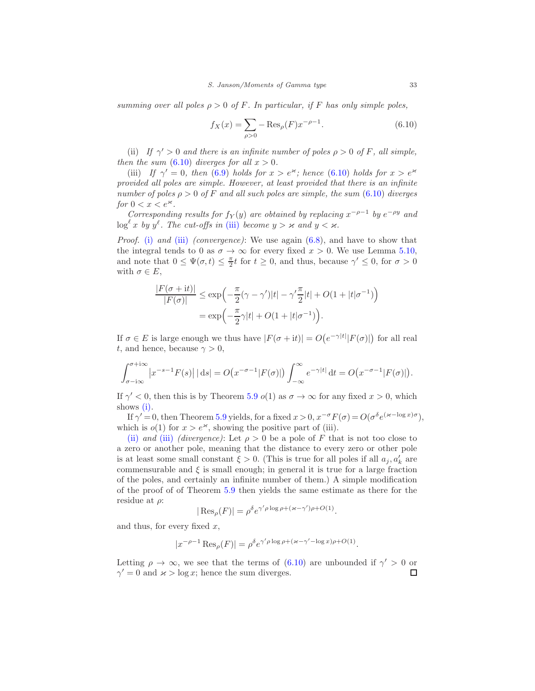summing over all poles  $\rho > 0$  of F. In particular, if F has only simple poles,

<span id="page-32-0"></span>
$$
f_X(x) = \sum_{\rho > 0} -\text{Res}_{\rho}(F)x^{-\rho - 1}.
$$
 (6.10)

(ii) If  $\gamma' > 0$  and there is an infinite number of poles  $\rho > 0$  of F, all simple, then the sum  $(6.10)$  diverges for all  $x > 0$ .

(iii) If  $\gamma' = 0$ , then [\(6.9\)](#page-31-0) holds for  $x > e^{\varkappa}$ ; hence [\(6.10\)](#page-32-0) holds for  $x > e^{\varkappa}$ provided all poles are simple. However, at least provided that there is an infinite number of poles  $\rho > 0$  of F and all such poles are simple, the sum [\(6.10\)](#page-32-0) diverges for  $0 < x < e^{\varkappa}$ .

Corresponding results for  $f_Y(y)$  are obtained by replacing  $x^{-\rho-1}$  by  $e^{-\rho y}$  and  $\log^{\ell} x$  by  $y^{\ell}$ . The cut-offs in [\(iii\)](#page-35-1) become  $y > \varkappa$  and  $y < \varkappa$ .

*Proof.* [\(i\)](#page-35-2) and [\(iii\)](#page-35-1) (convergence): We use again  $(6.8)$ , and have to show that the integral tends to 0 as  $\sigma \to \infty$  for every fixed  $x > 0$ . We use Lemma [5.10,](#page-27-3) and note that  $0 \leq \Psi(\sigma, t) \leq \frac{\pi}{2}t$  for  $t \geq 0$ , and thus, because  $\gamma' \leq 0$ , for  $\sigma > 0$ with  $\sigma \in E$ ,

$$
\frac{|F(\sigma + it)|}{|F(\sigma)|} \le \exp\left(-\frac{\pi}{2}(\gamma - \gamma')|t| - \gamma'\frac{\pi}{2}|t| + O(1 + |t|\sigma^{-1})\right)
$$

$$
= \exp\left(-\frac{\pi}{2}\gamma|t| + O(1 + |t|\sigma^{-1})\right).
$$

If  $\sigma \in E$  is large enough we thus have  $|F(\sigma + it)| = O(e^{-\gamma |t|} |F(\sigma)|)$  for all real t, and hence, because  $\gamma > 0$ ,

$$
\int_{\sigma - i\infty}^{\sigma + i\infty} \left| x^{-s-1} F(s) \right| \left| ds \right| = O\big( x^{-\sigma - 1} |F(\sigma)| \big) \int_{-\infty}^{\infty} e^{-\gamma |t|} \, \mathrm{d}t = O\big( x^{-\sigma - 1} |F(\sigma)| \big).
$$

If  $\gamma' < 0$ , then this is by Theorem [5.9](#page-26-2)  $o(1)$  as  $\sigma \to \infty$  for any fixed  $x > 0$ , which shows [\(i\).](#page-35-2)

If  $\gamma' = 0$ , then Theorem [5.9](#page-26-2) yields, for a fixed  $x > 0$ ,  $x^{-\sigma} F(\sigma) = O(\sigma^{\delta} e^{(\varkappa - \log x)\sigma})$ , which is  $o(1)$  for  $x > e^x$ , showing the positive part of (iii).

[\(ii\)](#page-35-3) and [\(iii\)](#page-35-1) (divergence): Let  $\rho > 0$  be a pole of F that is not too close to a zero or another pole, meaning that the distance to every zero or other pole is at least some small constant  $\xi > 0$ . (This is true for all poles if all  $a_j, a'_k$  are commensurable and  $\xi$  is small enough; in general it is true for a large fraction of the poles, and certainly an infinite number of them.) A simple modification of the proof of of Theorem [5.9](#page-26-2) then yields the same estimate as there for the residue at  $\rho$ :

$$
|\operatorname{Res}_{\rho}(F)| = \rho^{\delta} e^{\gamma' \rho \log \rho + (\varkappa - \gamma') \rho + O(1)}.
$$

and thus, for every fixed  $x$ ,

$$
|x^{-\rho-1}\operatorname{Res}_{\rho}(F)| = \rho^{\delta}e^{\gamma'\rho\log\rho + (\varkappa - \gamma' - \log x)\rho + O(1)}.
$$

Letting  $\rho \to \infty$ , we see that the terms of [\(6.10\)](#page-32-0) are unbounded if  $\gamma' > 0$  or  $\gamma' = 0$  and  $\varkappa > \log x$ ; hence the sum diverges. □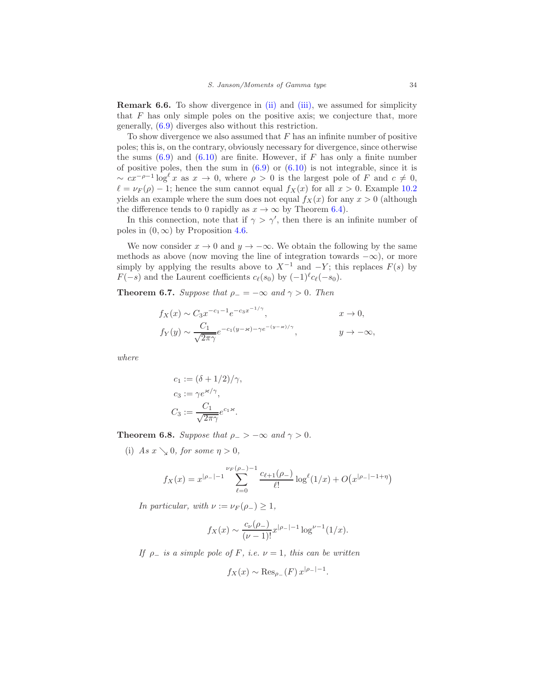<span id="page-33-2"></span>Remark 6.6. To show divergence in [\(ii\)](#page-35-3) and [\(iii\),](#page-35-1) we assumed for simplicity that  $F$  has only simple poles on the positive axis; we conjecture that, more generally, [\(6.9\)](#page-31-0) diverges also without this restriction.

To show divergence we also assumed that  $F$  has an infinite number of positive poles; this is, on the contrary, obviously necessary for divergence, since otherwise the sums  $(6.9)$  and  $(6.10)$  are finite. However, if F has only a finite number of positive poles, then the sum in  $(6.9)$  or  $(6.10)$  is not integrable, since it is  $\sim cx^{-\rho-1}\log^{\ell} x$  as  $x \to 0$ , where  $\rho > 0$  is the largest pole of F and  $c \neq 0$ ,  $\ell = \nu_F(\rho) - 1$ ; hence the sum cannot equal  $f_X(x)$  for all  $x > 0$ . Example [10.2](#page-46-2) yields an example where the sum does not equal  $f_X(x)$  for any  $x > 0$  (although the difference tends to 0 rapidly as  $x \to \infty$  by Theorem [6.4\)](#page-30-2).

In this connection, note that if  $\gamma > \gamma'$ , then there is an infinite number of poles in  $(0, \infty)$  by Proposition [4.6.](#page-23-5)

We now consider  $x \to 0$  and  $y \to -\infty$ . We obtain the following by the same methods as above (now moving the line of integration towards  $-\infty$ ), or more simply by applying the results above to  $X^{-1}$  and  $-Y$ ; this replaces  $F(s)$  by  $F(-s)$  and the Laurent coefficients  $c_{\ell}(s_0)$  by  $(-1)^{\ell}c_{\ell}(-s_0)$ .

<span id="page-33-0"></span>**Theorem 6.7.** Suppose that  $\rho = -\infty$  and  $\gamma > 0$ . Then

$$
f_X(x) \sim C_3 x^{-c_1 - 1} e^{-c_3 x^{-1/\gamma}}, \qquad x \to 0,
$$
  

$$
f_Y(y) \sim \frac{C_1}{\sqrt{2\pi\gamma}} e^{-c_1(y - \varkappa) - \gamma e^{-(y - \varkappa)/\gamma}}, \qquad y \to -\infty,
$$

where

$$
c_1 := (\delta + 1/2)/\gamma,
$$
  
\n
$$
c_3 := \gamma e^{\varkappa/\gamma},
$$
  
\n
$$
C_3 := \frac{C_1}{\sqrt{2\pi\gamma}} e^{c_1 \varkappa}.
$$

<span id="page-33-1"></span>**Theorem 6.8.** Suppose that  $\rho_{-} > -\infty$  and  $\gamma > 0$ .

(i) As  $x \searrow 0$ , for some  $\eta > 0$ ,

$$
f_X(x) = x^{|\rho_-|-1} \sum_{\ell=0}^{\nu_F(\rho_-)-1} \frac{c_{\ell+1}(\rho_-)}{\ell!} \log^{\ell}(1/x) + O(x^{|\rho_-|-1+\eta})
$$

In particular, with  $\nu := \nu_F(\rho_-) > 1$ ,

$$
f_X(x) \sim \frac{c_{\nu}(\rho_-)}{(\nu - 1)!} x^{|\rho_-| - 1} \log^{\nu - 1}(1/x).
$$

If  $\rho_$  is a simple pole of F, i.e.  $\nu = 1$ , this can be written

$$
f_X(x) \sim \operatorname{Res}_{\rho_{-}}(F) x^{|\rho_{-}|-1}
$$

.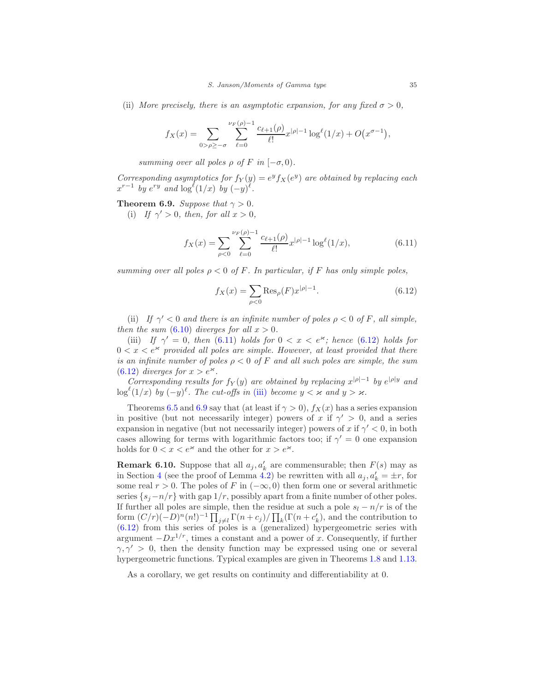(ii) More precisely, there is an asymptotic expansion, for any fixed  $\sigma > 0$ ,

$$
f_X(x) = \sum_{0 > \rho \ge -\sigma} \sum_{\ell=0}^{\nu_F(\rho)-1} \frac{c_{\ell+1}(\rho)}{\ell!} x^{|\rho|-1} \log^{\ell}(1/x) + O(x^{\sigma-1}),
$$

summing over all poles  $\rho$  of F in  $[-\sigma, 0)$ .

Corresponding asymptotics for  $f_Y(y) = e^y f_X(e^y)$  are obtained by replacing each  $x^{r-1}$  by  $e^{ry}$  and  $\log^{\ell}(1/x)$  by  $(-y)^{\ell}$ .

<span id="page-34-2"></span>Theorem 6.9. Suppose that  $\gamma > 0$ .

(i) If  $\gamma' > 0$ , then, for all  $x > 0$ ,

<span id="page-34-0"></span>
$$
f_X(x) = \sum_{\rho < 0} \sum_{\ell=0}^{\nu_F(\rho)-1} \frac{c_{\ell+1}(\rho)}{\ell!} x^{|\rho|-1} \log^{\ell}(1/x),\tag{6.11}
$$

summing over all poles  $\rho < 0$  of F. In particular, if F has only simple poles,

<span id="page-34-1"></span>
$$
f_X(x) = \sum_{\rho < 0} \text{Res}_{\rho}(F) x^{|\rho| - 1}.\tag{6.12}
$$

(ii) If  $\gamma' < 0$  and there is an infinite number of poles  $\rho < 0$  of F, all simple, then the sum  $(6.10)$  diverges for all  $x > 0$ .

(iii) If  $\gamma' = 0$ , then [\(6.11\)](#page-34-0) holds for  $0 < x < e^{\varkappa}$ ; hence [\(6.12\)](#page-34-1) holds for  $0 < x < e^{\varkappa}$  provided all poles are simple. However, at least provided that there is an infinite number of poles  $\rho < 0$  of F and all such poles are simple, the sum [\(6.12\)](#page-34-1) diverges for  $x > e^{\varkappa}$ .

Corresponding results for  $f_Y(y)$  are obtained by replacing  $x^{|\rho|-1}$  by  $e^{|\rho|y}$  and  $\log^{\ell}(1/x)$  by  $(-y)^{\ell}$ . The cut-offs in [\(iii\)](#page-35-1) become  $y < \varkappa$  and  $y > \varkappa$ .

Theorems [6.5](#page-31-2) and [6.9](#page-34-2) say that (at least if  $\gamma > 0$ ),  $f_X(x)$  has a series expansion in positive (but not necessarily integer) powers of x if  $\gamma' > 0$ , and a series expansion in negative (but not necessarily integer) powers of x if  $\gamma' < 0$ , in both cases allowing for terms with logarithmic factors too; if  $\gamma' = 0$  one expansion holds for  $0 < x < e^{\varkappa}$  and the other for  $x > e^{\varkappa}$ .

**Remark 6.10.** Suppose that all  $a_j, a'_k$  are commensurable; then  $F(s)$  may as in Section [4](#page-18-0) (see the proof of Lemma [4.2\)](#page-20-4) be rewritten with all  $a_j, a'_k = \pm r$ , for some real  $r > 0$ . The poles of F in  $(-\infty, 0)$  then form one or several arithmetic series  $\{s_i - n/r\}$  with gap  $1/r$ , possibly apart from a finite number of other poles. If further all poles are simple, then the residue at such a pole  $s_l - n/r$  is of the form  $(C/r)(-D)^n(n!)^{-1} \prod_{j\neq l} \Gamma(n+c_j) / \prod_k(\Gamma(n+c'_k))$ , and the contribution to [\(6.12\)](#page-34-1) from this series of poles is a (generalized) hypergeometric series with argument  $-Dx^{1/r}$ , times a constant and a power of x. Consequently, if further  $\gamma, \gamma' > 0$ , then the density function may be expressed using one or several hypergeometric functions. Typical examples are given in Theorems [1.8](#page-3-0) and [1.13.](#page-5-1)

As a corollary, we get results on continuity and differentiability at 0.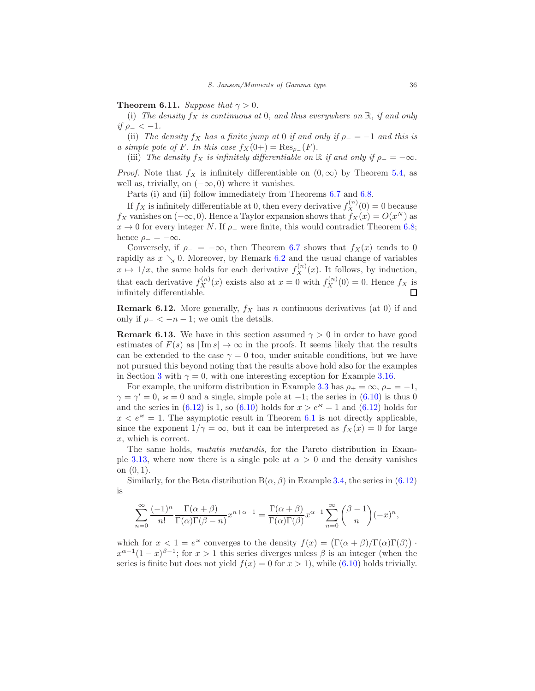# <span id="page-35-2"></span><span id="page-35-0"></span>**Theorem 6.11.** Suppose that  $\gamma > 0$ .

<span id="page-35-3"></span>(i) The density  $f_X$  is continuous at 0, and thus everywhere on  $\mathbb{R}$ , if and only if  $\rho_- < -1$ .

<span id="page-35-1"></span>(ii) The density  $f_X$  has a finite jump at 0 if and only if  $\rho_- = -1$  and this is a simple pole of F. In this case  $f_X(0+) = \text{Res}_{\rho_-}(F)$ .

(iii) The density  $f_X$  is infinitely differentiable on  $\mathbb R$  if and only if  $\rho_- = -\infty$ .

*Proof.* Note that  $f_X$  is infinitely differentiable on  $(0, \infty)$  by Theorem [5.4,](#page-25-2) as well as, trivially, on  $(-\infty, 0)$  where it vanishes.

Parts (i) and (ii) follow immediately from Theorems  $6.7$  and  $6.8$ .

If  $f_X$  is infinitely differentiable at 0, then every derivative  $f_X^{(n)}(0) = 0$  because  $f_X$  vanishes on  $(-\infty, 0)$ . Hence a Taylor expansion shows that  $f_X(x) = O(x^N)$  as  $x \to 0$  for every integer N. If  $\rho$ <sub>-</sub> were finite, this would contradict Theorem [6.8;](#page-33-1) hence  $\rho_- = -\infty$ .

Conversely, if  $\rho = -\infty$ , then Theorem [6.7](#page-33-0) shows that  $f_X(x)$  tends to 0 rapidly as  $x \searrow 0$ . Moreover, by Remark [6.2](#page-30-3) and the usual change of variables  $x \mapsto 1/x$ , the same holds for each derivative  $f_X^{(n)}(x)$ . It follows, by induction, that each derivative  $f_X^{(n)}(x)$  exists also at  $x = 0$  with  $f_X^{(n)}(0) = 0$ . Hence  $f_X$  is infinitely differentiable.

**Remark 6.12.** More generally,  $f_X$  has n continuous derivatives (at 0) if and only if  $\rho_- < -n-1$ ; we omit the details.

**Remark 6.13.** We have in this section assumed  $\gamma > 0$  in order to have good estimates of  $F(s)$  as  $|\text{Im } s| \to \infty$  in the proofs. It seems likely that the results can be extended to the case  $\gamma = 0$  too, under suitable conditions, but we have not pursued this beyond noting that the results above hold also for the examples in Section [3](#page-10-0) with  $\gamma = 0$ , with one interesting exception for Example [3.16.](#page-16-1)

For example, the uniform distribution in Example [3.3](#page-10-4) has  $\rho_+ = \infty$ ,  $\rho_- = -1$ ,  $\gamma = \gamma' = 0$ ,  $\varkappa = 0$  and a single, simple pole at  $-1$ ; the series in [\(6.10\)](#page-32-0) is thus 0 and the series in [\(6.12\)](#page-34-1) is 1, so [\(6.10\)](#page-32-0) holds for  $x > e^x = 1$  and (6.12) holds for  $x < e^{\varkappa} = 1$ . The asymptotic result in Theorem [6.1](#page-28-1) is not directly applicable, since the exponent  $1/\gamma = \infty$ , but it can be interpreted as  $f_X(x) = 0$  for large x, which is correct.

The same holds, mutatis mutandis, for the Pareto distribution in Exam-ple [3.13,](#page-15-5) where now there is a single pole at  $\alpha > 0$  and the density vanishes on  $(0, 1)$ .

Similarly, for the Beta distribution  $B(\alpha, \beta)$  in Example [3.4,](#page-11-4) the series in [\(6.12\)](#page-34-1) is

$$
\sum_{n=0}^{\infty} \frac{(-1)^n}{n!} \frac{\Gamma(\alpha+\beta)}{\Gamma(\alpha)\Gamma(\beta-n)} x^{n+\alpha-1} = \frac{\Gamma(\alpha+\beta)}{\Gamma(\alpha)\Gamma(\beta)} x^{\alpha-1} \sum_{n=0}^{\infty} {\beta-1 \choose n} (-x)^n,
$$

which for  $x < 1 = e^{\varkappa}$  converges to the density  $f(x) = (\Gamma(\alpha + \beta)/\Gamma(\alpha)\Gamma(\beta))$ .  $x^{\alpha-1}(1-x)^{\beta-1}$ ; for  $x > 1$  this series diverges unless  $\beta$  is an integer (when the series is finite but does not yield  $f(x) = 0$  for  $x > 1$ , while [\(6.10\)](#page-32-0) holds trivially.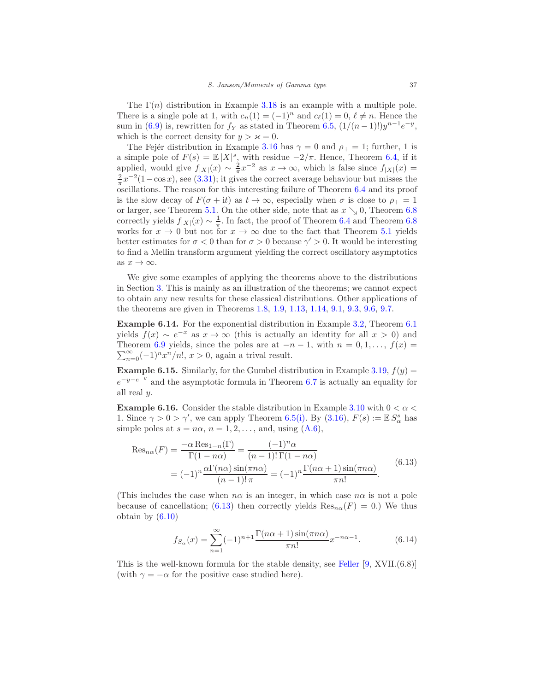The  $\Gamma(n)$  distribution in Example [3.18](#page-17-1) is an example with a multiple pole. There is a single pole at 1, with  $c_n(1) = (-1)^n$  and  $c_\ell(1) = 0, \ell \neq n$ . Hence the sum in [\(6.9\)](#page-31-0) is, rewritten for  $f_Y$  as stated in Theorem [6.5,](#page-31-2)  $(1/(n-1)!)y^{n-1}e^{-y}$ , which is the correct density for  $y > \varkappa = 0$ .

The Fejer distribution in Example [3.16](#page-16-1) has  $\gamma = 0$  and  $\rho_+ = 1$ ; further, 1 is a simple pole of  $F(s) = \mathbb{E}|X|^s$ , with residue  $-2/\pi$ . Hence, Theorem [6.4,](#page-30-2) if it applied, would give  $f_{|X|}(x) \sim \frac{2}{\pi} x^{-2}$  as  $x \to \infty$ , which is false since  $f_{|X|}(x) =$  $\frac{2}{\pi}x^{-2}(1-\cos x)$ , see [\(3.31\)](#page-16-0); it gives the correct average behaviour but misses the oscillations. The reason for this interesting failure of Theorem [6.4](#page-30-2) and its proof is the slow decay of  $F(\sigma + it)$  as  $t \to \infty$ , especially when  $\sigma$  is close to  $\rho_+ = 1$ or larger, see Theorem [5.1.](#page-23-4) On the other side, note that as  $x \searrow 0$ , Theorem [6.8](#page-33-1) correctly yields  $f_{|X|}(x) \sim \frac{1}{\pi}$ . In fact, the proof of Theorem [6.4](#page-30-2) and Theorem [6.8](#page-33-1) works for  $x \to 0$  but not for  $x \to \infty$  due to the fact that Theorem [5.1](#page-23-4) yields better estimates for  $\sigma < 0$  than for  $\sigma > 0$  because  $\gamma' > 0$ . It would be interesting to find a Mellin transform argument yielding the correct oscillatory asymptotics as  $x \to \infty$ .

We give some examples of applying the theorems above to the distributions in Section [3.](#page-10-0) This is mainly as an illustration of the theorems; we cannot expect to obtain any new results for these classical distributions. Other applications of the theorems are given in Theorems [1.8,](#page-3-0) [1.9,](#page-3-2) [1.13,](#page-5-1) [1.14,](#page-5-2) [9.1,](#page-44-0) [9.3,](#page-44-1) [9.6,](#page-45-0) [9.7.](#page-46-3)

Example 6.14. For the exponential distribution in Example [3.2,](#page-10-6) Theorem [6.1](#page-28-1) yields  $f(x) \sim e^{-x}$  as  $x \to \infty$  (this is actually an identity for all  $x > 0$ ) and  $\sum_{n=0}^{\infty}(-1)^{n}x^{n}/n!$ ,  $x > 0$ , again a trival result. Theorem [6.9](#page-34-2) yields, since the poles are at  $-n-1$ , with  $n = 0, 1, \ldots, f(x) =$ 

**Example 6.15.** Similarly, for the Gumbel distribution in Example [3.19,](#page-18-1)  $f(y) =$  $e^{-y-e^{-y}}$  and the asymptotic formula in Theorem [6.7](#page-33-0) is actually an equality for all real y.

**Example 6.16.** Consider the stable distribution in Example [3.10](#page-13-5) with  $0 < \alpha <$ 1. Since  $\gamma > 0 > \gamma'$ , we can apply Theorem [6.5](#page-31-2)[\(i\).](#page-35-2) By [\(3.16\)](#page-13-0),  $F(s) := \mathbb{E} S_{\alpha}^s$  has simple poles at  $s = n\alpha$ ,  $n = 1, 2, \dots$ , and, using  $(A.6)$ ,

<span id="page-36-0"></span>
$$
\operatorname{Res}_{n\alpha}(F) = \frac{-\alpha \operatorname{Res}_{1-n}(\Gamma)}{\Gamma(1 - n\alpha)} = \frac{(-1)^n \alpha}{(n-1)!\,\Gamma(1 - n\alpha)}
$$

$$
= (-1)^n \frac{\alpha \Gamma(n\alpha) \sin(\pi n\alpha)}{(n-1)!\,\pi} = (-1)^n \frac{\Gamma(n\alpha + 1) \sin(\pi n\alpha)}{\pi n!}.
$$
(6.13)

(This includes the case when  $n\alpha$  is an integer, in which case  $n\alpha$  is not a pole because of cancellation; [\(6.13\)](#page-36-0) then correctly yields  $\text{Res}_{n\alpha}(F) = 0$ .) We thus obtain by [\(6.10\)](#page-32-0)

<span id="page-36-1"></span>
$$
f_{S_{\alpha}}(x) = \sum_{n=1}^{\infty} (-1)^{n+1} \frac{\Gamma(n\alpha+1)\sin(\pi n\alpha)}{\pi n!} x^{-n\alpha-1}.
$$
 (6.14)

This is the well-known formula for the stable density, see [Feller](#page-49-3) [\[9,](#page-49-3) XVII.(6.8)] (with  $\gamma = -\alpha$  for the positive case studied here).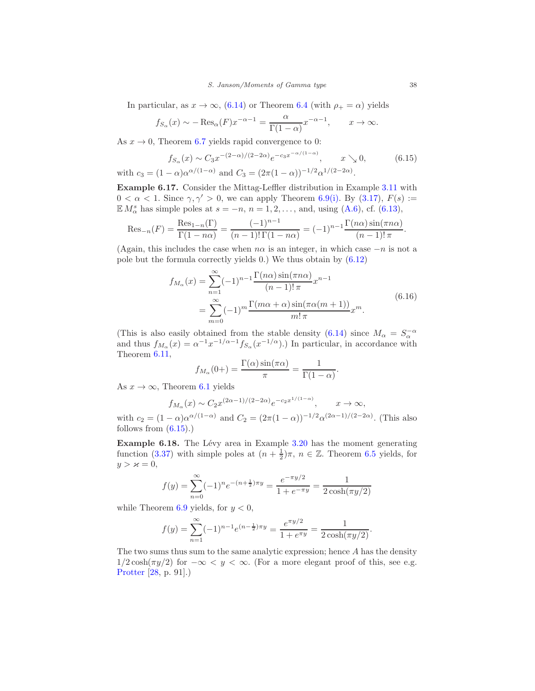In particular, as  $x \to \infty$ , [\(6.14\)](#page-36-1) or Theorem [6.4](#page-30-2) (with  $\rho_+ = \alpha$ ) yields

$$
f_{S_{\alpha}}(x) \sim -\operatorname{Res}_{\alpha}(F)x^{-\alpha-1} = \frac{\alpha}{\Gamma(1-\alpha)}x^{-\alpha-1}, \qquad x \to \infty.
$$

As  $x \to 0$ , Theorem [6.7](#page-33-0) yields rapid convergence to 0:

<span id="page-37-1"></span>
$$
f_{S_{\alpha}}(x) \sim C_3 x^{-(2-\alpha)/(2-2\alpha)} e^{-c_3 x^{-\alpha/(1-\alpha)}}, \qquad x \searrow 0,
$$
 (6.15)

with  $c_3 = (1 - \alpha)\alpha^{\alpha/(1 - \alpha)}$  and  $C_3 = (2\pi(1 - \alpha))^{-1/2}\alpha^{1/(2 - 2\alpha)}$ . Example 6.17. Consider the Mittag-Leffler distribution in Example [3.11](#page-13-4) with

<span id="page-37-2"></span> $0 < \alpha < 1$ . Since  $\gamma, \gamma' > 0$ , we can apply Theorem [6.9](#page-34-2)[\(i\).](#page-35-2) By [\(3.17\)](#page-13-3),  $F(s) :=$  $\mathbb{E} M_{\alpha}^{s}$  has simple poles at  $s = -n, n = 1, 2, \ldots$ , and, using [\(A.6\)](#page-48-8), cf. [\(6.13\)](#page-36-0),

Res<sub>-n</sub>(F) = 
$$
\frac{\text{Res}_{1-n}(\Gamma)}{\Gamma(1-n\alpha)} = \frac{(-1)^{n-1}}{(n-1)!\,\Gamma(1-n\alpha)} = (-1)^{n-1} \frac{\Gamma(n\alpha)\sin(\pi n\alpha)}{(n-1)!\,\pi}.
$$

(Again, this includes the case when  $n\alpha$  is an integer, in which case  $-n$  is not a pole but the formula correctly yields 0.) We thus obtain by [\(6.12\)](#page-34-1)

$$
f_{M_{\alpha}}(x) = \sum_{n=1}^{\infty} (-1)^{n-1} \frac{\Gamma(n\alpha) \sin(\pi n\alpha)}{(n-1)! \pi} x^{n-1}
$$
  
= 
$$
\sum_{m=0}^{\infty} (-1)^m \frac{\Gamma(m\alpha + \alpha) \sin(\pi \alpha (m+1))}{m! \pi} x^m.
$$
 (6.16)

(This is also easily obtained from the stable density [\(6.14\)](#page-36-1) since  $M_{\alpha} = S_{\alpha}^{-\alpha}$  and thus  $f_{M_{\alpha}}(x) = \alpha^{-1} x^{-1/\alpha-1} f_{S_{\alpha}}(x^{-1/\alpha})$ .) In particular, in accordance with Theorem [6.11,](#page-35-0)

$$
f_{M_{\alpha}}(0+) = \frac{\Gamma(\alpha)\sin(\pi\alpha)}{\pi} = \frac{1}{\Gamma(1-\alpha)}.
$$

As  $x \to \infty$ , Theorem [6.1](#page-28-1) yields

$$
f_{M_{\alpha}}(x) \sim C_2 x^{(2\alpha-1)/(2-2\alpha)} e^{-c_2 x^{1/(1-\alpha)}}, \qquad x \to \infty,
$$

with  $c_2 = (1 - \alpha)\alpha^{\alpha/(1 - \alpha)}$  and  $C_2 = (2\pi(1 - \alpha))^{-1/2}\alpha^{(2\alpha - 1)/(2 - 2\alpha)}$ . (This also follows from  $(6.15)$ .

<span id="page-37-0"></span>**Example 6.18.** The Lévy area in Example [3.20](#page-18-3) has the moment generating function [\(3.37\)](#page-18-4) with simple poles at  $(n + \frac{1}{2})\pi$ ,  $n \in \mathbb{Z}$ . Theorem [6.5](#page-31-2) yields, for  $y > \varkappa = 0$ ,

$$
f(y) = \sum_{n=0}^{\infty} (-1)^n e^{-(n+\frac{1}{2})\pi y} = \frac{e^{-\pi y/2}}{1 + e^{-\pi y}} = \frac{1}{2\cosh(\pi y/2)}
$$

while Theorem [6.9](#page-34-2) yields, for  $y < 0$ ,

$$
f(y) = \sum_{n=1}^{\infty} (-1)^{n-1} e^{(n-\frac{1}{2})\pi y} = \frac{e^{\pi y/2}}{1 + e^{\pi y}} = \frac{1}{2 \cosh(\pi y/2)}.
$$

The two sums thus sum to the same analytic expression; hence A has the density  $1/2 \cosh(\pi y/2)$  for  $-\infty < y < \infty$ . (For a more elegant proof of this, see e.g. [Protter](#page-50-12) [\[28,](#page-50-12) p. 91].)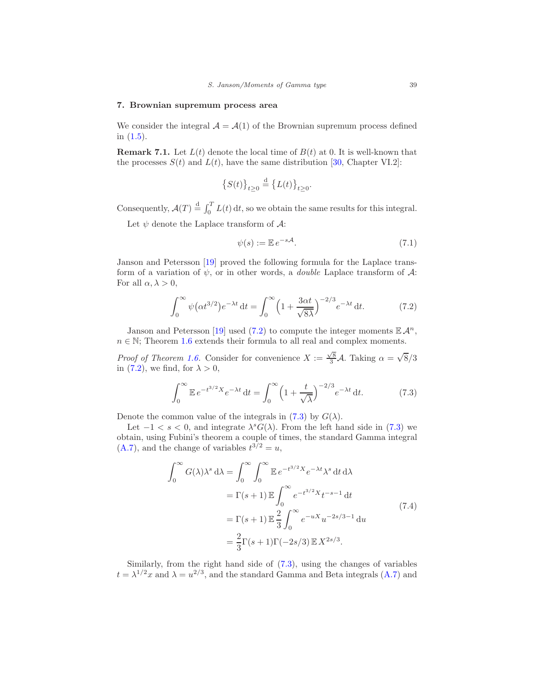# <span id="page-38-0"></span>7. Brownian supremum process area

We consider the integral  $\mathcal{A} = \mathcal{A}(1)$  of the Brownian supremum process defined in [\(1.5\)](#page-2-2).

**Remark 7.1.** Let  $L(t)$  denote the local time of  $B(t)$  at 0. It is well-known that the processes  $S(t)$  and  $L(t)$ , have the same distribution [\[30](#page-51-0), Chapter VI.2]:

$$
\left\{S(t)\right\}_{t\geq 0} \stackrel{\text{d}}{=} \left\{L(t)\right\}_{t\geq 0}.
$$

Consequently,  $\mathcal{A}(T) \stackrel{\text{d}}{=} \int_0^T L(t) dt$ , so we obtain the same results for this integral.

Let  $\psi$  denote the Laplace transform of  $\mathcal{A}$ :

$$
\psi(s) := \mathbb{E} \, e^{-s\mathcal{A}}.\tag{7.1}
$$

Janson and Petersson [\[19](#page-50-0)] proved the following formula for the Laplace transform of a variation of  $\psi$ , or in other words, a *double* Laplace transform of  $\mathcal{A}$ : For all  $\alpha, \lambda > 0$ ,

<span id="page-38-1"></span>
$$
\int_0^\infty \psi(\alpha t^{3/2}) e^{-\lambda t} dt = \int_0^\infty \left(1 + \frac{3\alpha t}{\sqrt{8\lambda}}\right)^{-2/3} e^{-\lambda t} dt. \tag{7.2}
$$

Janson and Petersson [\[19\]](#page-50-0) used [\(7.2\)](#page-38-1) to compute the integer moments  $\mathbb{E} \mathcal{A}^n$ ,  $n \in \mathbb{N}$ ; Theorem [1.6](#page-2-0) extends their formula to all real and complex moments.

*Proof of Theorem [1.6.](#page-2-0)* Consider for convenience  $X := \frac{\sqrt{8}}{3} \mathcal{A}$ . Taking  $\alpha = \sqrt{8}/3$ in [\(7.2\)](#page-38-1), we find, for  $\lambda > 0$ ,

<span id="page-38-2"></span>
$$
\int_0^\infty \mathbb{E} \, e^{-t^{3/2} X} e^{-\lambda t} \, \mathrm{d}t = \int_0^\infty \left( 1 + \frac{t}{\sqrt{\lambda}} \right)^{-2/3} e^{-\lambda t} \, \mathrm{d}t. \tag{7.3}
$$

Denote the common value of the integrals in [\(7.3\)](#page-38-2) by  $G(\lambda)$ .

Let  $-1 < s < 0$ , and integrate  $\lambda^s G(\lambda)$ . From the left hand side in [\(7.3\)](#page-38-2) we obtain, using Fubini's theorem a couple of times, the standard Gamma integral  $(A.7)$ , and the change of variables  $t^{3/2} = u$ ,

$$
\int_0^\infty G(\lambda)\lambda^s \,d\lambda = \int_0^\infty \int_0^\infty \mathbb{E} \, e^{-t^{3/2}X} e^{-\lambda t} \lambda^s \,dt \,d\lambda
$$

$$
= \Gamma(s+1) \mathbb{E} \int_0^\infty e^{-t^{3/2}X} t^{-s-1} \,dt
$$

$$
= \Gamma(s+1) \mathbb{E} \frac{2}{3} \int_0^\infty e^{-uX} u^{-2s/3-1} \,du
$$

$$
= \frac{2}{3} \Gamma(s+1) \Gamma(-2s/3) \mathbb{E} X^{2s/3}.
$$
 (7.4)

<span id="page-38-3"></span>Similarly, from the right hand side of [\(7.3\)](#page-38-2), using the changes of variables  $t = \lambda^{1/2}x$  and  $\lambda = u^{2/3}$ , and the standard Gamma and Beta integrals [\(A.7\)](#page-48-9) and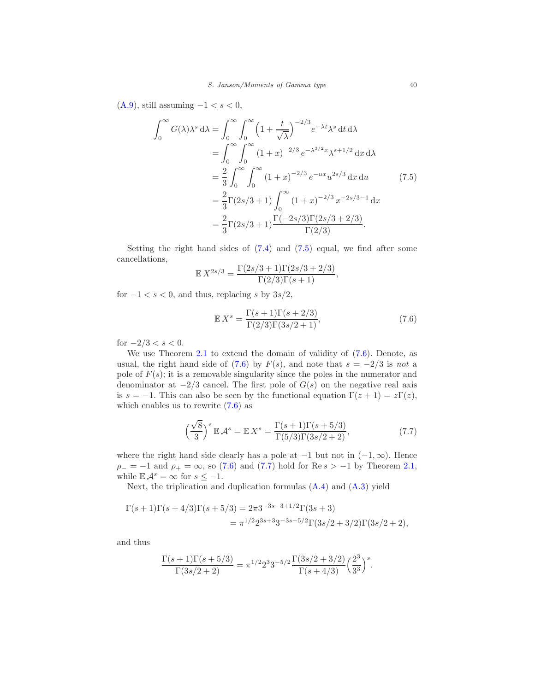$(A.9)$ , still assuming  $-1 < s < 0$ ,

<span id="page-39-0"></span>
$$
\int_0^\infty G(\lambda)\lambda^s \,d\lambda = \int_0^\infty \int_0^\infty \left(1 + \frac{t}{\sqrt{\lambda}}\right)^{-2/3} e^{-\lambda t} \lambda^s \,dt \,d\lambda
$$
  
\n
$$
= \int_0^\infty \int_0^\infty (1+x)^{-2/3} e^{-\lambda^3/2} x \lambda^{s+1/2} \,dx \,d\lambda
$$
  
\n
$$
= \frac{2}{3} \int_0^\infty \int_0^\infty (1+x)^{-2/3} e^{-ux} u^{2s/3} \,dx \,du \qquad (7.5)
$$
  
\n
$$
= \frac{2}{3} \Gamma(2s/3+1) \int_0^\infty (1+x)^{-2/3} x^{-2s/3-1} \,dx
$$
  
\n
$$
= \frac{2}{3} \Gamma(2s/3+1) \frac{\Gamma(-2s/3) \Gamma(2s/3+2/3)}{\Gamma(2/3)}.
$$

Setting the right hand sides of  $(7.4)$  and  $(7.5)$  equal, we find after some cancellations,

$$
\mathbb{E} X^{2s/3} = \frac{\Gamma(2s/3+1)\Gamma(2s/3+2/3)}{\Gamma(2/3)\Gamma(s+1)},
$$

for  $-1 < s < 0$ , and thus, replacing s by  $3s/2$ ,

<span id="page-39-1"></span>
$$
\mathbb{E}X^s = \frac{\Gamma(s+1)\Gamma(s+2/3)}{\Gamma(2/3)\Gamma(3s/2+1)},
$$
\n(7.6)

for  $-2/3 < s < 0$ .

We use Theorem [2.1](#page-6-0) to extend the domain of validity of  $(7.6)$ . Denote, as usual, the right hand side of [\(7.6\)](#page-39-1) by  $F(s)$ , and note that  $s = -2/3$  is not a pole of  $F(s)$ ; it is a removable singularity since the poles in the numerator and denominator at  $-2/3$  cancel. The first pole of  $G(s)$  on the negative real axis is  $s = -1$ . This can also be seen by the functional equation  $\Gamma(z + 1) = z\Gamma(z)$ , which enables us to rewrite [\(7.6\)](#page-39-1) as

<span id="page-39-2"></span>
$$
\left(\frac{\sqrt{8}}{3}\right)^s \mathbb{E} \mathcal{A}^s = \mathbb{E} X^s = \frac{\Gamma(s+1)\Gamma(s+5/3)}{\Gamma(5/3)\Gamma(3s/2+2)},\tag{7.7}
$$

where the right hand side clearly has a pole at  $-1$  but not in  $(-1, \infty)$ . Hence  $\rho_- = -1$  and  $\rho_+ = \infty$ , so [\(7.6\)](#page-39-1) and [\(7.7\)](#page-39-2) hold for Re s > -1 by Theorem [2.1,](#page-6-0) while  $\mathbb{E} \mathcal{A}^s = \infty$  for  $s \leq -1$ .

Next, the triplication and duplication formulas [\(A.4\)](#page-48-10) and [\(A.3\)](#page-48-0) yield

$$
\Gamma(s+1)\Gamma(s+4/3)\Gamma(s+5/3) = 2\pi 3^{-3s-3+1/2}\Gamma(3s+3)
$$
  
=  $\pi^{1/2}2^{3s+3}3^{-3s-5/2}\Gamma(3s/2+3/2)\Gamma(3s/2+2),$ 

and thus

$$
\frac{\Gamma(s+1)\Gamma(s+5/3)}{\Gamma(3s/2+2)} = \pi^{1/2} 2^3 3^{-5/2} \frac{\Gamma(3s/2+3/2)}{\Gamma(s+4/3)} \left(\frac{2^3}{3^3}\right)^s.
$$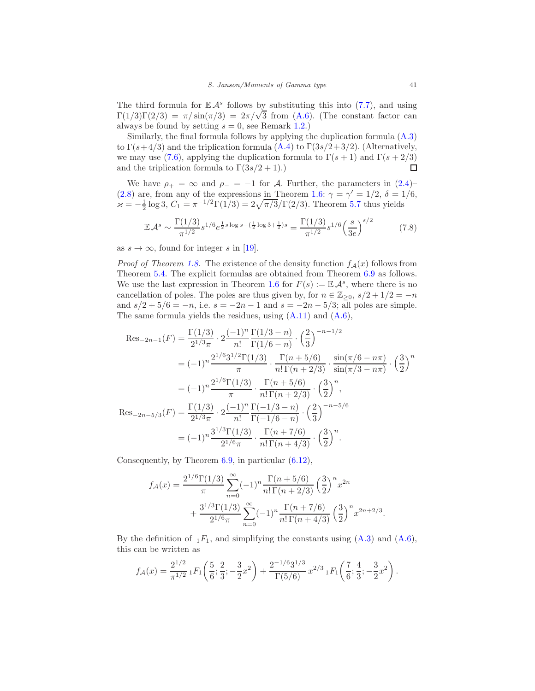The third formula for  $\mathbb{E} \mathcal{A}^s$  follows by substituting this into [\(7.7\)](#page-39-2), and using  $Γ(1/3)Γ(2/3) = π/sin(π/3) = 2π/√3$  from [\(A.6\)](#page-48-8). (The constant factor can always be found by setting  $s = 0$ , see Remark [1.2.](#page-1-2))

Similarly, the final formula follows by applying the duplication formula [\(A.3\)](#page-48-0) to  $\Gamma(s+4/3)$  and the triplication formula  $(A.4)$  to  $\Gamma(3s/2+3/2)$ . (Alternatively, we may use [\(7.6\)](#page-39-1), applying the duplication formula to  $\Gamma(s+1)$  and  $\Gamma(s+2/3)$ and the triplication formula to  $\Gamma(3s/2+1)$ .)  $\Box$ 

We have  $\rho_+ = \infty$  and  $\rho_- = -1$  for A. Further, the parameters in  $(2.4)$ [\(2.8\)](#page-9-5) are, from any of the expressions in Theorem [1.6:](#page-2-0)  $\gamma = \gamma' = 1/2, \delta = 1/6$ ,  $\kappa = -\frac{1}{2} \log 3$ ,  $C_1 = \pi^{-1/2} \Gamma(1/3) = 2\sqrt{\pi/3} \Gamma(2/3)$ . Theorem 5.7 thus yields

<span id="page-40-0"></span>
$$
\mathbb{E} \mathcal{A}^s \sim \frac{\Gamma(1/3)}{\pi^{1/2}} s^{1/6} e^{\frac{1}{2}s \log s - (\frac{1}{2} \log 3 + \frac{1}{2})s} = \frac{\Gamma(1/3)}{\pi^{1/2}} s^{1/6} \left(\frac{s}{3e}\right)^{s/2} \tag{7.8}
$$

as  $s \to \infty$ , found for integer s in [\[19\]](#page-50-0).

*Proof of Theorem [1.8.](#page-3-0)* The existence of the density function  $f_{\mathcal{A}}(x)$  follows from Theorem [5.4.](#page-25-2) The explicit formulas are obtained from Theorem [6.9](#page-34-2) as follows. We use the last expression in Theorem [1.6](#page-2-0) for  $F(s) := \mathbb{E} \mathcal{A}^s$ , where there is no cancellation of poles. The poles are thus given by, for  $n \in \mathbb{Z}_{\geq 0}$ ,  $s/2 + 1/2 = -n$ and  $s/2 + 5/6 = -n$ , i.e.  $s = -2n - 1$  and  $s = -2n - 5/3$ ; all poles are simple. The same formula yields the residues, using [\(A.11\)](#page-49-10) and [\(A.6\)](#page-48-8),

$$
\operatorname{Res}_{-2n-1}(F) = \frac{\Gamma(1/3)}{2^{1/3}\pi} \cdot 2 \frac{(-1)^n}{n!} \frac{\Gamma(1/3 - n)}{\Gamma(1/6 - n)} \cdot \left(\frac{2}{3}\right)^{-n-1/2}
$$
  
\n
$$
= (-1)^n \frac{2^{1/6} 3^{1/2} \Gamma(1/3)}{\pi} \cdot \frac{\Gamma(n+5/6)}{n! \Gamma(n+2/3)} \cdot \frac{\sin(\pi/6 - n\pi)}{\sin(\pi/3 - n\pi)} \cdot \left(\frac{3}{2}\right)^n
$$
  
\n
$$
= (-1)^n \frac{2^{1/6} \Gamma(1/3)}{\pi} \cdot \frac{\Gamma(n+5/6)}{n! \Gamma(n+2/3)} \cdot \left(\frac{3}{2}\right)^n,
$$
  
\n
$$
\operatorname{Res}_{-2n-5/3}(F) = \frac{\Gamma(1/3)}{2^{1/3}\pi} \cdot 2 \frac{(-1)^n}{n!} \frac{\Gamma(-1/3 - n)}{\Gamma(-1/6 - n)} \cdot \left(\frac{2}{3}\right)^{-n-5/6}
$$
  
\n
$$
= (-1)^n \frac{3^{1/3} \Gamma(1/3)}{2^{1/6}\pi} \cdot \frac{\Gamma(n+7/6)}{n! \Gamma(n+4/3)} \cdot \left(\frac{3}{2}\right)^n.
$$

Consequently, by Theorem [6.9,](#page-34-2) in particular [\(6.12\)](#page-34-1),

$$
f_{\mathcal{A}}(x) = \frac{2^{1/6} \Gamma(1/3)}{\pi} \sum_{n=0}^{\infty} (-1)^n \frac{\Gamma(n+5/6)}{n! \Gamma(n+2/3)} \left(\frac{3}{2}\right)^n x^{2n} + \frac{3^{1/3} \Gamma(1/3)}{2^{1/6} \pi} \sum_{n=0}^{\infty} (-1)^n \frac{\Gamma(n+7/6)}{n! \Gamma(n+4/3)} \left(\frac{3}{2}\right)^n x^{2n+2/3}.
$$

By the definition of  $_1F_1$ , and simplifying the constants using  $(A.3)$  and  $(A.6)$ , this can be written as

$$
f_{\mathcal{A}}(x) = \frac{2^{1/2}}{\pi^{1/2}} {}_1F_1\left(\frac{5}{6}; \frac{2}{3}; -\frac{3}{2}x^2\right) + \frac{2^{-1/6}3^{1/3}}{\Gamma(5/6)} x^{2/3} {}_1F_1\left(\frac{7}{6}; \frac{4}{3}; -\frac{3}{2}x^2\right).
$$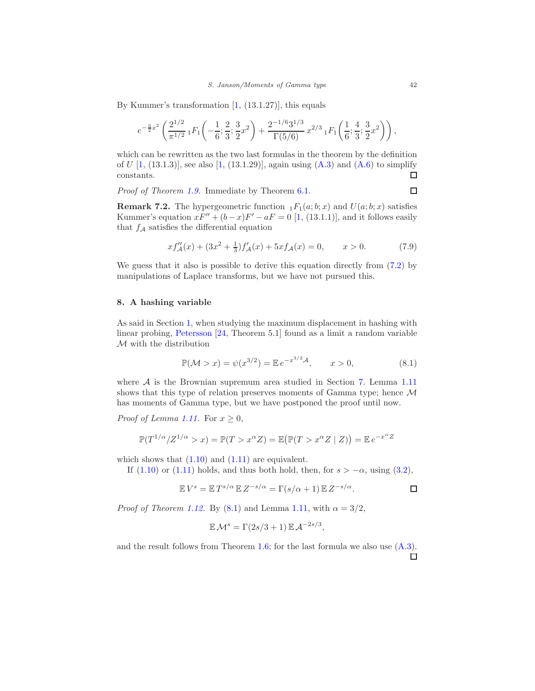By Kummer's transformation  $[1, (13.1.27)]$ , this equals

$$
e^{-\frac{3}{2}x^2}\left(\frac{2^{1/2}}{\pi^{1/2}}\, {}_1F_1\left(-\frac{1}{6};\frac{2}{3};\frac{3}{2}x^2\right)+\frac{2^{-1/6}3^{1/3}}{\Gamma(5/6)}\, x^{2/3}\, {}_1F_1\left(\frac{1}{6};\frac{4}{3};\frac{3}{2}x^2\right)\right),\,
$$

which can be rewritten as the two last formulas in the theorem by the definition of U  $[1, (13.1.3)]$  $[1, (13.1.3)]$ , see also  $[1, (13.1.29)]$ , again using  $(A.3)$  and  $(A.6)$  to simplify constants.  $\Box$ 

Proof of Theorem [1.9.](#page-3-2) Immediate by Theorem [6.1.](#page-28-1)

**Remark 7.2.** The hypergeometric function  $_1F_1(a;b;x)$  and  $U(a;b;x)$  satisfies Kummer's equation  $xF'' + (b-x)F' - aF = 0$  [\[1,](#page-49-0) (13.1.1)], and it follows easily that  $f_{\mathcal{A}}$  satisfies the differential equation

$$
xf''_{\mathcal{A}}(x) + (3x^2 + \frac{1}{3})f'_{\mathcal{A}}(x) + 5xf_{\mathcal{A}}(x) = 0, \qquad x > 0.
$$
 (7.9)

We guess that it also is possible to derive this equation directly from [\(7.2\)](#page-38-1) by manipulations of Laplace transforms, but we have not pursued this.

# <span id="page-41-0"></span>8. A hashing variable

As said in Section [1,](#page-0-4) when studying the maximum displacement in hashing with linear probing, [Petersson](#page-50-5) [\[24,](#page-50-5) Theorem 5.1] found as a limit a random variable  $\mathcal M$  with the distribution

<span id="page-41-1"></span>
$$
\mathbb{P}(\mathcal{M} > x) = \psi(x^{3/2}) = \mathbb{E} \, e^{-x^{3/2} \mathcal{A}}, \qquad x > 0,\tag{8.1}
$$

where  $A$  is the Brownian supremum area studied in Section [7.](#page-38-0) Lemma [1.11](#page-4-3) shows that this type of relation preserves moments of Gamma type; hence  $\mathcal M$ has moments of Gamma type, but we have postponed the proof until now.

*Proof of Lemma [1.11.](#page-4-3)* For  $x \geq 0$ ,

$$
\mathbb{P}(T^{1/\alpha}/Z^{1/\alpha} > x) = \mathbb{P}(T > x^{\alpha}Z) = \mathbb{E}(\mathbb{P}(T > x^{\alpha}Z \mid Z)) = \mathbb{E}e^{-x^{\alpha}Z}
$$

which shows that  $(1.10)$  and  $(1.11)$  are equivalent.

If [\(1.10\)](#page-4-0) or [\(1.11\)](#page-4-1) holds, and thus both hold, then, for  $s > -\alpha$ , using [\(3.2\)](#page-10-7),

$$
\mathbb{E} V^s = \mathbb{E} T^{s/\alpha} \mathbb{E} Z^{-s/\alpha} = \Gamma(s/\alpha + 1) \mathbb{E} Z^{-s/\alpha}.
$$

*Proof of Theorem [1.12.](#page-5-0)* By [\(8.1\)](#page-41-1) and Lemma [1.11,](#page-4-3) with  $\alpha = 3/2$ ,

$$
\mathbb{E}\mathcal{M}^s = \Gamma(2s/3+1)\,\mathbb{E}\,\mathcal{A}^{-2s/3},
$$

and the result follows from Theorem [1.6;](#page-2-0) for the last formula we also use [\(A.3\)](#page-48-0).□

 $\Box$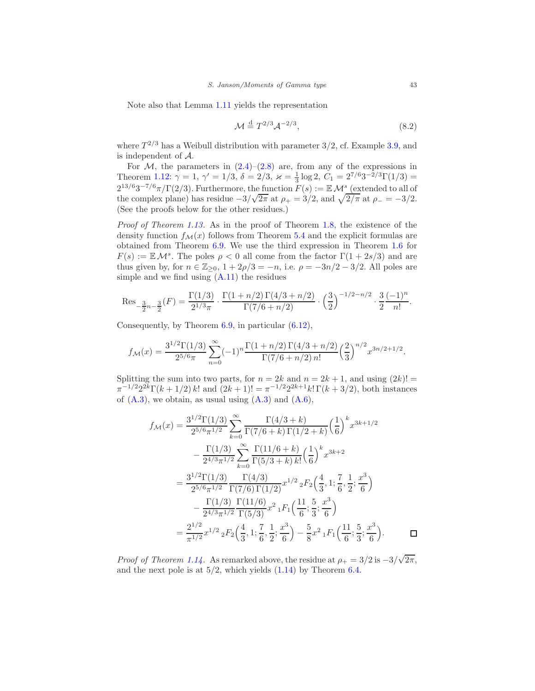Note also that Lemma [1.11](#page-4-3) yields the representation

$$
\mathcal{M} \stackrel{\text{d}}{=} T^{2/3} \mathcal{A}^{-2/3},\tag{8.2}
$$

where  $T^{2/3}$  has a Weibull distribution with parameter 3/2, cf. Example [3.9,](#page-12-4) and is independent of A.

For  $M$ , the parameters in  $(2.4)$ – $(2.8)$  are, from any of the expressions in Theorem [1.12:](#page-5-0)  $\gamma = 1$ ,  $\gamma' = 1/3$ ,  $\delta = 2/3$ ,  $\varkappa = \frac{1}{3} \log 2$ ,  $C_1 = 2^{7/6} 3^{-2/3} \Gamma(1/3) =$  $2^{13/6}3^{-7/6}\pi/\Gamma(2/3)$ . Furthermore, the function  $F(s) := \mathbb{E} \mathcal{M}^s$  (extended to all of the complex plane) has residue  $-3/\sqrt{2\pi}$  at  $\rho_+ = 3/2$ , and  $\sqrt{2/\pi}$  at  $\rho_- = -3/2$ . (See the proofs below for the other residues.)

Proof of Theorem [1.13.](#page-5-1) As in the proof of Theorem [1.8,](#page-3-0) the existence of the density function  $f_{\mathcal{M}}(x)$  follows from Theorem [5.4](#page-25-2) and the explicit formulas are obtained from Theorem [6.9.](#page-34-2) We use the third expression in Theorem [1.6](#page-2-0) for  $F(s) := \mathbb{E} \mathcal{M}^s$ . The poles  $\rho < 0$  all come from the factor  $\Gamma(1 + 2s/3)$  and are thus given by, for  $n \in \mathbb{Z}_{\geq 0}$ ,  $1 + 2\rho/3 = -n$ , i.e.  $\rho = -3n/2 - 3/2$ . All poles are simple and we find using [\(A.11\)](#page-49-10) the residues

Res<sub>-
$$
\frac{3}{2}
$$
n- $\frac{3}{2}$</sub> (F) =  $\frac{\Gamma(1/3)}{2^{1/3}\pi} \cdot \frac{\Gamma(1+n/2)\Gamma(4/3+n/2)}{\Gamma(7/6+n/2)} \cdot \left(\frac{3}{2}\right)^{-1/2-n/2} \cdot \frac{3}{2} \frac{(-1)^n}{n!}$ .

Consequently, by Theorem [6.9,](#page-34-2) in particular [\(6.12\)](#page-34-1),

$$
f_{\mathcal{M}}(x) = \frac{3^{1/2} \Gamma(1/3)}{2^{5/6} \pi} \sum_{n=0}^{\infty} (-1)^n \frac{\Gamma(1+n/2) \Gamma(4/3+n/2)}{\Gamma(7/6+n/2) n!} \left(\frac{2}{3}\right)^{n/2} x^{3n/2+1/2}.
$$

Splitting the sum into two parts, for  $n = 2k$  and  $n = 2k + 1$ , and using  $(2k)!$  $\pi^{-1/2} 2^{2k} \Gamma(k+1/2) k!$  and  $(2k+1)! = \pi^{-1/2} 2^{2k+1} k! \Gamma(k+3/2)$ , both instances of  $(A.3)$ , we obtain, as usual using  $(A.3)$  and  $(A.6)$ ,

$$
f_{\mathcal{M}}(x) = \frac{3^{1/2} \Gamma(1/3)}{2^{5/6} \pi^{1/2}} \sum_{k=0}^{\infty} \frac{\Gamma(4/3+k)}{\Gamma(7/6+k) \Gamma(1/2+k)} \left(\frac{1}{6}\right)^k x^{3k+1/2}
$$

$$
- \frac{\Gamma(1/3)}{2^{4/3} \pi^{1/2}} \sum_{k=0}^{\infty} \frac{\Gamma(11/6+k)}{\Gamma(5/3+k) k!} \left(\frac{1}{6}\right)^k x^{3k+2}
$$

$$
= \frac{3^{1/2} \Gamma(1/3)}{2^{5/6} \pi^{1/2}} \frac{\Gamma(4/3)}{\Gamma(7/6) \Gamma(1/2)} x^{1/2} {}_2F_2\left(\frac{4}{3}, 1; \frac{7}{6}, \frac{1}{2}; \frac{x^3}{6}\right)
$$

$$
- \frac{\Gamma(1/3)}{2^{4/3} \pi^{1/2}} \frac{\Gamma(11/6)}{\Gamma(5/3)} x^2 {}_1F_1\left(\frac{11}{6}; \frac{5}{3}; \frac{x^3}{6}\right)
$$

$$
= \frac{2^{1/2}}{\pi^{1/2}} x^{1/2} {}_2F_2\left(\frac{4}{3}, 1; \frac{7}{6}, \frac{1}{2}; \frac{x^3}{6}\right) - \frac{5}{8} x^2 {}_1F_1\left(\frac{11}{6}; \frac{5}{3}; \frac{x^3}{6}\right).
$$

*Proof of Theorem [1.14.](#page-5-2)* As remarked above, the residue at  $\rho_+ = 3/2$  is  $-3/\sqrt{2\pi}$ , and the next pole is at  $5/2$ , which yields  $(1.14)$  by Theorem [6.4.](#page-30-2)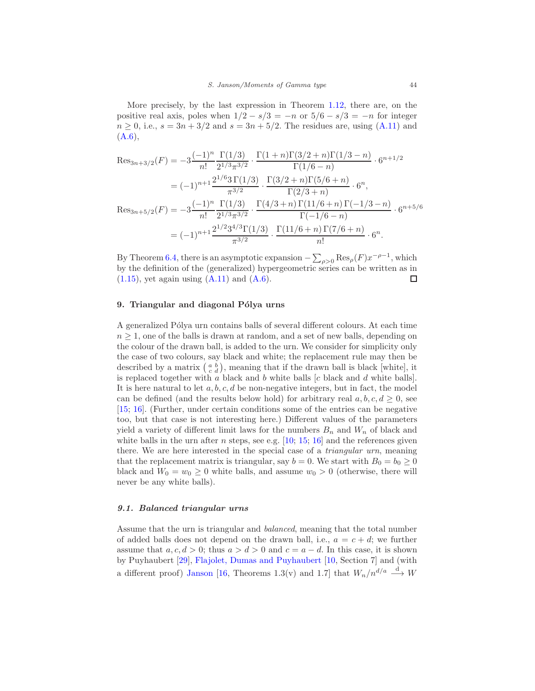More precisely, by the last expression in Theorem [1.12,](#page-5-0) there are, on the positive real axis, poles when  $1/2 - s/3 = -n$  or  $5/6 - s/3 = -n$  for integer  $n > 0$ , i.e.,  $s = 3n + 3/2$  and  $s = 3n + 5/2$ . The residues are, using [\(A.11\)](#page-49-10) and  $(A.6),$  $(A.6),$ 

$$
\operatorname{Res}_{3n+3/2}(F) = -3 \frac{(-1)^n}{n!} \frac{\Gamma(1/3)}{2^{1/3} \pi^{3/2}} \cdot \frac{\Gamma(1+n)\Gamma(3/2+n)\Gamma(1/3-n)}{\Gamma(1/6-n)} \cdot 6^{n+1/2}
$$

$$
= (-1)^{n+1} \frac{2^{1/6} 3 \Gamma(1/3)}{\pi^{3/2}} \cdot \frac{\Gamma(3/2+n)\Gamma(5/6+n)}{\Gamma(2/3+n)} \cdot 6^n,
$$

$$
\operatorname{Res}_{3n+5/2}(F) = -3 \frac{(-1)^n}{n!} \frac{\Gamma(1/3)}{2^{1/3} \pi^{3/2}} \cdot \frac{\Gamma(4/3+n)\Gamma(11/6+n)\Gamma(-1/3-n)}{\Gamma(-1/6-n)} \cdot 6^{n+5/6}
$$

$$
= (-1)^{n+1} \frac{2^{1/2} 3^{4/3} \Gamma(1/3)}{\pi^{3/2}} \cdot \frac{\Gamma(11/6+n)\Gamma(7/6+n)}{n!} \cdot 6^n.
$$

By Theorem [6.4,](#page-30-2) there is an asymptotic expansion  $-\sum_{\rho>0} \text{Res}_{\rho}(F)x^{-\rho-1}$ , which by the definition of the (generalized) hypergeometric series can be written as in  $(1.15)$ , yet again using  $(A.11)$  and  $(A.6)$ . □

# <span id="page-43-0"></span>9. Triangular and diagonal Pólya urns

A generalized Pólya urn contains balls of several different colours. At each time  $n \geq 1$ , one of the balls is drawn at random, and a set of new balls, depending on the colour of the drawn ball, is added to the urn. We consider for simplicity only the case of two colours, say black and white; the replacement rule may then be described by a matrix  $\begin{pmatrix} a & b \\ c & d \end{pmatrix}$ , meaning that if the drawn ball is black [white], it is replaced together with a black and b white balls  $[c$  black and  $d$  white balls. It is here natural to let  $a, b, c, d$  be non-negative integers, but in fact, the model can be defined (and the results below hold) for arbitrary real  $a, b, c, d \geq 0$ , see [\[15;](#page-50-15) [16\]](#page-50-6). (Further, under certain conditions some of the entries can be negative too, but that case is not interesting here.) Different values of the parameters yield a variety of different limit laws for the numbers  $B_n$  and  $W_n$  of black and white balls in the urn after  $n$  steps, see e.g.  $[10; 15; 16]$  $[10; 15; 16]$  $[10; 15; 16]$  $[10; 15; 16]$  and the references given there. We are here interested in the special case of a triangular urn, meaning that the replacement matrix is triangular, say  $b = 0$ . We start with  $B_0 = b_0 \ge 0$ black and  $W_0 = w_0 \ge 0$  white balls, and assume  $w_0 > 0$  (otherwise, there will never be any white balls).

# 9.1. Balanced triangular urns

Assume that the urn is triangular and balanced, meaning that the total number of added balls does not depend on the drawn ball, i.e.,  $a = c + d$ ; we further assume that  $a, c, d > 0$ ; thus  $a > d > 0$  and  $c = a - d$ . In this case, it is shown by Puyhaubert [\[29\]](#page-50-16), [Flajolet, Dumas and Puyhaubert](#page-49-1) [\[10,](#page-49-1) Section 7] and (with a different proof) [Janson](#page-50-6) [\[16](#page-50-6), Theorems 1.3(v) and 1.7] that  $W_n/n^{d/a} \stackrel{d}{\longrightarrow} W$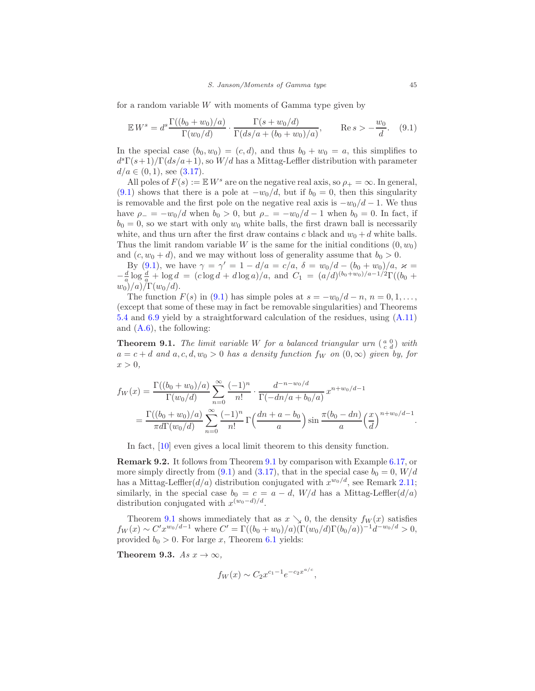for a random variable  $W$  with moments of Gamma type given by

<span id="page-44-2"></span>
$$
\mathbb{E} W^s = d^s \frac{\Gamma((b_0 + w_0)/a)}{\Gamma(w_0/d)} \cdot \frac{\Gamma(s + w_0/d)}{\Gamma(ds/a + (b_0 + w_0)/a)}, \qquad \text{Re}\, s > -\frac{w_0}{d}.\tag{9.1}
$$

In the special case  $(b_0, w_0) = (c, d)$ , and thus  $b_0 + w_0 = a$ , this simplifies to  $d^{s}\Gamma(s+1)/\Gamma(ds/a+1)$ , so  $W/d$  has a Mittag-Leffler distribution with parameter  $d/a \in (0,1)$ , see  $(3.17)$ .

All poles of  $F(s) := \mathbb{E} W^s$  are on the negative real axis, so  $\rho_+ = \infty$ . In general, [\(9.1\)](#page-44-2) shows that there is a pole at  $-w_0/d$ , but if  $b_0 = 0$ , then this singularity is removable and the first pole on the negative real axis is  $-w_0/d - 1$ . We thus have  $\rho_- = -w_0/d$  when  $b_0 > 0$ , but  $\rho_- = -w_0/d - 1$  when  $b_0 = 0$ . In fact, if  $b_0 = 0$ , so we start with only  $w_0$  white balls, the first drawn ball is necessarily white, and thus urn after the first draw contains c black and  $w_0 + d$  white balls. Thus the limit random variable W is the same for the initial conditions  $(0, w_0)$ and  $(c, w_0 + d)$ , and we may without loss of generality assume that  $b_0 > 0$ .

By [\(9.1\)](#page-44-2), we have  $\gamma = \gamma' = 1 - d/a = c/a$ ,  $\delta = w_0/d - (b_0 + w_0)/a$ ,  $\varkappa =$  $-\frac{d}{a}\log\frac{d}{a} + \log d = (c\log d + d\log a)/a$ , and  $C_1 = (a/d)^{(b_0+w_0)/a-1/2}\Gamma((b_0 +$  $w_0)/a)/\Gamma(w_0/d)$ .

The function  $F(s)$  in [\(9.1\)](#page-44-2) has simple poles at  $s = -w_0/d - n$ ,  $n = 0, 1, \ldots$ , (except that some of these may in fact be removable singularities) and Theorems [5.4](#page-25-2) and [6.9](#page-34-2) yield by a straightforward calculation of the residues, using [\(A.11\)](#page-49-10) and  $(A.6)$ , the following:

<span id="page-44-0"></span>**Theorem 9.1.** The limit variable W for a balanced triangular urn  $\begin{pmatrix} a & 0 \\ c & d \end{pmatrix}$  with  $a = c + d$  and  $a, c, d, w_0 > 0$  has a density function  $f_W$  on  $(0, \infty)$  given by, for  $x > 0$ ,

$$
f_W(x) = \frac{\Gamma((b_0 + w_0)/a)}{\Gamma(w_0/d)} \sum_{n=0}^{\infty} \frac{(-1)^n}{n!} \cdot \frac{d^{-n-w_0/d}}{\Gamma(-dn/a + b_0/a)} x^{n+w_0/d - 1}
$$
  
= 
$$
\frac{\Gamma((b_0 + w_0)/a)}{\pi d \Gamma(w_0/d)} \sum_{n=0}^{\infty} \frac{(-1)^n}{n!} \Gamma(\frac{dn + a - b_0}{a}) \sin \frac{\pi(b_0 - dn)}{a} (\frac{x}{d})^{n+w_0/d - 1}.
$$

In fact, [\[10](#page-49-1)] even gives a local limit theorem to this density function.

Remark 9.2. It follows from Theorem [9.1](#page-44-0) by comparison with Example [6.17,](#page-37-2) or more simply directly from [\(9.1\)](#page-44-2) and [\(3.17\)](#page-13-3), that in the special case  $b_0 = 0$ ,  $W/d$ has a Mittag-Leffler $(d/a)$  distribution conjugated with  $x^{w_0/d}$ , see Remark [2.11;](#page-9-0) similarly, in the special case  $b_0 = c = a - d$ ,  $W/d$  has a Mittag-Leffler $(d/a)$ distribution conjugated with  $x^{(w_0-d)/d}$ .

Theorem [9.1](#page-44-0) shows immediately that as  $x \searrow 0$ , the density  $f_W(x)$  satisfies  $f_W(x) \sim C' x^{w_0/d-1}$  where  $C' = \Gamma((b_0 + w_0)/a)(\Gamma(w_0/d)\Gamma(b_0/a))^{-1}d^{-w_0/d} > 0,$ provided  $b_0 > 0$ . For large x, Theorem [6.1](#page-28-1) yields:

<span id="page-44-1"></span>Theorem 9.3. As  $x \to \infty$ ,

$$
f_W(x) \sim C_2 x^{c_1 - 1} e^{-c_2 x^{a/c}},
$$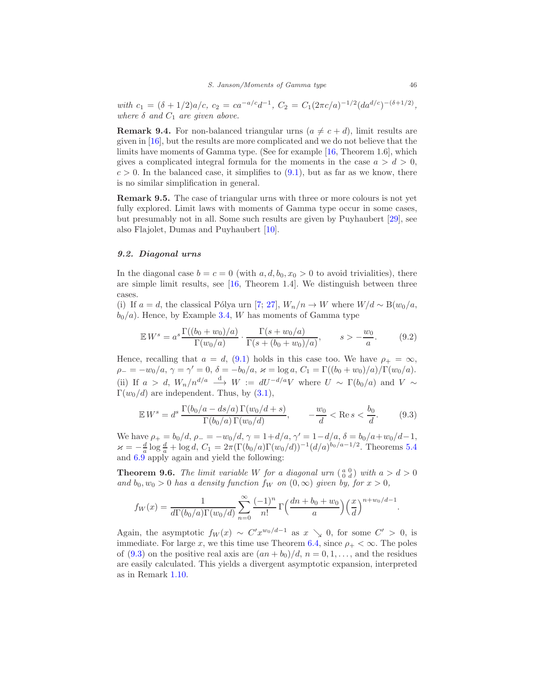with  $c_1 = (\delta + 1/2)a/c$ ,  $c_2 = ca^{-a/c}d^{-1}$ ,  $C_2 = C_1(2\pi c/a)^{-1/2}(da^{d/c})^{-(\delta + 1/2)}$ , where  $\delta$  and  $C_1$  are given above.

**Remark 9.4.** For non-balanced triangular urns  $(a \neq c + d)$ , limit results are given in [\[16](#page-50-6)], but the results are more complicated and we do not believe that the limits have moments of Gamma type. (See for example [\[16](#page-50-6), Theorem 1.6], which gives a complicated integral formula for the moments in the case  $a > d > 0$ ,  $c > 0$ . In the balanced case, it simplifies to  $(9.1)$ , but as far as we know, there is no similar simplification in general.

Remark 9.5. The case of triangular urns with three or more colours is not yet fully explored. Limit laws with moments of Gamma type occur in some cases, but presumably not in all. Some such results are given by Puyhaubert [\[29\]](#page-50-16), see also Flajolet, Dumas and Puyhaubert [\[10\]](#page-49-1).

# 9.2. Diagonal urns

In the diagonal case  $b = c = 0$  (with  $a, d, b_0, x_0 > 0$  to avoid trivialities), there are simple limit results, see [\[16,](#page-50-6) Theorem 1.4]. We distinguish between three cases.

(i) If  $a = d$ , the classical Pólya urn [\[7;](#page-49-11) [27](#page-50-17)],  $W_n/n \to W$  where  $W/d \sim B(w_0/a,$  $b_0/a$ ). Hence, by Example [3.4,](#page-11-4) W has moments of Gamma type

$$
\mathbb{E} W^s = a^s \frac{\Gamma((b_0 + w_0)/a)}{\Gamma(w_0/a)} \cdot \frac{\Gamma(s + w_0/a)}{\Gamma(s + (b_0 + w_0)/a)}, \qquad s > -\frac{w_0}{a}.
$$
 (9.2)

Hence, recalling that  $a = d$ , [\(9.1\)](#page-44-2) holds in this case too. We have  $\rho_+ = \infty$ ,  $\rho_{-} = -w_0/a, \gamma = \gamma' = 0, \delta = -b_0/a, \varkappa = \log a, C_1 = \Gamma((b_0 + w_0)/a)/\Gamma(w_0/a).$ (ii) If  $a > d$ ,  $W_n/n^{d/a} \stackrel{d}{\longrightarrow} W := dU^{-d/a}V$  where  $U \sim \Gamma(b_0/a)$  and  $V \sim$  $\Gamma(w_0/d)$  are independent. Thus, by  $(3.1)$ ,

<span id="page-45-1"></span>
$$
\mathbb{E} W^s = d^s \frac{\Gamma(b_0/a - ds/a) \Gamma(w_0/d + s)}{\Gamma(b_0/a) \Gamma(w_0/d)}, \qquad -\frac{w_0}{d} < \text{Re } s < \frac{b_0}{d}.\tag{9.3}
$$

We have  $\rho_+ = b_0/d$ ,  $\rho_- = -w_0/d$ ,  $\gamma = 1+d/a$ ,  $\gamma' = 1-d/a$ ,  $\delta = b_0/a + w_0/d - 1$ ,  $\varkappa = -\frac{d}{a} \log \frac{d}{a} + \log d$ ,  $C_1 = 2\pi (\Gamma(b_0/a)\Gamma(w_0/d))^{-1} (d/a)^{b_0/a-1/2}$ . Theorems [5.4](#page-25-2) and [6.9](#page-34-2) apply again and yield the following:

<span id="page-45-0"></span>**Theorem 9.6.** The limit variable W for a diagonal urn  $\begin{pmatrix} a & 0 \\ 0 & d \end{pmatrix}$  with  $a > d > 0$ and  $b_0, w_0 > 0$  has a density function  $f_W$  on  $(0, \infty)$  given by, for  $x > 0$ ,

$$
f_W(x) = \frac{1}{d\Gamma(b_0/a)\Gamma(w_0/d)} \sum_{n=0}^{\infty} \frac{(-1)^n}{n!} \Gamma\left(\frac{dn + b_0 + w_0}{a}\right) \left(\frac{x}{d}\right)^{n+w_0/d - 1}.
$$

Again, the asymptotic  $f_W(x) \sim C' x^{w_0/d-1}$  as  $x \searrow 0$ , for some  $C' > 0$ , is immediate. For large x, we this time use Theorem [6.4,](#page-30-2) since  $\rho_+ < \infty$ . The poles of [\(9.3\)](#page-45-1) on the positive real axis are  $(an + b_0)/d$ ,  $n = 0, 1, \ldots$ , and the residues are easily calculated. This yields a divergent asymptotic expansion, interpreted as in Remark [1.10.](#page-4-4)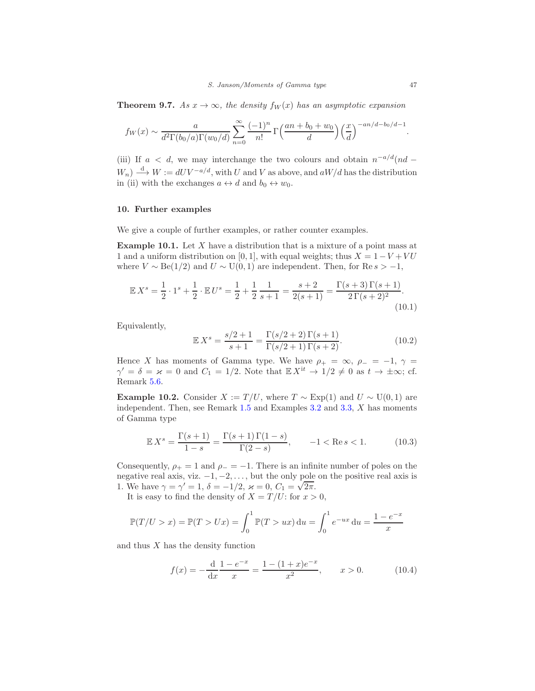<span id="page-46-3"></span>**Theorem 9.7.** As  $x \to \infty$ , the density  $f_W(x)$  has an asymptotic expansion

$$
f_W(x) \sim \frac{a}{d^2 \Gamma(b_0/a) \Gamma(w_0/d)} \sum_{n=0}^{\infty} \frac{(-1)^n}{n!} \Gamma\left(\frac{an+b_0+w_0}{d}\right) \left(\frac{x}{d}\right)^{-an/d-b_0/d-1}
$$

(iii) If  $a < d$ , we may interchange the two colours and obtain  $n^{-a/d}(nd W_n) \stackrel{d}{\longrightarrow} W := dU V^{-a/d}$ , with U and V as above, and  $aW/d$  has the distribution in (ii) with the exchanges  $a \leftrightarrow d$  and  $b_0 \leftrightarrow w_0$ .

#### <span id="page-46-0"></span>10. Further examples

We give a couple of further examples, or rather counter examples.

<span id="page-46-1"></span>Example 10.1. Let X have a distribution that is a mixture of a point mass at 1 and a uniform distribution on [0, 1], with equal weights; thus  $X = 1 - V + VU$ where  $V \sim \text{Be}(1/2)$  and  $U \sim U(0, 1)$  are independent. Then, for Re  $s > -1$ ,

$$
\mathbb{E}X^s = \frac{1}{2} \cdot 1^s + \frac{1}{2} \cdot \mathbb{E}U^s = \frac{1}{2} + \frac{1}{2}\frac{1}{s+1} = \frac{s+2}{2(s+1)} = \frac{\Gamma(s+3)\Gamma(s+1)}{2\Gamma(s+2)^2}.
$$
\n(10.1)

Equivalently,

$$
\mathbb{E} X^s = \frac{s/2 + 1}{s + 1} = \frac{\Gamma(s/2 + 2)\Gamma(s + 1)}{\Gamma(s/2 + 1)\Gamma(s + 2)}.
$$
 (10.2)

Hence X has moments of Gamma type. We have  $\rho_+ = \infty$ ,  $\rho_- = -1$ ,  $\gamma =$  $\gamma' = \delta = \varkappa = 0$  and  $C_1 = 1/2$ . Note that  $\mathbb{E} X^{it} \to 1/2 \neq 0$  as  $t \to \pm \infty$ ; cf. Remark [5.6.](#page-25-5)

<span id="page-46-2"></span>Example 10.2. Consider  $X := T/U$ , where  $T \sim \text{Exp}(1)$  and  $U \sim U(0, 1)$  are independent. Then, see Remark [1.5](#page-1-1) and Examples [3.2](#page-10-6) and [3.3,](#page-10-4) X has moments of Gamma type

$$
\mathbb{E}X^s = \frac{\Gamma(s+1)}{1-s} = \frac{\Gamma(s+1)\Gamma(1-s)}{\Gamma(2-s)}, \qquad -1 < \text{Re } s < 1. \tag{10.3}
$$

Consequently,  $\rho_+ = 1$  and  $\rho_- = -1$ . There is an infinite number of poles on the negative real axis, viz.  $-1, -2, \ldots$ , but the only pole on the positive real axis is 1. We have  $\gamma = \gamma' = 1, \delta = -1/2, \varkappa = 0, C_1 = \sqrt{2\pi}$ .

It is easy to find the density of  $X = T/U$ : for  $x > 0$ ,

$$
\mathbb{P}(T/U > x) = \mathbb{P}(T > Ux) = \int_0^1 \mathbb{P}(T > ux) \, \mathrm{d}u = \int_0^1 e^{-ux} \, \mathrm{d}u = \frac{1 - e^{-x}}{x}
$$

and thus  $X$  has the density function

<span id="page-46-4"></span>
$$
f(x) = -\frac{d}{dx} \frac{1 - e^{-x}}{x} = \frac{1 - (1 + x)e^{-x}}{x^2}, \qquad x > 0.
$$
 (10.4)

.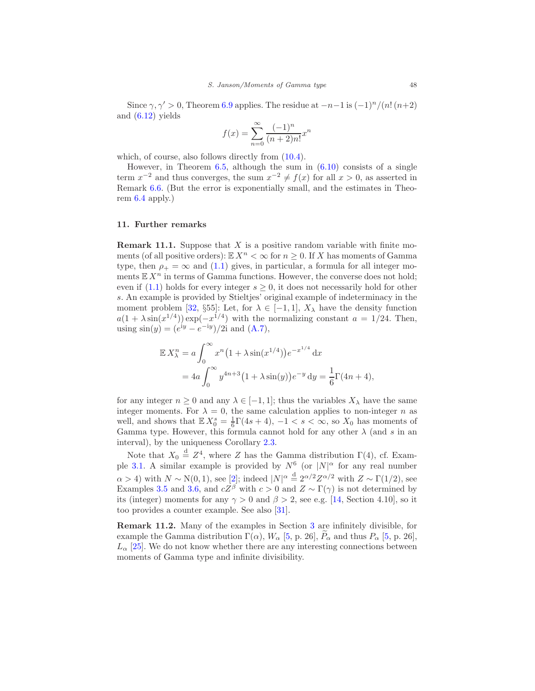Since  $\gamma$ ,  $\gamma' > 0$ , Theorem [6.9](#page-34-2) applies. The residue at  $-n-1$  is  $(-1)^n/(n!(n+2)$ and  $(6.12)$  yields

$$
f(x) = \sum_{n=0}^{\infty} \frac{(-1)^n}{(n+2)n!} x^n
$$

which, of course, also follows directly from  $(10.4)$ .

However, in Theorem  $6.5$ , although the sum in  $(6.10)$  consists of a single term  $x^{-2}$  and thus converges, the sum  $x^{-2} \neq f(x)$  for all  $x > 0$ , as asserted in Remark [6.6.](#page-33-2) (But the error is exponentially small, and the estimates in Theorem [6.4](#page-30-2) apply.)

# <span id="page-47-0"></span>11. Further remarks

**Remark 11.1.** Suppose that  $X$  is a positive random variable with finite moments (of all positive orders):  $\mathbb{E} X^n < \infty$  for  $n \geq 0$ . If X has moments of Gamma type, then  $\rho_+ = \infty$  and [\(1.1\)](#page-0-1) gives, in particular, a formula for all integer moments  $\mathbb{E} X^n$  in terms of Gamma functions. However, the converse does not hold; even if [\(1.1\)](#page-0-1) holds for every integer  $s \geq 0$ , it does not necessarily hold for other s. An example is provided by Stieltjes' original example of indeterminacy in the moment problem [\[32](#page-51-1), §55]: Let, for  $\lambda \in [-1,1]$ ,  $X_{\lambda}$  have the density function  $a(1 + \lambda \sin(x^{1/4})) \exp(-x^{1/4})$  with the normalizing constant  $a = 1/24$ . Then, using  $\sin(y) = (e^{iy} - e^{-iy})/2i$  and  $(A.7)$ ,

$$
\mathbb{E} X_{\lambda}^{n} = a \int_{0}^{\infty} x^{n} (1 + \lambda \sin(x^{1/4})) e^{-x^{1/4}} dx
$$
  
=  $4a \int_{0}^{\infty} y^{4n+3} (1 + \lambda \sin(y)) e^{-y} dy = \frac{1}{6} \Gamma(4n + 4),$ 

for any integer  $n \geq 0$  and any  $\lambda \in [-1, 1]$ ; thus the variables  $X_{\lambda}$  have the same integer moments. For  $\lambda = 0$ , the same calculation applies to non-integer *n* as well, and shows that  $\mathbb{E} X_0^s = \frac{1}{6} \Gamma(4s+4), -1 < s < \infty$ , so  $X_0$  has moments of Gamma type. However, this formula cannot hold for any other  $\lambda$  (and s in an interval), by the uniqueness Corollary [2.3.](#page-7-1)

Note that  $X_0 \stackrel{d}{=} Z^4$ , where Z has the Gamma distribution  $\Gamma(4)$ , cf. Exam-ple [3.1.](#page-10-2) A similar example is provided by  $N^6$  (or  $|N|^{\alpha}$  for any real number  $\alpha > 4$ ) with  $N \sim N(0, 1)$ , see [\[2\]](#page-49-12); indeed  $|N|^{\alpha} \stackrel{\rm d}{=} 2^{\alpha/2} Z^{\alpha/2}$  with  $Z \sim \Gamma(1/2)$ , see Examples [3.5](#page-11-2) and [3.6,](#page-11-6) and  $cZ^{\beta}$  with  $c > 0$  and  $Z \sim \Gamma(\gamma)$  is not determined by its (integer) moments for any  $\gamma > 0$  and  $\beta > 2$ , see e.g. [\[14,](#page-50-18) Section 4.10], so it too provides a counter example. See also [\[31\]](#page-51-2).

Remark 11.2. Many of the examples in Section [3](#page-10-0) are infinitely divisible, for example the Gamma distribution  $\Gamma(\alpha)$ ,  $W_{\alpha}$  [\[5,](#page-49-13) p. 26],  $P_{\alpha}$  and thus  $P_{\alpha}$  [\[5](#page-49-13), p. 26],  $L_{\alpha}$  [\[25\]](#page-50-10). We do not know whether there are any interesting connections between moments of Gamma type and infinite divisibility.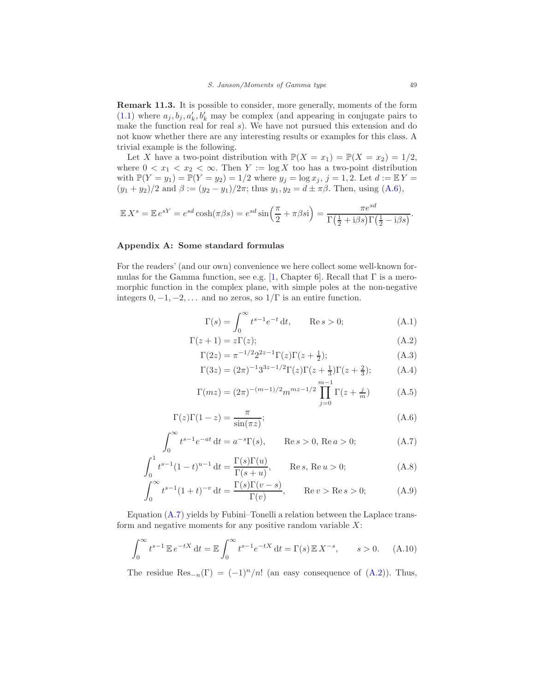Remark 11.3. It is possible to consider, more generally, moments of the form  $(1.1)$  where  $a_j, b_j, a'_k, b'_k$  may be complex (and appearing in conjugate pairs to make the function real for real s). We have not pursued this extension and do not know whether there are any interesting results or examples for this class. A trivial example is the following.

Let X have a two-point distribution with  $\mathbb{P}(X = x_1) = \mathbb{P}(X = x_2) = 1/2$ , where  $0 < x_1 < x_2 < \infty$ . Then  $Y := \log X$  too has a two-point distribution with  $\mathbb{P}(Y = y_1) = \mathbb{P}(Y = y_2) = 1/2$  where  $y_j = \log x_j$ ,  $j = 1, 2$ . Let  $d := \mathbb{E}[Y]$  $(y_1 + y_2)/2$  and  $\beta := (y_2 - y_1)/2\pi$ ; thus  $y_1, y_2 = d \pm \pi \beta$ . Then, using [\(A.6\)](#page-48-8),

$$
\mathbb{E} X^s = \mathbb{E} e^{sY} = e^{sd} \cosh(\pi \beta s) = e^{sd} \sin\left(\frac{\pi}{2} + \pi \beta s\right) = \frac{\pi e^{sd}}{\Gamma(\frac{1}{2} + i\beta s) \Gamma(\frac{1}{2} - i\beta s)}.
$$

# <span id="page-48-2"></span>Appendix A: Some standard formulas

For the readers' (and our own) convenience we here collect some well-known for-mulas for the Gamma function, see e.g. [\[1](#page-49-0), Chapter 6]. Recall that  $\Gamma$  is a meromorphic function in the complex plane, with simple poles at the non-negative integers  $0, -1, -2, \ldots$  and no zeros, so  $1/\Gamma$  is an entire function.

<span id="page-48-4"></span><span id="page-48-3"></span><span id="page-48-0"></span>
$$
\Gamma(s) = \int_0^\infty t^{s-1} e^{-t} dt, \qquad \text{Re } s > 0;
$$
\n(A.1)

$$
\Gamma(z+1) = z\Gamma(z); \tag{A.2}
$$

$$
\Gamma(2z) = \pi^{-1/2} 2^{2z-1} \Gamma(z) \Gamma(z + \frac{1}{2});
$$
\n(A.3)

<span id="page-48-10"></span><span id="page-48-1"></span>
$$
\Gamma(3z) = (2\pi)^{-1} 3^{3z - 1/2} \Gamma(z) \Gamma(z + \frac{1}{3}) \Gamma(z + \frac{2}{3});
$$
 (A.4)

<span id="page-48-9"></span><span id="page-48-8"></span><span id="page-48-7"></span><span id="page-48-5"></span>
$$
\Gamma(mz) = (2\pi)^{-(m-1)/2} m^{mz-1/2} \prod_{j=0}^{m-1} \Gamma(z + \frac{j}{m})
$$
 (A.5)

$$
\Gamma(z)\Gamma(1-z) = \frac{\pi}{\sin(\pi z)};
$$
\n(A.6)

$$
\int_0^\infty t^{s-1} e^{-at} dt = a^{-s} \Gamma(s), \qquad \text{Re } s > 0, \text{ Re } a > 0;
$$
 (A.7)

$$
\int_0^1 t^{s-1} (1-t)^{u-1} dt = \frac{\Gamma(s)\Gamma(u)}{\Gamma(s+u)}, \qquad \text{Re } s, \text{ Re } u > 0; \tag{A.8}
$$

$$
\int_0^\infty t^{s-1}(1+t)^{-v} dt = \frac{\Gamma(s)\Gamma(v-s)}{\Gamma(v)}, \qquad \text{Re}\,v > \text{Re}\,s > 0; \tag{A.9}
$$

Equation [\(A.7\)](#page-48-9) yields by Fubini–Tonelli a relation between the Laplace transform and negative moments for any positive random variable  $X$ :

<span id="page-48-6"></span>
$$
\int_0^\infty t^{s-1} \, \mathbb{E} \, e^{-tX} \, \mathrm{d}t = \mathbb{E} \int_0^\infty t^{s-1} e^{-tX} \, \mathrm{d}t = \Gamma(s) \, \mathbb{E} \, X^{-s}, \qquad s > 0. \tag{A.10}
$$

The residue  $\text{Res}_{-n}(\Gamma) = (-1)^n/n!$  (an easy consequence of  $(A.2)$ ). Thus,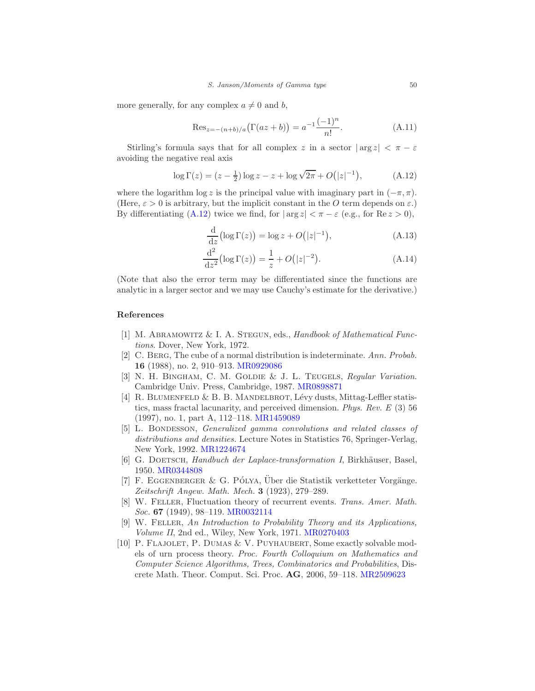more generally, for any complex  $a \neq 0$  and b,

<span id="page-49-10"></span>
$$
\text{Res}_{z=-(n+b)/a}(\Gamma(az+b)) = a^{-1} \frac{(-1)^n}{n!}.
$$
 (A.11)

Stirling's formula says that for all complex z in a sector  $|\arg z| < \pi - \varepsilon$ avoiding the negative real axis

<span id="page-49-8"></span>
$$
\log \Gamma(z) = (z - \frac{1}{2}) \log z - z + \log \sqrt{2\pi} + O(|z|^{-1}), \tag{A.12}
$$

where the logarithm log z is the principal value with imaginary part in  $(-\pi, \pi)$ . (Here,  $\varepsilon > 0$  is arbitrary, but the implicit constant in the O term depends on  $\varepsilon$ .) By differentiating [\(A.12\)](#page-49-8) twice we find, for  $|\arg z| < \pi - \varepsilon$  (e.g., for Re  $z > 0$ ),

<span id="page-49-9"></span><span id="page-49-7"></span>
$$
\frac{\mathrm{d}}{\mathrm{d}z} \left( \log \Gamma(z) \right) = \log z + O\left( |z|^{-1} \right),\tag{A.13}
$$

$$
\frac{d^2}{dz^2} (\log \Gamma(z)) = \frac{1}{z} + O(|z|^{-2}).
$$
\n(A.14)

(Note that also the error term may be differentiated since the functions are analytic in a larger sector and we may use Cauchy's estimate for the derivative.)

# References

- <span id="page-49-0"></span>[1] M. ABRAMOWITZ & I. A. STEGUN, eds., *Handbook of Mathematical Func*tions. Dover, New York, 1972.
- <span id="page-49-12"></span>[2] C. Berg, The cube of a normal distribution is indeterminate. Ann. Probab. 16 (1988), no. 2, 910–913. [MR0929086](http://www.ams.org/mathscinet-getitem?mr=0929086)
- <span id="page-49-6"></span>[3] N. H. BINGHAM, C. M. GOLDIE & J. L. TEUGELS, Regular Variation. Cambridge Univ. Press, Cambridge, 1987. [MR0898871](http://www.ams.org/mathscinet-getitem?mr=0898871)
- <span id="page-49-5"></span>[4] R. BLUMENFELD  $&$  B. B. MANDELBROT, Lévy dusts, Mittag-Leffler statistics, mass fractal lacunarity, and perceived dimension. Phys. Rev. E (3) 56 (1997), no. 1, part A, 112–118. [MR1459089](http://www.ams.org/mathscinet-getitem?mr=1459089)
- <span id="page-49-13"></span>[5] L. BONDESSON, *Generalized gamma convolutions and related classes of* distributions and densities. Lecture Notes in Statistics 76, Springer-Verlag, New York, 1992. [MR1224674](http://www.ams.org/mathscinet-getitem?mr=1224674)
- <span id="page-49-2"></span>[6] G. DOETSCH, Handbuch der Laplace-transformation I, Birkhäuser, Basel, 1950. [MR0344808](http://www.ams.org/mathscinet-getitem?mr=0344808)
- <span id="page-49-11"></span> $[7]$  F. EGGENBERGER & G. PÓLYA, Uber die Statistik verketteter Vorgänge. Zeitschrift Angew. Math. Mech. 3 (1923), 279–289.
- <span id="page-49-4"></span>[8] W. Feller, Fluctuation theory of recurrent events. Trans. Amer. Math. Soc. 67 (1949), 98–119. [MR0032114](http://www.ams.org/mathscinet-getitem?mr=0032114)
- <span id="page-49-3"></span>[9] W. Feller, An Introduction to Probability Theory and its Applications, Volume II, 2nd ed., Wiley, New York, 1971. [MR0270403](http://www.ams.org/mathscinet-getitem?mr=0270403)
- <span id="page-49-1"></span>[10] P. Flajolet, P. Dumas & V. Puyhaubert, Some exactly solvable models of urn process theory. Proc. Fourth Colloquium on Mathematics and Computer Science Algorithms, Trees, Combinatorics and Probabilities, Discrete Math. Theor. Comput. Sci. Proc. AG, 2006, 59–118. [MR2509623](http://www.ams.org/mathscinet-getitem?mr=2509623)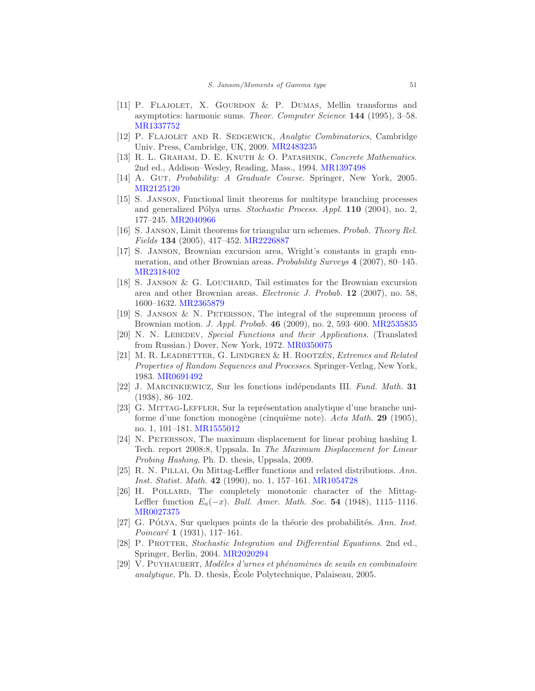- <span id="page-50-14"></span>[11] P. FLAJOLET, X. GOURDON & P. DUMAS, Mellin transforms and asymptotics: harmonic sums. Theor. Computer Science 144 (1995), 3–58. [MR1337752](http://www.ams.org/mathscinet-getitem?mr=1337752)
- <span id="page-50-13"></span>[12] P. FLAJOLET AND R. SEDGEWICK, Analytic Combinatorics, Cambridge Univ. Press, Cambridge, UK, 2009. [MR2483235](http://www.ams.org/mathscinet-getitem?mr=2483235)
- <span id="page-50-3"></span>[13] R. L. GRAHAM, D. E. KNUTH & O. PATASHNIK, Concrete Mathematics. 2nd ed., Addison–Wesley, Reading, Mass., 1994. [MR1397498](http://www.ams.org/mathscinet-getitem?mr=1397498)
- <span id="page-50-18"></span>[14] A. GUT, *Probability: A Graduate Course*. Springer, New York, 2005. [MR2125120](http://www.ams.org/mathscinet-getitem?mr=2125120)
- <span id="page-50-15"></span>[15] S. Janson, Functional limit theorems for multitype branching processes and generalized Pólya urns. Stochastic Process. Appl.  $110$  (2004), no. 2, 177–245. [MR2040966](http://www.ams.org/mathscinet-getitem?mr=2040966)
- <span id="page-50-6"></span>[16] S. Janson, Limit theorems for triangular urn schemes. Probab. Theory Rel. Fields 134 (2005), 417–452. [MR2226887](http://www.ams.org/mathscinet-getitem?mr=2226887)
- <span id="page-50-1"></span>[17] S. Janson, Brownian excursion area, Wright's constants in graph enumeration, and other Brownian areas. Probability Surveys 4 (2007), 80–145. [MR2318402](http://www.ams.org/mathscinet-getitem?mr=2318402)
- <span id="page-50-4"></span>[18] S. JANSON & G. LOUCHARD, Tail estimates for the Brownian excursion area and other Brownian areas. Electronic J. Probab. 12 (2007), no. 58, 1600–1632. [MR2365879](http://www.ams.org/mathscinet-getitem?mr=2365879)
- <span id="page-50-0"></span>[19] S. Janson & N. Petersson, The integral of the supremum process of Brownian motion. J. Appl. Probab. 46 (2009), no. 2, 593–600. [MR2535835](http://www.ams.org/mathscinet-getitem?mr=2535835)
- <span id="page-50-2"></span>[20] N. N. LEBEDEV, Special Functions and their Applications. (Translated from Russian.) Dover, New York, 1972. [MR0350075](http://www.ams.org/mathscinet-getitem?mr=0350075)
- <span id="page-50-11"></span>[21] M. R. LEADBETTER, G. LINDGREN & H. ROOTZÉN, Extremes and Related Properties of Random Sequences and Processes. Springer-Verlag, New York, 1983. [MR0691492](http://www.ams.org/mathscinet-getitem?mr=0691492)
- <span id="page-50-7"></span>[22] J. MARCINKIEWICZ, Sur les fonctions indépendants III. Fund. Math. 31 (1938), 86–102.
- <span id="page-50-8"></span>[23] G. MITTAG-LEFFLER, Sur la représentation analytique d'une branche uniforme d'une fonction monogène (cinquième note). Acta Math. 29 (1905), no. 1, 101–181. [MR1555012](http://www.ams.org/mathscinet-getitem?mr=1555012)
- <span id="page-50-5"></span>[24] N. Petersson, The maximum displacement for linear probing hashing I. Tech. report 2008:8, Uppsala. In The Maximum Displacement for Linear Probing Hashing, Ph. D. thesis, Uppsala, 2009.
- <span id="page-50-10"></span>[25] R. N. PILLAI, On Mittag-Leffler functions and related distributions. Ann. Inst. Statist. Math. 42 (1990), no. 1, 157–161. [MR1054728](http://www.ams.org/mathscinet-getitem?mr=1054728)
- <span id="page-50-9"></span>[26] H. POLLARD, The completely monotonic character of the Mittag-Leffler function  $E_a(-x)$ . Bull. Amer. Math. Soc. 54 (1948), 1115–1116. [MR0027375](http://www.ams.org/mathscinet-getitem?mr=0027375)
- <span id="page-50-17"></span>[27] G. PÓLYA, Sur quelques points de la théorie des probabilités. Ann. Inst. Poincaré 1 (1931), 117-161.
- <span id="page-50-12"></span>[28] P. PROTTER, Stochastic Integration and Differential Equations. 2nd ed., Springer, Berlin, 2004. [MR2020294](http://www.ams.org/mathscinet-getitem?mr=2020294)
- <span id="page-50-16"></span>[29] V. PUYHAUBERT, Modèles d'urnes et phénomènes de seuils en combinatoire analytique. Ph. D. thesis, Ecole Polytechnique, Palaiseau,  $2005$ .